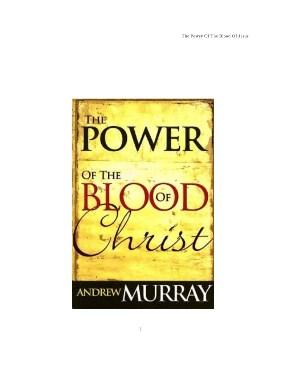**The Power Of The Blood Of Jesus**

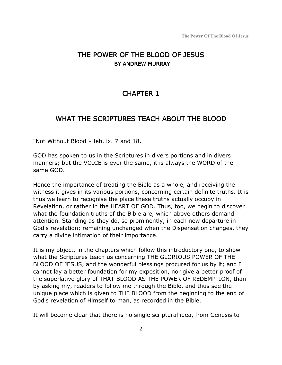# THE POWER OF THE BLOOD OF JESUS BY ANDREW MURRAY

# CHAPTER 1

## WHAT THE SCRIPTURES TEACH ABOUT THE BLOOD

"Not Without Blood"-Heb. ix. 7 and 18.

GOD has spoken to us in the Scriptures in divers portions and in divers manners; but the VOICE is ever the same, it is always the WORD of the same GOD.

Hence the importance of treating the Bible as a whole, and receiving the witness it gives in its various portions, concerning certain definite truths. It is thus we learn to recognise the place these truths actually occupy in Revelation, or rather in the HEART OF GOD. Thus, too, we begin to discover what the foundation truths of the Bible are, which above others demand attention. Standing as they do, so prominently, in each new departure in God's revelation; remaining unchanged when the Dispensation changes, they carry a divine intimation of their importance.

It is my object, in the chapters which follow this introductory one, to show what the Scriptures teach us concerning THE GLORIOUS POWER OF THE BLOOD OF JESUS, and the wonderful blessings procured for us by it; and I cannot lay a better foundation for my exposition, nor give a better proof of the superlative glory of THAT BLOOD AS THE POWER OF REDEMPTION, than by asking my, readers to follow me through the Bible, and thus see the unique place which is given to THE BLOOD from the beginning to the end of God's revelation of Himself to man, as recorded in the Bible.

It will become clear that there is no single scriptural idea, from Genesis to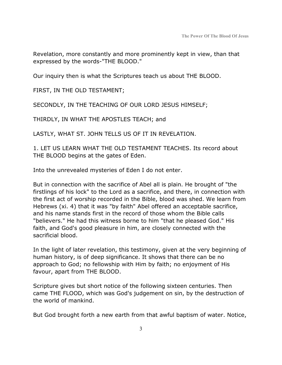Revelation, more constantly and more prominently kept in view, than that expressed by the words-"THE BLOOD."

Our inquiry then is what the Scriptures teach us about THE BLOOD.

FIRST, IN THE OLD TESTAMENT;

SECONDLY, IN THE TEACHING OF OUR LORD JESUS HIMSELF;

THIRDLY, IN WHAT THE APOSTLES TEACH; and

LASTLY, WHAT ST. JOHN TELLS US OF IT IN REVELATION.

1. LET US LEARN WHAT THE OLD TESTAMENT TEACHES. Its record about THE BLOOD begins at the gates of Eden.

Into the unrevealed mysteries of Eden I do not enter.

But in connection with the sacrifice of Abel all is plain. He brought of "the firstlings of his lock" to the Lord as a sacrifice, and there, in connection with the first act of worship recorded in the Bible, blood was shed. We learn from Hebrews (xi. 4) that it was "by faith" Abel offered an acceptable sacrifice, and his name stands first in the record of those whom the Bible calls "believers." He had this witness borne to him "that he pleased God." His faith, and God's good pleasure in him, are closely connected with the sacrificial blood.

In the light of later revelation, this testimony, given at the very beginning of human history, is of deep significance. It shows that there can be no approach to God; no fellowship with Him by faith; no enjoyment of His favour, apart from THE BLOOD.

Scripture gives but short notice of the following sixteen centuries. Then came THE FLOOD, which was God's judgement on sin, by the destruction of the world of mankind.

But God brought forth a new earth from that awful baptism of water. Notice,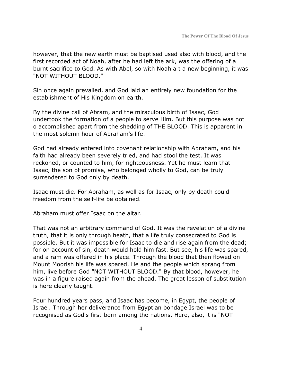however, that the new earth must be baptised used also with blood, and the first recorded act of Noah, after he had left the ark, was the offering of a burnt sacrifice to God. As with Abel, so with Noah a t a new beginning, it was "NOT WITHOUT BLOOD."

Sin once again prevailed, and God laid an entirely new foundation for the establishment of His Kingdom on earth.

By the divine call of Abram, and the miraculous birth of Isaac, God undertook the formation of a people to serve Him. But this purpose was not o accomplished apart from the shedding of THE BLOOD. This is apparent in the most solemn hour of Abraham's life.

God had already entered into covenant relationship with Abraham, and his faith had already been severely tried, and had stool the test. It was reckoned, or counted to him, for righteousness. Yet he must learn that Isaac, the son of promise, who belonged wholly to God, can be truly surrendered to God only by death.

Isaac must die. For Abraham, as well as for Isaac, only by death could freedom from the self-life be obtained.

Abraham must offer Isaac on the altar.

That was not an arbitrary command of God. It was the revelation of a divine truth, that it is only through heath, that a life truly consecrated to God is possible. But it was impossible for Isaac to die and rise again from the dead; for on account of sin, death would hold him fast. But see, his life was spared, and a ram was offered in his place. Through the blood that then flowed on Mount Moorish his life was spared. He and the people which sprang from him, live before God "NOT WITHOUT BLOOD." By that blood, however, he was in a figure raised again from the ahead. The great lesson of substitution is here clearly taught.

Four hundred years pass, and Isaac has become, in Egypt, the people of Israel. Through her deliverance from Egyptian bondage Israel was to be recognised as God's first-born among the nations. Here, also, it is "NOT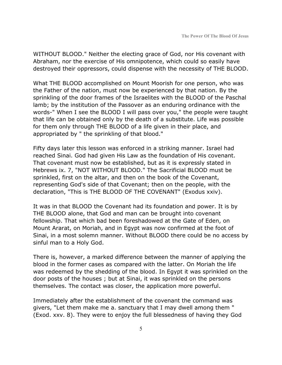WITHOUT BLOOD." Neither the electing grace of God, nor His covenant with Abraham, nor the exercise of His omnipotence, which could so easily have destroyed their oppressors, could dispense with the necessity of THE BLOOD.

What THE BLOOD accomplished on Mount Moorish for one person, who was the Father of the nation, must now be experienced by that nation. By the sprinkling of the door frames of the Israelites with the BLOOD of the Paschal lamb; by the institution of the Passover as an enduring ordinance with the words-" When I see the BLOOD I will pass over you," the people were taught that life can be obtained only by the death of a substitute. Life was possible for them only through THE BLOOD of a life given in their place, and appropriated by " the sprinkling of that blood."

Fifty days later this lesson was enforced in a striking manner. Israel had reached Sinai. God had given His Law as the foundation of His covenant. That covenant must now be established, but as it is expressly stated in Hebrews ix. 7, "NOT WITHOUT BLOOD." The Sacrificial BLOOD must be sprinkled, first on the altar, and then on the book of the Covenant, representing God's side of that Covenant; then on the people, with the declaration, "This is THE BLOOD OF THE COVENANT" (Exodus xxiv).

It was in that BLOOD the Covenant had its foundation and power. It is by THE BLOOD alone, that God and man can be brought into covenant fellowship. That which bad been foreshadowed at the Gate of Eden, on Mount Ararat, on Moriah, and in Egypt was now confirmed at the foot of Sinai, in a most solemn manner. Without BLOOD there could be no access by sinful man to a Holy God.

There is, however, a marked difference between the manner of applying the blood in the former cases as compared with the latter. On Moriah the life was redeemed by the shedding of the blood. In Egypt it was sprinkled on the door posts of the houses ; but at Sinai, it was sprinkled on the persons themselves. The contact was closer, the application more powerful.

Immediately after the establishment of the covenant the command was givers, "Let them make me a. sanctuary that I may dwell among them " (Exod. xxv. 8). They were to enjoy the full blessedness of having they God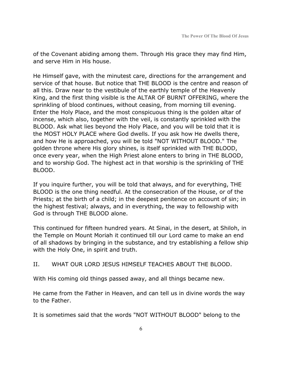of the Covenant abiding among them. Through His grace they may find Him, and serve Him in His house.

He Himself gave, with the minutest care, directions for the arrangement and service of that house. But notice that THE BLOOD is the centre and reason of all this. Draw near to the vestibule of the earthly temple of the Heavenly King, and the first thing visible is the ALTAR OF BURNT OFFERING, where the sprinkling of blood continues, without ceasing, from morning till evening. Enter the Holy Place, and the most conspicuous thing is the golden altar of incense, which also, together with the veil, is constantly sprinkled with the BLOOD. Ask what lies beyond the Holy Place, and you will be told that it is the MOST HOLY PLACE where God dwells. If you ask how He dwells there, and how He is approached, you will be told "NOT WITHOUT BLOOD." The golden throne where His glory shines, is itself sprinkled with THE BLOOD, once every year, when the High Priest alone enters to bring in THE BLOOD, and to worship God. The highest act in that worship is the sprinkling of THE BLOOD.

If you inquire further, you will be told that always, and for everything, THE BLOOD is the one thing needful. At the consecration of the House, or of the Priests; at the birth of a child; in the deepest penitence on account of sin; in the highest festival; always, and in everything, the way to fellowship with God is through THE BLOOD alone.

This continued for fifteen hundred years. At Sinai, in the desert, at Shiloh, in the Temple on Mount Moriah it continued till our Lord came to make an end of all shadows by bringing in the substance, and try establishing a fellow ship with the Holy One, in spirit and truth.

#### II. WHAT OUR LORD JESUS HIMSELF TEACHES ABOUT THE BLOOD.

With His coming old things passed away, and all things became new.

He came from the Father in Heaven, and can tell us in divine words the way to the Father.

It is sometimes said that the words "NOT WITHOUT BLOOD" belong to the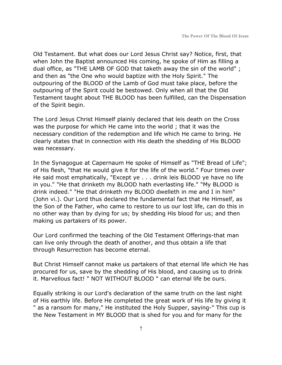Old Testament. But what does our Lord Jesus Christ say? Notice, first, that when John the Baptist announced His coming, he spoke of Him as filling a dual office, as "THE LAMB OF GOD that taketh away the sin of the world" ; and then as "the One who would baptize with the Holy Spirit." The outpouring of the BLOOD of the Lamb of God must take place, before the outpouring of the Spirit could be bestowed. Only when all that the Old Testament taught about THE BLOOD has been fulfilled, can the Dispensation of the Spirit begin.

The Lord Jesus Christ Himself plainly declared that leis death on the Cross was the purpose for which He came into the world ; that it was the necessary condition of the redemption and life which He came to bring. He clearly states that in connection with His death the shedding of His BLOOD was necessary.

In the Synagogue at Capernaum He spoke of Himself as "THE Bread of Life"; of His flesh, "that He would give it for the life of the world." Four times over He said most emphatically, "Except ye . . . drink leis BLOOD ye have no life in you." "He that drinketh my BLOOD hath everlasting life." "My BLOOD is drink indeed." "He that drinketh my BLOOD dwelleth in me and I in him" (John vi.). Our Lord thus declared the fundamental fact that He Himself, as the Son of the Father, who came to restore to us our lost life, can do this in no other way than by dying for us; by shedding His blood for us; and then making us partakers of its power.

Our Lord confirmed the teaching of the Old Testament Offerings-that man can live only through the death of another, and thus obtain a life that through Resurrection has become eternal.

But Christ Himself cannot make us partakers of that eternal life which He has procured for us, save by the shedding of His blood, and causing us to drink it. Marvellous fact! " NOT WITHOUT BLOOD " can eternal life be ours.

Equally striking is our Lord's declaration of the same truth on the last night of His earthly life. Before He completed the great work of His life by giving it " as a ransom for many," He instituted the Holy Supper, saying-" This cup is the New Testament in MY BLOOD that is shed for you and for many for the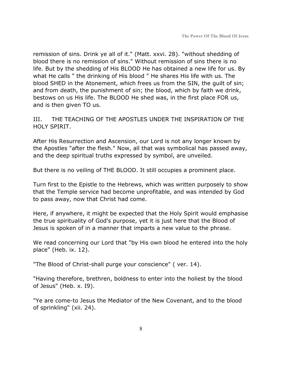remission of sins. Drink ye all of it." (Matt. xxvi. 28). "without shedding of blood there is no remission of sins." Without remission of sins there is no life. But by the shedding of His BLOOD He has obtained a new life for us. By what He calls " the drinking of His blood " He shares His life with us. The blood SHED in the Atonement, which frees us from the SIN, the guilt of sin; and from death, the punishment of sin; the blood, which by faith we drink, bestows on us His life. The BLOOD He shed was, in the first place FOR us, and is then given TO us.

III. THE TEACHING OF THE APOSTLES UNDER THE INSPIRATION OF THE HOLY SPIRIT.

After His Resurrection and Ascension, our Lord is not any longer known by the Apostles "after the flesh." Now, all that was symbolical has passed away, and the deep spiritual truths expressed by symbol, are unveiled.

But there is no veiling of THE BLOOD. It still occupies a prominent place.

Turn first to the Epistle to the Hebrews, which was written purposely to show that the Temple service had become unprofitable, and was intended by God to pass away, now that Christ had come.

Here, if anywhere, it might be expected that the Holy Spirit would emphasise the true spirituality of God's purpose, yet it is just here that the Blood of Jesus is spoken of in a manner that imparts a new value to the phrase.

We read concerning our Lord that "by His own blood he entered into the holy place" (Heb. ix. 12).

"The Blood of Christ-shall purge your conscience" ( ver. 14).

"Having therefore, brethren, boldness to enter into the holiest by the blood of Jesus" (Heb. x. I9).

"Ye are come-to Jesus the Mediator of the New Covenant, and to the blood of sprinkling" (xii. 24).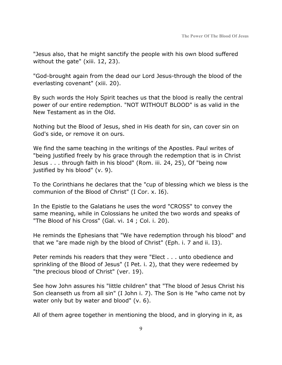"Jesus also, that he might sanctify the people with his own blood suffered without the gate" (xiii. 12, 23).

"God-brought again from the dead our Lord Jesus-through the blood of the everlasting covenant" (xiii. 20).

By such words the Holy Spirit teaches us that the blood is really the central power of our entire redemption. "NOT WITHOUT BLOOD" is as valid in the New Testament as in the Old.

Nothing but the Blood of Jesus, shed in His death for sin, can cover sin on God's side, or remove it on ours.

We find the same teaching in the writings of the Apostles. Paul writes of "being justified freely by his grace through the redemption that is in Christ Jesus . . . through faith in his blood" (Rom. iii. 24, 25), Of "being now justified by his blood" (v. 9).

To the Corinthians he declares that the "cup of blessing which we bless is the communion of the Blood of Christ" (I Cor. x. I6).

In the Epistle to the Galatians he uses the word "CROSS" to convey the same meaning, while in Colossians he united the two words and speaks of "The Blood of his Cross" (Gal. vi. 14 ; Col. i. 20).

He reminds the Ephesians that "We have redemption through his blood" and that we "are made nigh by the blood of Christ" (Eph. i. 7 and ii. I3).

Peter reminds his readers that they were "Elect . . . unto obedience and sprinkling of the Blood of Jesus" (I Pet. i. 2), that they were redeemed by "the precious blood of Christ" (ver. 19).

See how John assures his "little children" that "The blood of Jesus Christ his Son cleanseth us from all sin" (I John i. 7). The Son is He "who came not by water only but by water and blood" (v. 6).

All of them agree together in mentioning the blood, and in glorying in it, as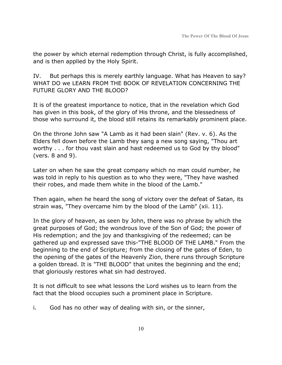the power by which eternal redemption through Christ, is fully accomplished, and is then applied by the Holy Spirit.

IV. But perhaps this is merely earthly language. What has Heaven to say? WHAT DO we LEARN FROM THE BOOK OF REVELATION CONCERNING THE FUTURE GLORY AND THE BLOOD?

It is of the greatest importance to notice, that in the revelation which God has given in this book, of the glory of His throne, and the blessedness of those who surround it, the blood still retains its remarkably prominent place.

On the throne John saw "A Lamb as it had been slain" (Rev. v. 6). As the Elders fell down before the Lamb they sang a new song saying, "Thou art worthy . . . for thou vast slain and hast redeemed us to God by thy blood" (vers. 8 and 9).

Later on when he saw the great company which no man could number, he was told in reply to his question as to who they were, "They have washed their robes, and made them white in the blood of the Lamb."

Then again, when he heard the song of victory over the defeat of Satan, its strain was, "They overcame him by the blood of the Lamb" (xii. 11).

In the glory of heaven, as seen by John, there was no phrase by which the great purposes of God; the wondrous love of the Son of God; the power of His redemption; and the joy and thanksgiving of the redeemed; can be gathered up and expressed save this-"THE BLOOD OF THE LAMB." From the beginning to the end of Scripture; from the closing of the gates of Eden, to the opening of the gates of the Heavenly Zion, there runs through Scripture a golden tbread. It is "THE BLOOD" that unites the beginning and the end; that gloriously restores what sin had destroyed.

It is not difficult to see what lessons the Lord wishes us to learn from the fact that the blood occupies such a prominent place in Scripture.

i. God has no other way of dealing with sin, or the sinner,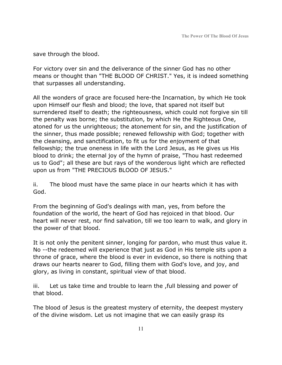save through the blood.

For victory over sin and the deliverance of the sinner God has no other means or thought than "THE BLOOD OF CHRIST." Yes, it is indeed something that surpasses all understanding.

All the wonders of grace are focused here-the Incarnation, by which He took upon Himself our flesh and blood; the love, that spared not itself but surrendered itself to death; the righteousness, which could not forgive sin till the penalty was borne; the substitution, by which He the Righteous One, atoned for us the unrighteous; the atonement for sin, and the justification of the sinner, thus made possible; renewed fellowship with God; together with the cleansing, and sanctification, to fit us for the enjoyment of that fellowship; the true oneness in life with the Lord Jesus, as He gives us His blood to drink; the eternal joy of the hymn of praise, "Thou hast redeemed us to God"; all these are but rays of the wonderous light which are reflected upon us from "THE PRECIOUS BLOOD OF JESUS."

ii. The blood must have the same place in our hearts which it has with God.

From the beginning of God's dealings with man, yes, from before the foundation of the world, the heart of God has rejoiced in that blood. Our heart will never rest, nor find salvation, till we too learn to walk, and glory in the power of that blood.

It is not only the penitent sinner, longing for pardon, who must thus value it. No --the redeemed will experience that just as God in His temple sits upon a throne of grace, where the blood is ever in evidence, so there is nothing that draws our hearts nearer to God, filling them with God's love, and joy, and glory, as living in constant, spiritual view of that blood.

iii. Let us take time and trouble to learn the ,full blessing and power of that blood.

The blood of Jesus is the greatest mystery of eternity, the deepest mystery of the divine wisdom. Let us not imagine that we can easily grasp its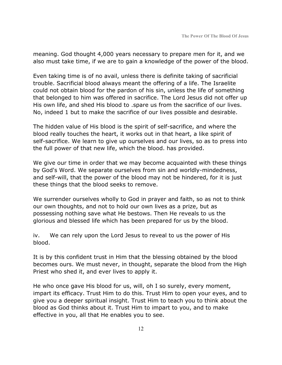meaning. God thought 4,000 years necessary to prepare men for it, and we also must take time, if we are to gain a knowledge of the power of the blood.

Even taking time is of no avail, unless there is definite taking of sacrificial trouble. Sacrificial blood always meant the offering of a life. The Israelite could not obtain blood for the pardon of his sin, unless the life of something that belonged to him was offered in sacrifice. The Lord Jesus did not offer up His own life, and shed His blood to .spare us from the sacrifice of our lives. No, indeed 1 but to make the sacrifice of our lives possible and desirable.

The hidden value of His blood is the spirit of self-sacrifice, and where the blood really touches the heart, it works out in that heart, a like spirit of self-sacrifice. We learn to give up ourselves and our lives, so as to press into the full power of that new life, which the blood. has provided.

We give our time in order that we may become acquainted with these things by God's Word. We separate ourselves from sin and worldly-mindedness, and self-will, that the power of the blood may not be hindered, for it is just these things that the blood seeks to remove.

We surrender ourselves wholly to God in prayer and faith, so as not to think our own thoughts, and not to hold our own lives as a prize, but as possessing nothing save what He bestows. Then He reveals to us the glorious and blessed life which has been prepared for us by the blood.

iv. We can rely upon the Lord Jesus to reveal to us the power of His blood.

It is by this confident trust in Him that the blessing obtained by the blood becomes ours. We must never, in thought, separate the blood from the High Priest who shed it, and ever lives to apply it.

He who once gave His blood for us, will, oh I so surely, every moment, impart its efficacy. Trust Him to do this. Trust Him to open your eyes, and to give you a deeper spiritual insight. Trust Him to teach you to think about the blood as God thinks about it. Trust Him to impart to you, and to make effective in you, all that He enables you to see.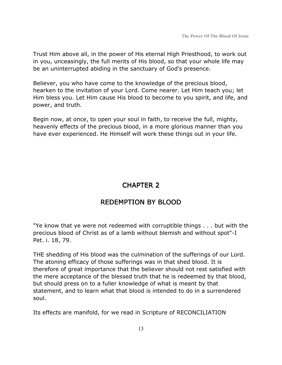Trust Him above all, in the power of His eternal High Priesthood, to work out in you, unceasingly, the full merits of His blood, so that your whole life may be an uninterrupted abiding in the sanctuary of God's presence.

Believer, you who have come to the knowledge of the precious blood, hearken to the invitation of your Lord. Come nearer. Let Him teach you; let Him bless you. Let Him cause His blood to become to you spirit, and life, and power, and truth.

Begin now, at once, to open your soul in faith, to receive the full, mighty, heavenly effects of the precious blood, in a more glorious manner than you have ever experienced. He Himself will work these things out in your life.

# CHAPTER 2

# REDEMPTION BY BLOOD

"Ye know that ye were not redeemed with corruptible things . . . but with the precious blood of Christ as of a lamb without blemish and without spot"-I Pet. i. 18, 79.

THE shedding of His blood was the culmination of the sufferings of our Lord. The atoning efficacy of those sufferings was in that shed blood. It is therefore of great importance that the believer should not rest satisfied with the mere acceptance of the blessed truth that he is redeemed by that blood, but should press on to a fuller knowledge of what is meant by that statement, and to learn what that blood is intended to do in a surrendered soul.

Its effects are manifold, for we read in Scripture of RECONCILIATION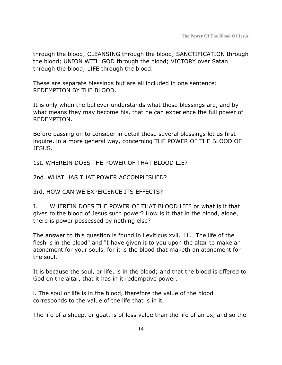through the blood; CLEANSING through the blood; SANCTIFICATION through the blood; UNION WITH GOD through the blood; VICTORY over Satan through the blood; LIFE through the blood.

These are separate blessings but are all included in one sentence: REDEMPTION BY THE BLOOD.

It is only when the believer understands what these blessings are, and by what means they may become his, that he can experience the full power of REDEMPTION.

Before passing on to consider in detail these several blessings let us first inquire, in a more general way, concerning THE POWER OF THE BLOOD OF JESUS.

1st. WHEREIN DOES THE POWER OF THAT BLOOD LIE?

2nd. WHAT HAS THAT POWER ACCOMPLISHED?

3rd. HOW CAN WE EXPERIENCE ITS EFFECTS?

I. WHEREIN DOES THE POWER OF THAT BLOOD LIE? or what is it that gives to the blood of Jesus such power? How is it that in the blood, alone, there is power possessed by nothing else?

The answer to this question is found in Leviticus xvii. 11. "The life of the flesh is in the blood" and "I have given it to you upon the altar to make an atonement for your souls, for it is the blood that maketh an atonement for the soul."

It is because the soul, or life, is in the blood; and that the blood is offered to God on the altar, that it has in it redemptive power.

i. The soul or life is in the blood, therefore the value of the blood corresponds to the value of the life that is in it.

The life of a sheep, or goat, is of less value than the life of an ox, and so the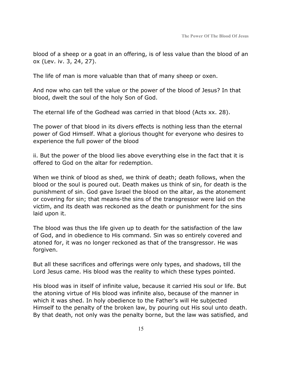blood of a sheep or a goat in an offering, is of less value than the blood of an ox (Lev. iv. 3, 24, 27).

The life of man is more valuable than that of many sheep or oxen.

And now who can tell the value or the power of the blood of Jesus? In that blood, dwelt the soul of the holy Son of God.

The eternal life of the Godhead was carried in that blood (Acts xx. 28).

The power of that blood in its divers effects is nothing less than the eternal power of God Himself. What a glorious thought for everyone who desires to experience the full power of the blood

ii. But the power of the blood lies above everything else in the fact that it is offered to God on the altar for redemption.

When we think of blood as shed, we think of death; death follows, when the blood or the soul is poured out. Death makes us think of sin, for death is the punishment of sin. God gave Israel the blood on the altar, as the atonement or covering for sin; that means-the sins of the transgressor were laid on the victim, and its death was reckoned as the death or punishment for the sins laid upon it.

The blood was thus the life given up to death for the satisfaction of the law of God, and in obedience to His command. Sin was so entirely covered and atoned for, it was no longer reckoned as that of the transgressor. He was forgiven.

But all these sacrifices and offerings were only types, and shadows, till the Lord Jesus came. His blood was the reality to which these types pointed.

His blood was in itself of infinite value, because it carried His soul or life. But the atoning virtue of His blood was infinite also, because of the manner in which it was shed. In holy obedience to the Father's will He subjected Himself to the penalty of the broken law, by pouring out His soul unto death. By that death, not only was the penalty borne, but the law was satisfied, and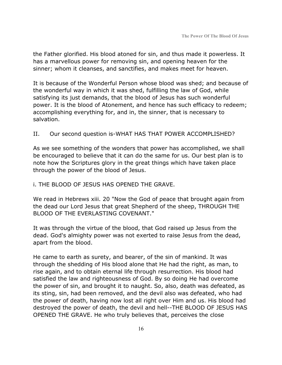the Father glorified. His blood atoned for sin, and thus made it powerless. It has a marvellous power for removing sin, and opening heaven for the sinner; whom it cleanses, and sanctifies, and makes meet for heaven.

It is because of the Wonderful Person whose blood was shed; and because of the wonderful way in which it was shed, fulfilling the law of God, while satisfying its just demands, that the blood of Jesus has such wonderful power. It is the blood of Atonement, and hence has such efficacy to redeem; accomplishing everything for, and in, the sinner, that is necessary to salvation.

### II. Our second question is-WHAT HAS THAT POWER ACCOMPLISHED?

As we see something of the wonders that power has accomplished, we shall be encouraged to believe that it can do the same for us. Our best plan is to note how the Scriptures glory in the great things which have taken place through the power of the blood of Jesus.

### i. THE BLOOD OF JESUS HAS OPENED THE GRAVE.

We read in Hebrews xiii. 20 "Now the God of peace that brought again from the dead our Lord Jesus that great Shepherd of the sheep, THROUGH THE BLOOD OF THE EVERLASTING COVENANT."

It was through the virtue of the blood, that God raised up Jesus from the dead. God's almighty power was not exerted to raise Jesus from the dead, apart from the blood.

He came to earth as surety, and bearer, of the sin of mankind. It was through the shedding of His blood alone that He had the right, as man, to rise again, and to obtain eternal life through resurrection. His blood had satisfied the law and righteousness of God. By so doing He had overcome the power of sin, and brought it to naught. So, also, death was defeated, as its sting, sin, had been removed, and the devil also was defeated, who had the power of death, having now lost all right over Him and us. His blood had destroyed the power of death, the devil and hell--THE BLOOD OF JESUS HAS OPENED THE GRAVE. He who truly believes that, perceives the close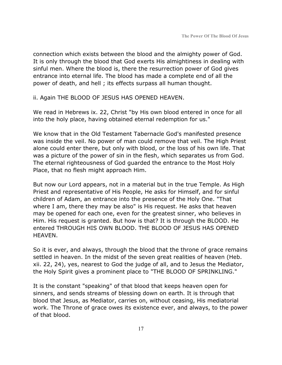connection which exists between the blood and the almighty power of God. It is only through the blood that God exerts His almightiness in dealing with sinful men. Where the blood is, there the resurrection power of God gives entrance into eternal life. The blood has made a complete end of all the power of death, and hell ; its effects surpass all human thought.

ii. Again THE BLOOD OF JESUS HAS OPENED HEAVEN.

We read in Hebrews ix. 22, Christ "by His own blood entered in once for all into the holy place, having obtained eternal redemption for us."

We know that in the Old Testament Tabernacle God's manifested presence was inside the veil. No power of man could remove that veil. The High Priest alone could enter there, but only with blood, or the loss of his own life. That was a picture of the power of sin in the flesh, which separates us from God. The eternal righteousness of God guarded the entrance to the Most Holy Place, that no flesh might approach Him.

But now our Lord appears, not in a material but in the true Temple. As High Priest and representative of His People, He asks for Himself, and for sinful children of Adam, an entrance into the presence of the Holy One. "That where I am, there they may be also" is His request. He asks that heaven may be opened for each one, even for the greatest sinner, who believes in Him. His request is granted. But how is that? It is through the BLOOD. He entered THROUGH HIS OWN BLOOD. THE BLOOD OF JESUS HAS OPENED HEAVEN.

So it is ever, and always, through the blood that the throne of grace remains settled in heaven. In the midst of the seven great realities of heaven (Heb. xii. 22, 24), yes, nearest to God the judge of all, and to Jesus the Mediator, the Holy Spirit gives a prominent place to "THE BLOOD OF SPRINKLING."

It is the constant "speaking" of that blood that keeps heaven open for sinners, and sends streams of blessing down on earth. It is through that blood that Jesus, as Mediator, carries on, without ceasing, His mediatorial work. The Throne of grace owes its existence ever, and always, to the power of that blood.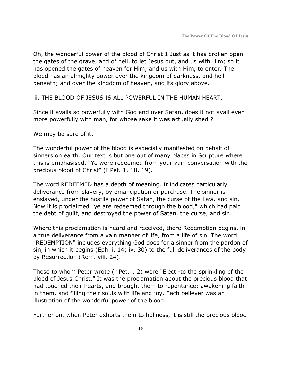Oh, the wonderful power of the blood of Christ 1 Just as it has broken open the gates of the grave, and of hell, to let Jesus out, and us with Him; so it has opened the gates of heaven for Him, and us with Him, to enter. The blood has an almighty power over the kingdom of darkness, and hell beneath; and over the kingdom of heaven, and its glory above.

iii. THE BLOOD OF JESUS IS ALL POWERFUL IN THE HUMAN HEART.

Since it avails so powerfully with God and over Satan, does it not avail even more powerfully with man, for whose sake it was actually shed ?

We may be sure of it.

The wonderful power of the blood is especially manifested on behalf of sinners on earth. Our text is but one out of many places in Scripture where this is emphasised. "Ye were redeemed from your vain conversation with the precious blood of Christ" (I Pet. 1. 18, 19).

The word REDEEMED has a depth of meaning. It indicates particularly deliverance from slavery, by emancipation or purchase. The sinner is enslaved, under the hostile power of Satan, the curse of the Law, and sin. Now it is proclaimed "ye are redeemed through the blood," which had paid the debt of guilt, and destroyed the power of Satan, the curse, and sin.

Where this proclamation is heard and received, there Redemption begins, in a true deliverance from a vain manner of life, from a life of sin. The word "REDEMPTION" includes everything God does for a sinner from the pardon of sin, in which it begins (Eph. i. 14; iv. 30) to the full deliverances of the body by Resurrection (Rom. viii. 24).

Those to whom Peter wrote (r Pet. i. 2) were "Elect -to the sprinkling of the blood of Jesus Christ." It was the proclamation about the precious blood that had touched their hearts, and brought them to repentance; awakening faith in them, and filling their souls with life and joy. Each believer was an illustration of the wonderful power of the blood.

Further on, when Peter exhorts them to holiness, it is still the precious blood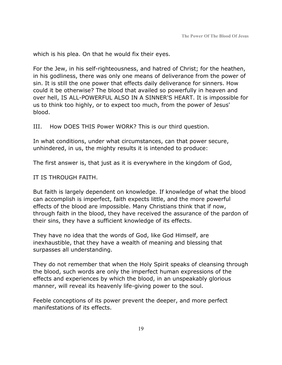which is his plea. On that he would fix their eyes.

For the Jew, in his self-righteousness, and hatred of Christ; for the heathen, in his godliness, there was only one means of deliverance from the power of sin. It is still the one power that effects daily deliverance for sinners. How could it be otherwise? The blood that availed so powerfully in heaven and over hell, IS ALL-POWERFUL ALSO IN A SINNER'S HEART. It is impossible for us to think too highly, or to expect too much, from the power of Jesus' blood.

III. How DOES THIS Power WORK? This is our third question.

In what conditions, under what circumstances, can that power secure, unhindered, in us, the mighty results it is intended to produce:

The first answer is, that just as it is everywhere in the kingdom of God,

IT IS THROUGH FAITH.

But faith is largely dependent on knowledge. If knowledge of what the blood can accomplish is imperfect, faith expects little, and the more powerful effects of the blood are impossible. Many Christians think that if now, through faith in the blood, they have received the assurance of the pardon of their sins, they have a sufficient knowledge of its effects.

They have no idea that the words of God, like God Himself, are inexhaustible, that they have a wealth of meaning and blessing that surpasses all understanding.

They do not remember that when the Holy Spirit speaks of cleansing through the blood, such words are only the imperfect human expressions of the effects and experiences by which the blood, in an unspeakably glorious manner, will reveal its heavenly life-giving power to the soul.

Feeble conceptions of its power prevent the deeper, and more perfect manifestations of its effects.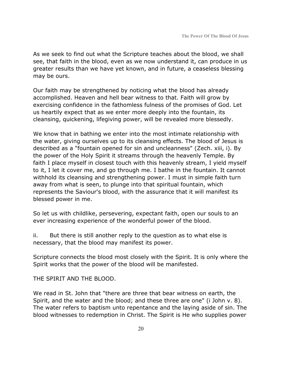As we seek to find out what the Scripture teaches about the blood, we shall see, that faith in the blood, even as we now understand it, can produce in us greater results than we have yet known, and in future, a ceaseless blessing may be ours.

Our faith may be strengthened by noticing what the blood has already accomplished. Heaven and hell bear witness to that. Faith will grow by exercising confidence in the fathomless fulness of the promises of God. Let us heartily expect that as we enter more deeply into the fountain, its cleansing, quickening, lifegiving power, will be revealed more blessedly.

We know that in bathing we enter into the most intimate relationship with the water, giving ourselves up to its cleansing effects. The blood of Jesus is described as a "fountain opened for sin and uncleanness" (Zech. xiii, i). By the power of the Holy Spirit it streams through the heavenly Temple. By faith I place myself in closest touch with this heavenly stream, I yield myself to it, I let it cover me, and go through me. I bathe in the fountain. It cannot withhold its cleansing and strengthening power. I must in simple faith turn away from what is seen, to plunge into that spiritual fountain, which represents the Saviour's blood, with the assurance that it will manifest its blessed power in me.

So let us with childlike, persevering, expectant faith, open our souls to an ever increasing experience of the wonderful power of the blood.

ii. But there is still another reply to the question as to what else is necessary, that the blood may manifest its power.

Scripture connects the blood most closely with the Spirit. It is only where the Spirit works that the power of the blood will be manifested.

THE SPIRIT AND THE BLOOD.

We read in St. John that "there are three that bear witness on earth, the Spirit, and the water and the blood; and these three are one" (i John v. 8). The water refers to baptism unto repentance and the laying aside of sin. The blood witnesses to redemption in Christ. The Spirit is He who supplies power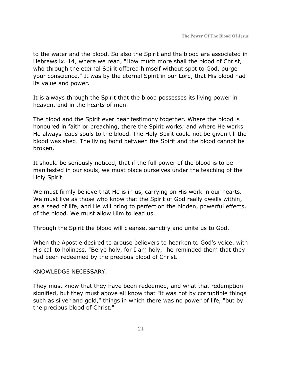to the water and the blood. So also the Spirit and the blood are associated in Hebrews ix. 14, where we read, "How much more shall the blood of Christ, who through the eternal Spirit offered himself without spot to God, purge your conscience." It was by the eternal Spirit in our Lord, that His blood had its value and power.

It is always through the Spirit that the blood possesses its living power in heaven, and in the hearts of men.

The blood and the Spirit ever bear testimony together. Where the blood is honoured in faith or preaching, there the Spirit works; and where He works He always leads souls to the blood. The Holy Spirit could not be given till the blood was shed. The living bond between the Spirit and the blood cannot be broken.

It should be seriously noticed, that if the full power of the blood is to be manifested in our souls, we must place ourselves under the teaching of the Holy Spirit.

We must firmly believe that He is in us, carrying on His work in our hearts. We must live as those who know that the Spirit of God really dwells within, as a seed of life, and He will bring to perfection the hidden, powerful effects, of the blood. We must allow Him to lead us.

Through the Spirit the blood will cleanse, sanctify and unite us to God.

When the Apostle desired to arouse believers to hearken to God's voice, with His call to holiness, "Be ye holy, for I am holy," he reminded them that they had been redeemed by the precious blood of Christ.

KNOWLEDGE NECESSARY.

They must know that they have been redeemed, and what that redemption signified, but they must above all know that "it was not by corruptible things such as silver and gold," things in which there was no power of life, "but by the precious blood of Christ."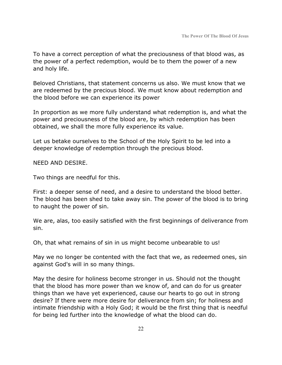To have a correct perception of what the preciousness of that blood was, as the power of a perfect redemption, would be to them the power of a new and holy life.

Beloved Christians, that statement concerns us also. We must know that we are redeemed by the precious blood. We must know about redemption and the blood before we can experience its power

In proportion as we more fully understand what redemption is, and what the power and preciousness of the blood are, by which redemption has been obtained, we shall the more fully experience its value.

Let us betake ourselves to the School of the Holy Spirit to be led into a deeper knowledge of redemption through the precious blood.

NEED AND DESIRE.

Two things are needful for this.

First: a deeper sense of need, and a desire to understand the blood better. The blood has been shed to take away sin. The power of the blood is to bring to naught the power of sin.

We are, alas, too easily satisfied with the first beginnings of deliverance from sin.

Oh, that what remains of sin in us might become unbearable to us!

May we no longer be contented with the fact that we, as redeemed ones, sin against God's will in so many things.

May the desire for holiness become stronger in us. Should not the thought that the blood has more power than we know of, and can do for us greater things than we have yet experienced, cause our hearts to go out in strong desire? If there were more desire for deliverance from sin; for holiness and intimate friendship with a Holy God; it would be the first thing that is needful for being led further into the knowledge of what the blood can do.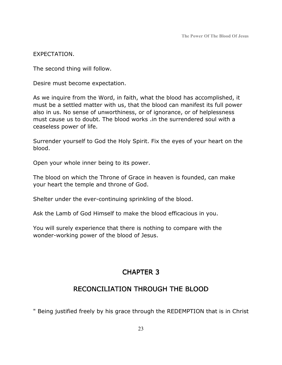#### EXPECTATION.

The second thing will follow.

Desire must become expectation.

As we inquire from the Word, in faith, what the blood has accomplished, it must be a settled matter with us, that the blood can manifest its full power also in us. No sense of unworthiness, or of ignorance, or of helplessness must cause us to doubt. The blood works .in the surrendered soul with a ceaseless power of life.

Surrender yourself to God the Holy Spirit. Fix the eyes of your heart on the blood.

Open your whole inner being to its power.

The blood on which the Throne of Grace in heaven is founded, can make your heart the temple and throne of God.

Shelter under the ever-continuing sprinkling of the blood.

Ask the Lamb of God Himself to make the blood efficacious in you.

You will surely experience that there is nothing to compare with the wonder-working power of the blood of Jesus.

## CHAPTER 3

## RECONCILIATION THROUGH THE BLOOD

" Being justified freely by his grace through the REDEMPTION that is in Christ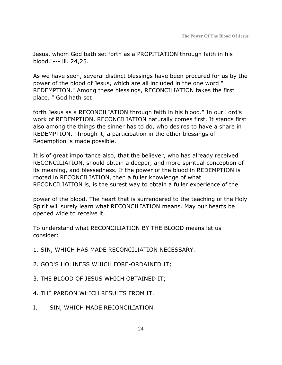Jesus, whom God bath set forth as a PROPITIATION through faith in his blood."--- iii. 24,25.

As we have seen, several distinct blessings have been procured for us by the power of the blood of Jesus, which are all included in the one word " REDEMPTION." Among these blessings, RECONCILIATION takes the first place. " God hath set

forth Jesus as a RECONCILIATION through faith in his blood." In our Lord's work of REDEMPTION, RECONCILIATION naturally comes first. It stands first also among the things the sinner has to do, who desires to have a share in REDEMPTION. Through it, a participation in the other blessings of Redemption is made possible.

It is of great importance also, that the believer, who has already received RECONCILIATION, should obtain a deeper, and more spiritual conception of its meaning, and blessedness. If the power of the blood in REDEMPTION is rooted in RECONCILIATION, then a fuller knowledge of what RECONCILIATION is, is the surest way to obtain a fuller experience of the

power of the blood. The heart that is surrendered to the teaching of the Holy Spirit will surely learn what RECONCILIATION means. May our hearts be opened wide to receive it.

To understand what RECONCILIATION BY THE BLOOD means let us consider:

- 1. SIN, WHICH HAS MADE RECONCILIATION NECESSARY.
- 2. GOD'S HOLINESS WHICH FORE-ORDAINED IT;
- 3. THE BLOOD OF JESUS WHICH OBTAINED IT;
- 4. THE PARDON WHICH RESULTS FROM IT.
- I. SIN, WHICH MADE RECONCILIATION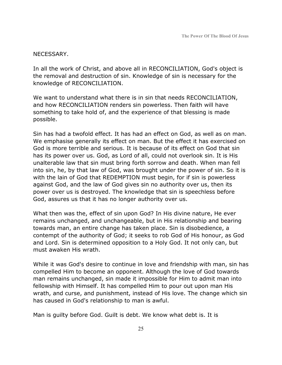#### NECESSARY.

In all the work of Christ, and above all in RECONCILIATION, God's object is the removal and destruction of sin. Knowledge of sin is necessary for the knowledge of RECONCILIATION.

We want to understand what there is in sin that needs RECONCILIATION, and how RECONCILIATION renders sin powerless. Then faith will have something to take hold of, and the experience of that blessing is made possible.

Sin has had a twofold effect. It has had an effect on God, as well as on man. We emphasise generally its effect on man. But the effect it has exercised on God is more terrible and serious. It is because of its effect on God that sin has its power over us. God, as Lord of all, could not overlook sin. It is His unalterable law that sin must bring forth sorrow and death. When man fell into sin, he, by that law of God, was brought under the power of sin. So it is with the lain of God that REDEMPTION must begin, for if sin is powerless against God, and the law of God gives sin no authority over us, then its power over us is destroyed. The knowledge that sin is speechless before God, assures us that it has no longer authority over us.

What then was the, effect of sin upon God? In His divine nature, He ever remains unchanged, and unchangeable, but in His relationship and bearing towards man, an entire change has taken place. Sin is disobedience, a contempt of the authority of God; it seeks to rob God of His honour, as God and Lord. Sin is determined opposition to a Holy God. It not only can, but must awaken His wrath.

While it was God's desire to continue in love and friendship with man, sin has compelled Him to become an opponent. Although the love of God towards man remains unchanged, sin made it impossible for Him to admit man into fellowship with Himself. It has compelled Him to pour out upon man His wrath, and curse, and punishment, instead of His love. The change which sin has caused in God's relationship to man is awful.

Man is guilty before God. Guilt is debt. We know what debt is. It is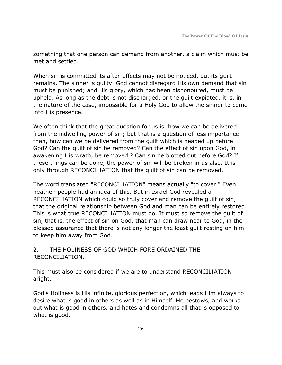something that one person can demand from another, a claim which must be met and settled.

When sin is committed its after-effects may not be noticed, but its guilt remains. The sinner is guilty. God cannot disregard His own demand that sin must be punished; and His glory, which has been dishonoured, must be upheld. As long as the debt is not discharged, or the guilt expiated, it is, in the nature of the case, impossible for a Holy God to allow the sinner to come into His presence.

We often think that the great question for us is, how we can be delivered from the indwelling power of sin; but that is a question of less importance than, how can we be delivered from the guilt which is heaped up before God? Can the guilt of sin be removed? Can the effect of sin upon God, in awakening His wrath, be removed ? Can sin be blotted out before God? If these things can be done, the power of sin will be broken in us also. It is only through RECONCILIATION that the guilt of sin can be removed.

The word translated "RECONCILIATION" means actually "to cover." Even heathen people had an idea of this. But in Israel God revealed a RECONCILIATION which could so truly cover and remove the guilt of sin, that the original relationship between God and man can be entirely restored. This is what true RECONCILIATION must do. It must so remove the guilt of sin, that is, the effect of sin on God, that man can draw near to God, in the blessed assurance that there is not any longer the least guilt resting on him to keep him away from God.

## 2. THE HOLINESS OF GOD WHICH FORE ORDAINED THE RECONCILIATION.

This must also be considered if we are to understand RECONCILIATION aright.

God's Holiness is His infinite, glorious perfection, which leads Him always to desire what is good in others as well as in Himself. He bestows, and works out what is good in others, and hates and condemns all that is opposed to what is good.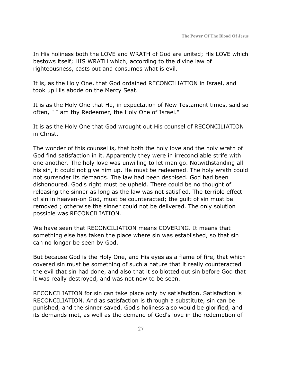In His holiness both the LOVE and WRATH of God are united; His LOVE which bestows itself; HIS WRATH which, according to the divine law of righteousness, casts out and consumes what is evil.

It is, as the Holy One, that God ordained RECONCILIATION in Israel, and took up His abode on the Mercy Seat.

It is as the Holy One that He, in expectation of New Testament times, said so often, " I am thy Redeemer, the Holy One of Israel."

It is as the Holy One that God wrought out His counsel of RECONCILIATION in Christ.

The wonder of this counsel is, that both the holy love and the holy wrath of God find satisfaction in it. Apparently they were in irreconcilable strife with one another. The holy love was unwilling to let man go. Notwithstanding all his sin, it could not give him up. He must be redeemed. The holy wrath could not surrender its demands. The law had been despised. God had been dishonoured. God's right must be upheld. There could be no thought of releasing the sinner as long as the law was not satisfied. The terrible effect of sin in heaven-on God, must be counteracted; the guilt of sin must be removed ; otherwise the sinner could not be delivered. The only solution possible was RECONCILIATION.

We have seen that RECONCILIATION means COVERING. It means that something else has taken the place where sin was established, so that sin can no longer be seen by God.

But because God is the Holy One, and His eyes as a flame of fire, that which covered sin must be something of such a nature that it really counteracted the evil that sin had done, and also that it so blotted out sin before God that it was really destroyed, and was not now to be seen.

RECONCILIATION for sin can take place only by satisfaction. Satisfaction is RECONCILIATION. And as satisfaction is through a substitute, sin can be punished, and the sinner saved. God's holiness also would be glorified, and its demands met, as well as the demand of God's love in the redemption of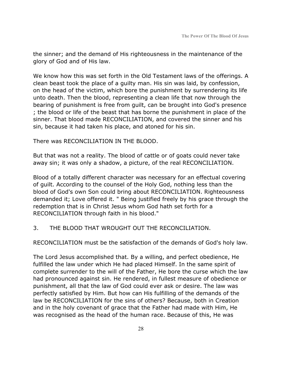the sinner; and the demand of His righteousness in the maintenance of the glory of God and of His law.

We know how this was set forth in the Old Testament laws of the offerings. A clean beast took the place of a guilty man. His sin was laid, by confession, on the head of the victim, which bore the punishment by surrendering its life unto death. Then the blood, representing a clean life that now through the bearing of punishment is free from guilt, can be brought into God's presence ; the blood or life of the beast that has borne the punishment in place of the sinner. That blood made RECONCILIATION, and covered the sinner and his sin, because it had taken his place, and atoned for his sin.

There was RECONCILIATION IN THE BLOOD.

But that was not a reality. The blood of cattle or of goats could never take away sin; it was only a shadow, a picture, of the real RECONCILIATION.

Blood of a totally different character was necessary for an effectual covering of guilt. According to the counsel of the Holy God, nothing less than the blood of God's own Son could bring about RECONCILIATION. Righteousness demanded it; Love offered it. " Being justified freely by his grace through the redemption that is in Christ Jesus whom God hath set forth for a RECONCILIATION through faith in his blood."

3. THE BLOOD THAT WROUGHT OUT THE RECONCILIATION.

RECONCILIATION must be the satisfaction of the demands of God's holy law.

The Lord Jesus accomplished that. By a willing, and perfect obedience, He fulfilled the law under which He had placed Himself. In the same spirit of complete surrender to the will of the Father, He bore the curse which the law had pronounced against sin. He rendered, in fullest measure of obedience or punishment, all that the law of God could ever ask or desire. The law was perfectly satisfied by Him. But how can His fulfilling of the demands of the law be RECONCILIATION for the sins of others? Because, both in Creation and in the holy covenant of grace that the Father had made with Him, He was recognised as the head of the human race. Because of this, He was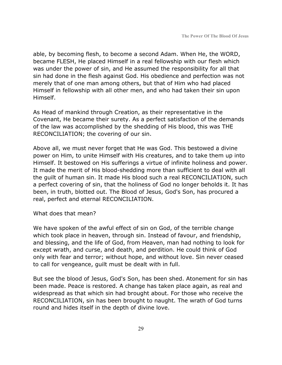able, by becoming flesh, to become a second Adam. When He, the WORD, became FLESH, He placed Himself in a real fellowship with our flesh which was under the power of sin, and He assumed the responsibility for all that sin had done in the flesh against God. His obedience and perfection was not merely that of one man among others, but that of Him who had placed Himself in fellowship with all other men, and who had taken their sin upon Himself.

As Head of mankind through Creation, as their representative in the Covenant, He became their surety. As a perfect satisfaction of the demands of the law was accomplished by the shedding of His blood, this was THE RECONCILIATION; the covering of our sin.

Above all, we must never forget that He was God. This bestowed a divine power on Him, to unite Himself with His creatures, and to take them up into Himself. It bestowed on His sufferings a virtue of infinite holiness and power. It made the merit of His blood-shedding more than sufficient to deal with all the guilt of human sin. It made His blood such a real RECONCILIATION, such a perfect covering of sin, that the holiness of God no longer beholds it. It has been, in truth, blotted out. The Blood of Jesus, God's Son, has procured a real, perfect and eternal RECONCILIATION.

What does that mean?

We have spoken of the awful effect of sin on God, of the terrible change which took place in heaven, through sin. Instead of favour, and friendship, and blessing, and the life of God, from Heaven, man had nothing to look for except wrath, and curse, and death, and perdition. He could think of God only with fear and terror; without hope, and without love. Sin never ceased to call for vengeance, guilt must be dealt with in full.

But see the blood of Jesus, God's Son, has been shed. Atonement for sin has been made. Peace is restored. A change has taken place again, as real and widespread as that which sin had brought about. For those who receive the RECONCILIATION, sin has been brought to naught. The wrath of God turns round and hides itself in the depth of divine love.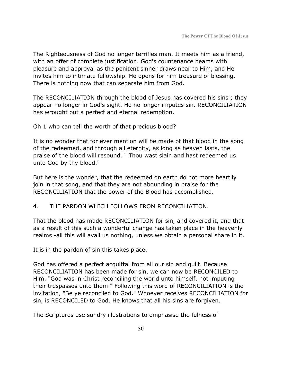The Righteousness of God no longer terrifies man. It meets him as a friend, with an offer of complete justification. God's countenance beams with pleasure and approval as the penitent sinner draws near to Him, and He invites him to intimate fellowship. He opens for him treasure of blessing. There is nothing now that can separate him from God.

The RECONCILIATION through the blood of Jesus has covered his sins ; they appear no longer in God's sight. He no longer imputes sin. RECONCILIATION has wrought out a perfect and eternal redemption.

Oh 1 who can tell the worth of that precious blood?

It is no wonder that for ever mention will be made of that blood in the song of the redeemed, and through all eternity, as long as heaven lasts, the praise of the blood will resound. " Thou wast slain and hast redeemed us unto God by thy blood."

But here is the wonder, that the redeemed on earth do not more heartily join in that song, and that they are not abounding in praise for the RECONCILIATION that the power of the Blood has accomplished.

## 4. THE PARDON WHICH FOLLOWS FROM RECONCILIATION.

That the blood has made RECONCILIATION for sin, and covered it, and that as a result of this such a wonderful change has taken place in the heavenly realms -all this will avail us nothing, unless we obtain a personal share in it.

It is in the pardon of sin this takes place.

God has offered a perfect acquittal from all our sin and guilt. Because RECONCILIATION has been made for sin, we can now be RECONCILED to Him. "God was in Christ reconciling the world unto himself, not imputing their trespasses unto them." Following this word of RECONCILIATION is the invitation, "Be ye reconciled to God." Whoever receives RECONCILIATION for sin, is RECONCILED to God. He knows that all his sins are forgiven.

The Scriptures use sundry illustrations to emphasise the fulness of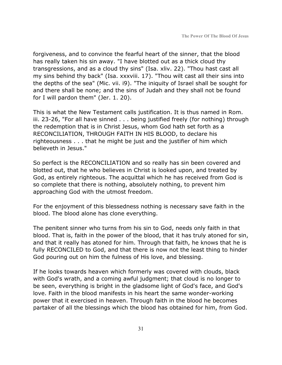forgiveness, and to convince the fearful heart of the sinner, that the blood has really taken his sin away. "I have blotted out as a thick cloud thy transgressions, and as a cloud thy sins" (Isa. xliv. 22). "Thou hast cast all my sins behind thy back" (Isa. xxxviii. 17). "Thou wilt cast all their sins into the depths of the sea" (Mic. vii. i9). "The iniquity of Israel shall be sought for and there shall be none; and the sins of Judah and they shall not be found for I will pardon them" (Jer. 1. 20).

This is what the New Testament calls justification. It is thus named in Rom. iii. 23-26, "For all have sinned . . . being justified freely (for nothing) through the redemption that is in Christ Jesus, whom God hath set forth as a RECONCILIATION, THROUGH FAITH IN HIS BLOOD, to declare his righteousness . . . that he might be just and the justifier of him which believeth in Jesus."

So perfect is the RECONCILIATION and so really has sin been covered and blotted out, that he who believes in Christ is looked upon, and treated by God, as entirely righteous. The acquittal which he has received from God is so complete that there is nothing, absolutely nothing, to prevent him approaching God with the utmost freedom.

For the enjoyment of this blessedness nothing is necessary save faith in the blood. The blood alone has clone everything.

The penitent sinner who turns from his sin to God, needs only faith in that blood. That is, faith in the power of the blood, that it has truly atoned for sin, and that it really has atoned for him. Through that faith, he knows that he is fully RECONCILED to God, and that there is now not the least thing to hinder God pouring out on him the fulness of His love, and blessing.

If he looks towards heaven which formerly was covered with clouds, black with God's wrath, and a coming awful judgment; that cloud is no longer to be seen, everything is bright in the gladsome light of God's face, and God's love. Faith in the blood manifests in his heart the same wonder-working power that it exercised in heaven. Through faith in the blood he becomes partaker of all the blessings which the blood has obtained for him, from God.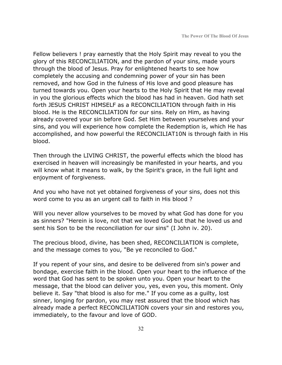Fellow believers ! pray earnestly that the Holy Spirit may reveal to you the glory of this RECONCILIATION, and the pardon of your sins, made yours through the blood of Jesus. Pray for enlightened hearts to see how completely the accusing and condemning power of your sin has been removed, and how God in the fulness of His love and good pleasure has turned towards you. Open your hearts to the Holy Spirit that He may reveal in you the glorious effects which the blood has had in heaven. God hath set forth JESUS CHRIST HIMSELF as a RECONCILIATION through faith in His blood. He is the RECONCILIATION for our sins. Rely on Him, as having already covered your sin before God. Set Him between yourselves and your sins, and you will experience how complete the Redemption is, which He has accomplished, and how powerful the RECONCILIAT10N is through faith in His blood.

Then through the LIVING CHRIST, the powerful effects which the blood has exercised in heaven will increasingly be manifested in your hearts, and you will know what it means to walk, by the Spirit's grace, in the full light and enioyment of forgiveness.

And you who have not yet obtained forgiveness of your sins, does not this word come to you as an urgent call to faith in His blood ?

Will you never allow yourselves to be moved by what God has done for you as sinners? "Herein is love, not that we loved God but that he loved us and sent his Son to be the reconciliation for our sins" (I John iv. 20).

The precious blood, divine, has been shed, RECONCILIATION is complete, and the message comes to you, "Be ye reconciled to God."

If you repent of your sins, and desire to be delivered from sin's power and bondage, exercise faith in the blood. Open your heart to the influence of the word that God has sent to be spoken unto you. Open your heart to the message, that the blood can deliver you, yes, even you, this moment. Only believe it. Say "that blood is also for me." If you come as a guilty, lost sinner, longing for pardon, you may rest assured that the blood which has already made a perfect RECONCILIATION covers your sin and restores you, immediately, to the favour and love of GOD.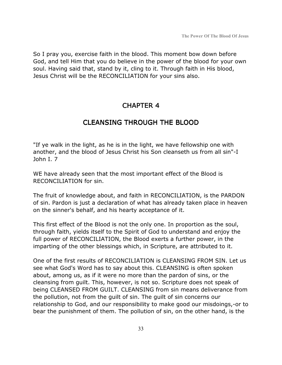So I pray you, exercise faith in the blood. This moment bow down before God, and tell Him that you do believe in the power of the blood for your own soul. Having said that, stand by it, cling to it. Through faith in His blood, Jesus Christ will be the RECONCILIATION for your sins also.

## CHAPTER 4

# CLEANSING THROUGH THE BLOOD

"If ye walk in the light, as he is in the light, we have fellowship one with another, and the blood of Jesus Christ his Son cleanseth us from all sin"-I John I. 7

WE have already seen that the most important effect of the Blood is RECONCILIATION for sin.

The fruit of knowledge about, and faith in RECONCILIATION, is the PARDON of sin. Pardon is just a declaration of what has already taken place in heaven on the sinner's behalf, and his hearty acceptance of it.

This first effect of the Blood is not the only one. In proportion as the soul, through faith, yields itself to the Spirit of God to understand and enjoy the full power of RECONCILIATION, the Blood exerts a further power, in the imparting of the other blessings which, in Scripture, are attributed to it.

One of the first results of RECONCILIATION is CLEANSING FROM SIN. Let us see what God's Word has to say about this. CLEANSING is often spoken about, among us, as if it were no more than the pardon of sins, or the cleansing from guilt. This, however, is not so. Scripture does not speak of being CLEANSED FROM GUILT. CLEANSING from sin means deliverance from the pollution, not from the guilt of sin. The guilt of sin concerns our relationship to God, and our responsibility to make good our misdoings,-or to bear the punishment of them. The pollution of sin, on the other hand, is the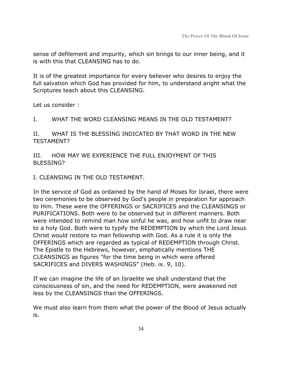sense of defilement and impurity, which sin brings to our inner being, and it is with this that CLEANSING has to do.

It is of the greatest importance for every believer who desires to enjoy the full salvation which God has provided for him, to understand aright what the Scriptures teach about this CLEANSING.

Let us consider :

I. WHAT THE WORD CLEANSING MEANS IN THE OLD TESTAMENT?

II. WHAT IS THE BLESSING INDICATED BY THAT WORD IN THE NEW TESTAMENT?

### III. HOW MAY WE EXPERIENCE THE FULL ENJOYMENT OF THIS BLESSING?

I. CLEANSING IN THE OLD TESTAMENT.

In the service of God as ordained by the hand of Moses for Israel, there were two ceremonies to be observed by God's people in preparation for approach to Him. These were the OFFERINGS or SACRIFICES and the CLEANSINGS or PURIFICATIONS. Both were to be observed but in different manners. Both were intended to remind man how sinful he was, and how unfit to draw near to a holy God. Both were to typify the REDEMPTION by which the Lord Jesus Christ would restore to man fellowship with God. As a rule it is only the OFFERINGS which are regarded as typical of REDEMPTION through Christ. The Epistle to the Hebrews, however, emphatically mentions THE CLEANSINGS as figures "for the time being in which were offered SACRIFICES and DIVERS WASHINGS" (Heb. ix. 9, 10).

If we can imagine the life of an Israelite we shall understand that the consciousness of sin, and the need for REDEMPTION, were awakened not less by the CLEANSINGS than the OFFERINGS.

We must also learn from them what the power of the Blood of Jesus actually is.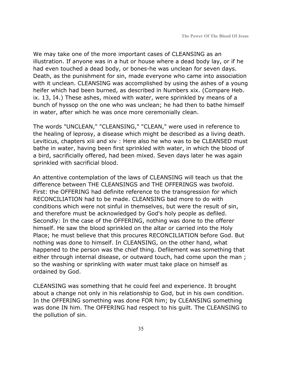We may take one of the more important cases of CLEANSING as an illustration. If anyone was in a hut or house where a dead body lay, or if he had even touched a dead body, or bones-he was unclean for seven days. Death, as the punishment for sin, made everyone who came into association with it unclean. CLEANSING was accomplished by using the ashes of a young heifer which had been burned, as described in Numbers xix. (Compare Heb. ix. 13, I4.) These ashes, mixed with water, were sprinkled by means of a bunch of hyssop on the one who was unclean; he had then to bathe himself in water, after which he was once more ceremonially clean.

The words "UNCLEAN," "CLEANSING," "CLEAN," were used in reference to the healing of leprosy, a disease which might be described as a living death. Leviticus, chapters xiii and xiv : Here also he who was to be CLEANSED must bathe in water, having been first sprinkled with water, in which the blood of a bird, sacrificially offered, had been mixed. Seven days later he was again sprinkled with sacrificial blood.

An attentive contemplation of the laws of CLEANSING will teach us that the difference between THE CLEANSINGS and THE OFFERINGS was twofold. First: the OFFERING had definite reference to the transgression for which RECONCILIATION had to be made. CLEANSING bad more to do with conditions which were not sinful in themselves, but were the result of sin, and therefore must be acknowledged by God's holy people as defiled. Secondly: In the case of the OFFERING, nothing was done to the offerer himself. He saw the blood sprinkled on the altar or carried into the Holy Place; he must believe that this procures RECONCILIATION before God. But nothing was done to himself. In CLEANSING, on the other hand, what happened to the person was the chief thing. Defilement was something that either through internal disease, or outward touch, had come upon the man ; so the washing or sprinkling with water must take place on himself as ordained by God.

CLEANSING was something that he could feel and experience. It brought about a change not only in his relationship to God, but in his own condition. In the OFFERING something was done FOR him; by CLEANSING something was done IN him. The OFFERING had respect to his guilt. The CLEANSING to the pollution of sin.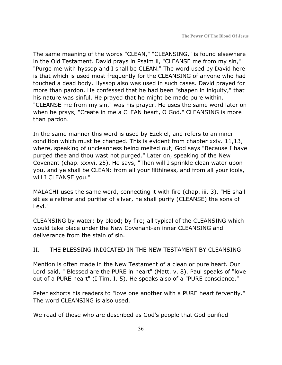The same meaning of the words "CLEAN," "CLEANSING," is found elsewhere in the Old Testament. David prays in Psalm li, "CLEANSE me from my sin," "Purge me with hyssop and I shall be CLEAN." The word used by David here is that which is used most frequently for the CLEANSING of anyone who had touched a dead body. Hyssop also was used in such cases. David prayed for more than pardon. He confessed that he had been "shapen in iniquity," that his nature was sinful. He prayed that he might be made pure within. "CLEANSE me from my sin," was his prayer. He uses the same word later on when he prays, "Create in me a CLEAN heart, O God." CLEANSING is more than pardon.

In the same manner this word is used by Ezekiel, and refers to an inner condition which must be changed. This is evident from chapter xxiv. 11,13, where, speaking of uncleanness being melted out, God says "Because I have purged thee and thou wast not purged." Later on, speaking of the New Covenant (chap. xxxvi. z5), He says, "Then will I sprinkle clean water upon you, and ye shall be CLEAN: from all your filthiness, and from all your idols, will I CLEANSE you."

MALACHI uses the same word, connecting it with fire (chap. iii. 3), "HE shall sit as a refiner and purifier of silver, he shall purify (CLEANSE) the sons of Levi."

CLEANSING by water; by blood; by fire; all typical of the CLEANSING which would take place under the New Covenant-an inner CLEANSING and deliverance from the stain of sin.

### II. THE BLESSING INDICATED IN THE NEW TESTAMENT BY CLEANSING.

Mention is often made in the New Testament of a clean or pure heart. Our Lord said, " Blessed are the PURE in heart" (Matt. v. 8). Paul speaks of "love out of a PURE heart" (I Tim. I. 5). He speaks also of a "PURE conscience."

Peter exhorts his readers to "love one another with a PURE heart fervently." The word CLEANSING is also used.

We read of those who are described as God's people that God purified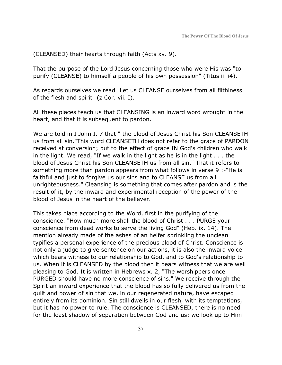(CLEANSED) their hearts through faith (Acts xv. 9).

That the purpose of the Lord Jesus concerning those who were His was "to purify (CLEANSE) to himself a people of his own possession" (Titus ii. i4).

As regards ourselves we read "Let us CLEANSE ourselves from all filthiness of the flesh and spirit" (z Cor. vii. I).

All these places teach us that CLEANSING is an inward word wrought in the heart, and that it is subsequent to pardon.

We are told in I John I. 7 that " the blood of Jesus Christ his Son CLEANSETH us from all sin."This word CLEANSETH does not refer to the grace of PARDON received at conversion; but to the effect of grace IN God's children who walk in the light. We read, "If we walk in the light as he is in the light . . . the blood of Jesus Christ his Son CLEANSETH us from all sin." That it refers to something more than pardon appears from what follows in verse 9 :-"He is faithful and just to forgive us our sins and to CLEANSE us from all unrighteousness." Cleansing is something that comes after pardon and is the result of it, by the inward and experimental reception of the power of the blood of Jesus in the heart of the believer.

This takes place according to the Word, first in the purifying of the conscience. "How much more shall the blood of Christ . . . PURGE your conscience from dead works to serve the living God" (Heb. ix. 14). The mention already made of the ashes of an heifer sprinkling the unclean typifies a personal experience of the precious blood of Christ. Conscience is not only a judge to give sentence on our actions, it is also the inward voice which bears witness to our relationship to God, and to God's relationship to us. When it is CLEANSED by the blood then it bears witness that we are well pleasing to God. It is written in Hebrews x. 2, "The worshippers once PURGED should have no more conscience of sins." We receive through the Spirit an inward experience that the blood has so fully delivered us from the guilt and power of sin that we, in our regenerated nature, have escaped entirely from its dominion. Sin still dwells in our flesh, with its temptations, but it has no power to rule. The conscience is CLEANSED, there is no need for the least shadow of separation between God and us; we look up to Him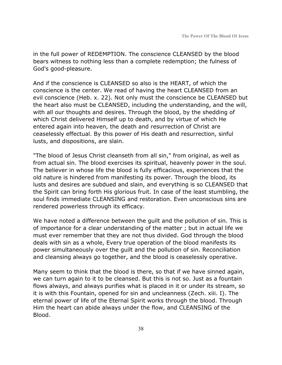in the full power of REDEMPTION. The conscience CLEANSED by the blood bears witness to nothing less than a complete redemption; the fulness of God's good-pleasure.

And if the conscience is CLEANSED so also is the HEART, of which the conscience is the center. We read of having the heart CLEANSED from an evil conscience (Heb. x. 22). Not only must the conscience be CLEANSED but the heart also must be CLEANSED, including the understanding, and the will, with all our thoughts and desires. Through the blood, by the shedding of which Christ delivered Himself up to death, and by virtue of which He entered again into heaven, the death and resurrection of Christ are ceaselessly effectual. By this power of His death and resurrection, sinful lusts, and dispositions, are slain.

"The blood of Jesus Christ cleanseth from all sin," from original, as well as from actual sin. The blood exercises its spiritual, heavenly power in the soul. The believer in whose life the blood is fully efficacious, experiences that the old nature is hindered from manifesting its power. Through the blood, its lusts and desires are subdued and slain, and everything is so CLEANSED that the Spirit can bring forth His glorious fruit. In case of the least stumbling, the soul finds immediate CLEANSING and restoration. Even unconscious sins are rendered powerless through its efficacy.

We have noted a difference between the guilt and the pollution of sin. This is of importance for a clear understanding of the matter ; but in actual life we must ever remember that they are not thus divided. God through the blood deals with sin as a whole, Every true operation of the blood manifests its power simultaneously over the guilt and the pollution of sin. Reconciliation and cleansing always go together, and the blood is ceaselessly operative.

Many seem to think that the blood is there, so that if we have sinned again, we can turn again to it to be cleansed. But this is not so. Just as a fountain flows always, and always purifies what is placed in it or under its stream, so it is with this Fountain, opened for sin and uncleanness (Zech. xiii. I). The eternal power of life of the Eternal Spirit works through the blood. Through Him the heart can abide always under the flow, and CLEANSING of the Blood.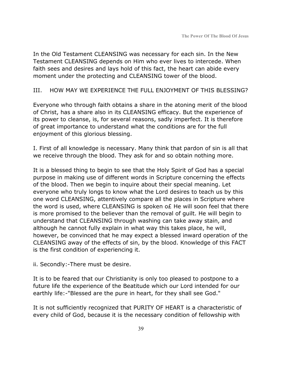In the Old Testament CLEANSING was necessary for each sin. In the New Testament CLEANSING depends on Him who ever lives to intercede. When faith sees and desires and lays hold of this fact, the heart can abide every moment under the protecting and CLEANSING tower of the blood.

III. HOW MAY WE EXPERIENCE THE FULL ENJOYMENT OF THIS BLESSING?

Everyone who through faith obtains a share in the atoning merit of the blood of Christ, has a share also in its CLEANSING efficacy. But the experience of its power to cleanse, is, for several reasons, sadly imperfect. It is therefore of great importance to understand what the conditions are for the full enjoyment of this glorious blessing.

I. First of all knowledge is necessary. Many think that pardon of sin is all that we receive through the blood. They ask for and so obtain nothing more.

It is a blessed thing to begin to see that the Holy Spirit of God has a special purpose in making use of different words in Scripture concerning the effects of the blood. Then we begin to inquire about their special meaning. Let everyone who truly longs to know what the Lord desires to teach us by this one word CLEANSING, attentively compare all the places in Scripture where the word is used, where CLEANSING is spoken o£ He will soon feel that there is more promised to the believer than the removal of guilt. He will begin to understand that CLEANSING through washing can take away stain, and although he cannot fully explain in what way this takes place, he will, however, be convinced that he may expect a blessed inward operation of the CLEANSING away of the effects of sin, by the blood. Knowledge of this FACT is the first condition of experiencing it.

ii. Secondly:-There must be desire.

It is to be feared that our Christianity is only too pleased to postpone to a future life the experience of the Beatitude which our Lord intended for our earthly life:-"Blessed are the pure in heart, for they shall see God."

It is not sufficiently recognized that PURITY OF HEART is a characteristic of every child of God, because it is the necessary condition of fellowship with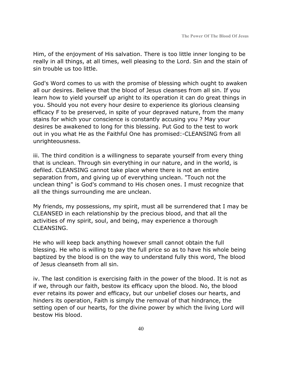Him, of the enjoyment of His salvation. There is too little inner longing to be really in all things, at all times, well pleasing to the Lord. Sin and the stain of sin trouble us too little.

God's Word comes to us with the promise of blessing which ought to awaken all our desires. Believe that the blood of Jesus cleanses from all sin. If you learn how to yield yourself up aright to its operation it can do great things in you. Should you not every hour desire to experience its glorious cleansing efficacy F to be preserved, in spite of your depraved nature, from the many stains for which your conscience is constantly accusing you ? May your desires be awakened to long for this blessing. Put God to the test to work out in you what He as the Faithful One has promised:-CLEANSING from all unrighteousness.

iii. The third condition is a willingness to separate yourself from every thing that is unclean. Through sin everything in our nature, and in the world, is defiled. CLEANSING cannot take place where there is not an entire separation from, and giving up of everything unclean. "Touch not the unclean thing" is God's command to His chosen ones. I must recognize that all the things surrounding me are unclean.

My friends, my possessions, my spirit, must all be surrendered that I may be CLEANSED in each relationship by the precious blood, and that all the activities of my spirit, soul, and being, may experience a thorough CLEANSING.

He who will keep back anything however small cannot obtain the full blessing. He who is willing to pay the full price so as to have his whole being baptized by the blood is on the way to understand fully this word, The blood of Jesus cleanseth from all sin.

iv. The last condition is exercising faith in the power of the blood. It is not as if we, through our faith, bestow its efficacy upon the blood. No, the blood ever retains its power and efficacy, but our unbelief closes our hearts, and hinders its operation, Faith is simply the removal of that hindrance, the setting open of our hearts, for the divine power by which the living Lord will bestow His blood.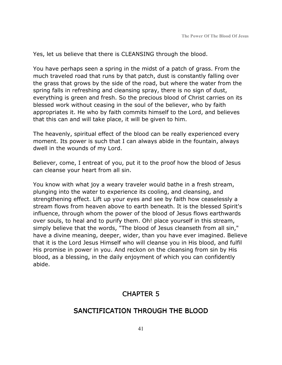Yes, let us believe that there is CLEANSING through the blood.

You have perhaps seen a spring in the midst of a patch of grass. From the much traveled road that runs by that patch, dust is constantly falling over the grass that grows by the side of the road, but where the water from the spring falls in refreshing and cleansing spray, there is no sign of dust, everything is green and fresh. So the precious blood of Christ carries on its blessed work without ceasing in the soul of the believer, who by faith appropriates it. He who by faith commits himself to the Lord, and believes that this can and will take place, it will be given to him.

The heavenly, spiritual effect of the blood can be really experienced every moment. Its power is such that I can always abide in the fountain, always dwell in the wounds of my Lord.

Believer, come, I entreat of you, put it to the proof how the blood of Jesus can cleanse your heart from all sin.

You know with what joy a weary traveler would bathe in a fresh stream, plunging into the water to experience its cooling, and cleansing, and strengthening effect. Lift up your eyes and see by faith how ceaselessly a stream flows from heaven above to earth beneath. It is the blessed Spirit's influence, through whom the power of the blood of Jesus flows earthwards over souls, to heal and to purify them. Oh! place yourself in this stream, simply believe that the words, "The blood of Jesus cleanseth from all sin," have a divine meaning, deeper, wider, than you have ever imagined. Believe that it is the Lord Jesus Himself who will cleanse you in His blood, and fulfil His promise in power in you. And reckon on the cleansing from sin by His blood, as a blessing, in the daily enjoyment of which you can confidently abide.

# CHAPTER 5

## SANCTIFICATION THROUGH THE BLOOD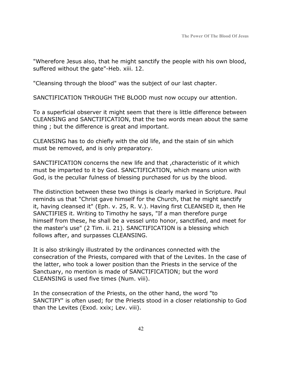"Wherefore Jesus also, that he might sanctify the people with his own blood, suffered without the gate"-Heb. xiii. 12.

"Cleansing through the blood" was the subject of our last chapter.

SANCTIFICATION THROUGH THE BLOOD must now occupy our attention.

To a superficial observer it might seem that there is little difference between CLEANSING and SANCTIFICATION, that the two words mean about the same thing ; but the difference is great and important.

CLEANSING has to do chiefly with the old life, and the stain of sin which must be removed, and is only preparatory.

SANCTIFICATION concerns the new life and that ,characteristic of it which must be imparted to it by God. SANCTIFICATION, which means union with God, is the peculiar fulness of blessing purchased for us by the blood.

The distinction between these two things is clearly marked in Scripture. Paul reminds us that "Christ gave himself for the Church, that he might sanctify it, having cleansed it" (Eph. v. 25, R. V.). Having first CLEANSED it, then He SANCTIFIES it. Writing to Timothy he says, "If a man therefore purge himself from these, he shall be a vessel unto honor, sanctified, and meet for the master's use" (2 Tim. ii. 21). SANCTIFICATION is a blessing which follows after, and surpasses CLEANSING.

It is also strikingly illustrated by the ordinances connected with the consecration of the Priests, compared with that of the Levites. In the case of the latter, who took a lower position than the Priests in the service of the Sanctuary, no mention is made of SANCTIFICATION; but the word CLEANSING is used five times (Num. viii).

In the consecration of the Priests, on the other hand, the word "to SANCTIFY" is often used; for the Priests stood in a closer relationship to God than the Levites (Exod. xxix; Lev. viii).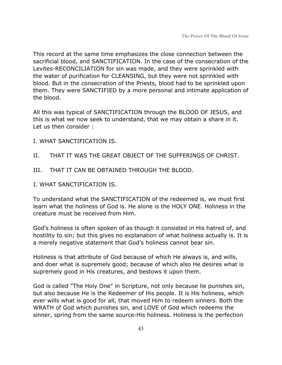This record at the same time emphasizes the close connection between the sacrificial blood, and SANCTIFICATION. In the case of the consecration of the Levites-RECONCILIATION for sin was made, and they were sprinkled with the water of purification for CLEANSING, but they were not sprinkled with blood. But in the consecration of the Priests, blood had to be sprinkled upon them. They were SANCTIFIED by a more personal and intimate application of the blood.

All this was typical of SANCTIFICATION through the BLOOD OF JESUS, and this is what we now seek to understand, that we may obtain a share in it. Let us then consider :

- I. WHAT SANCTIFICATION IS.
- II. THAT IT WAS THE GREAT OBJECT OF THE SUFFERINGS OF CHRIST.
- III. THAT IT CAN BE OBTAINED THROUGH THE BLOOD.
- I. WHAT SANCTIFICATION IS.

To understand what the SANCTIFICATION of the redeemed is, we must first learn what the holiness of God is. He alone is the HOLY ONE. Holiness in the creature must be received from Him.

God's holiness is often spoken of as though it consisted in His hatred of, and hostility to sin; but this gives no explanation of what holiness actually is. It is a merely negative statement that God's holiness cannot bear sin.

Holiness is that attribute of God because of which He always is, and wills, and doer what is supremely good; because of which also He desires what is supremely good in His creatures, and bestows it upon them.

God is called "The Holy One" in Scripture, not only because lie punishes sin, but also because He is the Redeemer of His people. It is His holiness, which ever wills what is good for all, that moved Him to redeem sinners. Both the WRATH of God which punishes sin, and LOVE of God which redeems the sinner, spring from the same source-His holiness. Holiness is the perfection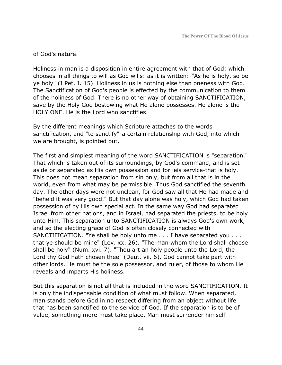#### of God's nature.

Holiness in man is a disposition in entire agreement with that of God; which chooses in all things to will as God wills: as it is written:-"As he is holy, so be ye holy" (I Pet. I. 15). Holiness in us is nothing else than oneness with God. The Sanctification of God's people is effected by the communication to them of the holiness of God. There is no other way of obtaining SANCTIFICATION, save by the Holy God bestowing what He alone possesses. He alone is the HOLY ONE. He is the Lord who sanctifies.

By the different meanings which Scripture attaches to the words sanctification, and "to sanctify"-a certain relationship with God, into which we are brought, is pointed out.

The first and simplest meaning of the word SANCTIFICATION is "separation." That which is taken out of its surroundings, by God's command, and is set aside or separated as His own possession and for leis service-that is holy. This does not mean separation from sin only, but from ail that is in the world, even from what may be permissible. Thus God sanctified the seventh day. The other days were not unclean, for God saw all that He had made and "beheld it was very good." But that day alone was holy, which God had taken possession of by His own special act. In the same way God had separated Israel from other nations, and in Israel, had separated the priests, to be holy unto Him. This separation unto SANCTIFICATION is always God's own work, and so the electing grace of God is often closely connected with SANCTIFICATION. "Ye shall be holy unto me . . . I have separated you . . . that ye should be mine" (Lev. xx. 26). "The man whom the Lord shall choose shall be holy" (Num. xvi. 7). "Thou art an holy people unto the Lord, the Lord thy God hath chosen thee" (Deut. vii. 6). God cannot take part with other lords. He must be the sole possessor, and ruler, of those to whom He reveals and imparts His holiness.

But this separation is not all that is included in the word SANCTIFICATION. It is only the indispensable condition of what must follow. When separated, man stands before God in no respect differing from an object without life that has been sanctified to the service of God. If the separation is to be of value, something more must take place. Man must surrender himself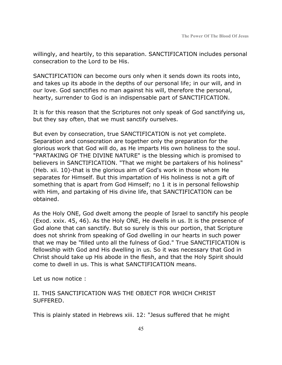willingly, and heartily, to this separation. SANCTIFICATION includes personal consecration to the Lord to be His.

SANCTIFICATION can become ours only when it sends down its roots into, and takes up its abode in the depths of our personal life; in our will, and in our love. God sanctifies no man against his will, therefore the personal, hearty, surrender to God is an indispensable part of SANCTIFICATION.

It is for this reason that the Scriptures not only speak of God sanctifying us, but they say often, that we must sanctify ourselves.

But even by consecration, true SANCTIFICATION is not yet complete. Separation and consecration are together only the preparation for the glorious work that God will do, as He imparts His own holiness to the soul. "PARTAKING OF THE DIVINE NATURE" is the blessing which is promised to believers in SANCTIFICATION. "That we might be partakers of his holiness" (Heb. xii. 10)-that is the glorious aim of God's work in those whom He separates for Himself. But this impartation of His holiness is not a gift of something that is apart from God Himself; no 1 it is in personal fellowship with Him, and partaking of His divine life, that SANCTIFICATION can be obtained.

As the Holy ONE, God dwelt among the people of Israel to sanctify his people (Exod. xxix. 45, 46). As the Holy ONE, He dwells in us. It is the presence of God alone that can sanctify. But so surely is this our portion, that Scripture does not shrink from speaking of God dwelling in our hearts in such power that we may be "filled unto all the fulness of God." True SANCTIFICATION is fellowship with God and His dwelling in us. So it was necessary that God in Christ should take up His abode in the flesh, and that the Holy Spirit should come to dwell in us. This is what SANCTIFICATION means.

Let us now notice :

II. THIS SANCTIFICATION WAS THE OBJECT FOR WHICH CHRIST SUFFERED.

This is plainly stated in Hebrews xiii. 12: "Jesus suffered that he might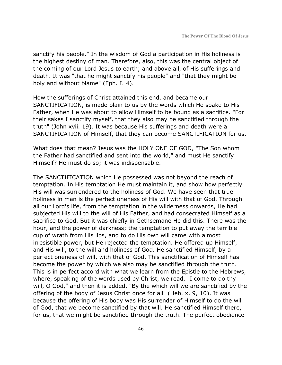sanctify his people." In the wisdom of God a participation in His holiness is the highest destiny of man. Therefore, also, this was the central object of the coming of our Lord Jesus to earth; and above all, of His sufferings and death. It was "that he might sanctify his people" and "that they might be holy and without blame" (Eph. I. 4).

How the sufferings of Christ attained this end, and became our SANCTIFICATION, is made plain to us by the words which He spake to His Father, when He was about to allow Himself to be bound as a sacrifice. "For their sakes I sanctify myself, that they also may be sanctified through the truth" (John xvii. 19). It was because His sufferings and death were a SANCTIFICATION of Himself, that they can become SANCTIFICATION for us.

What does that mean? Jesus was the HOLY ONE OF GOD, "The Son whom the Father had sanctified and sent into the world," and must He sanctify Himself? He must do so; it was indispensable.

The SANCTIFICATION which He possessed was not beyond the reach of temptation. In His temptation He must maintain it, and show how perfectly His will was surrendered to the holiness of God. We have seen that true holiness in man is the perfect oneness of His will with that of God. Through all our Lord's life, from the temptation in the wilderness onwards, He had subjected His will to the will of His Father, and had consecrated Himself as a sacrifice to God. But it was chiefly in Gethsemane He did this. There was the hour, and the power of darkness; the temptation to put away the terrible cup of wrath from His lips, and to do His own will came with almost irresistible power, but He rejected the temptation. He offered up Himself, and His will, to the will and holiness of God. He sanctified Himself, by a perfect oneness of will, with that of God. This sanctification of Himself has become the power by which we also may be sanctified through the truth. This is in perfect accord with what we learn from the Epistle to the Hebrews, where, speaking of the words used by Christ, we read, "I come to do thy will, O God," and then it is added, "By the which will we are sanctified by the offering of the body of Jesus Christ once for all" (Heb. x. 9, 10). It was because the offering of His body was His surrender of Himself to do the will of God, that we become sanctified by that will. He sanctified Himself there, for us, that we might be sanctified through the truth. The perfect obedience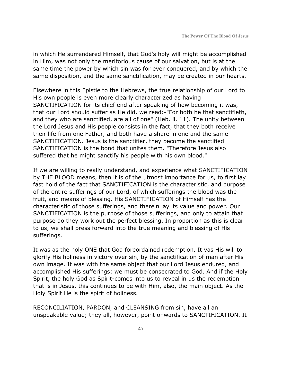in which He surrendered Himself, that God's holy will might be accomplished in Him, was not only the meritorious cause of our salvation, but is at the same time the power by which sin was for ever conquered, and by which the same disposition, and the same sanctification, may be created in our hearts.

Elsewhere in this Epistle to the Hebrews, the true relationship of our Lord to His own people is even more clearly characterized as having SANCTIFICATION for its chief end after speaking of how becoming it was, that our Lord should suffer as He did, we read:-"For both he that sanctifieth, and they who are sanctified, are all of one" (Heb. ii. 11). The unity between the Lord Jesus and His people consists in the fact, that they both receive their life from one Father, and both have a share in one and the same SANCTIFICATION. Jesus is the sanctifier, they become the sanctified. SANCTIFICATION is the bond that unites them. "Therefore Jesus also suffered that he might sanctify his people with his own blood."

If we are willing to really understand, and experience what SANCTIFICATION by THE BLOOD means, then it is of the utmost importance for us, to first lay fast hold of the fact that SANCTIFICATION is the characteristic, and purpose of the entire sufferings of our Lord, of which sufferings the blood was the fruit, and means of blessing. His SANCTIFICATION of Himself has the characteristic of those sufferings, and therein lay its value and power. Our SANCTIFICATION is the purpose of those sufferings, and only to attain that purpose do they work out the perfect blessing. In proportion as this is clear to us, we shall press forward into the true meaning and blessing of His sufferings.

It was as the holy ONE that God foreordained redemption. It vas His will to glorify His holiness in victory over sin, by the sanctification of man after His own image. It was with the same object that our Lord Jesus endured, and accomplished His sufferings; we must be consecrated to God. And if the Holy Spirit, the holy God as Spirit-comes into us to reveal in us the redemption that is in Jesus, this continues to be with Him, also, the main object. As the Holy Spirit He is the spirit of holiness.

RECONCILIATION, PARDON, and CLEANSING from sin, have all an unspeakable value; they all, however, point onwards to SANCTIFICATION. It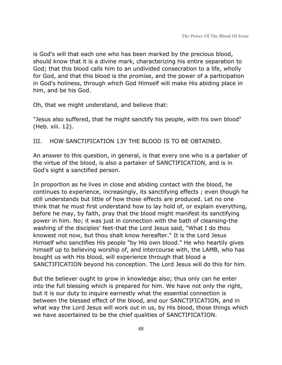is God's will that each one who has been marked by the precious blood, should know that it is a divine mark, characterizing his entire separation to God; that this blood calls him to an undivided consecration to a life, wholly for God, and that this blood is the promise, and the power of a participation in God's holiness, through which God Himself will make His abiding place in him, and be his God.

Oh, that we might understand, and believe that:

"Jesus also suffered, that he might sanctify his people, with his own blood" (Heb. xiii. 12).

III. HOW SANCTIFICATION 13Y THE BLOOD IS TO BE OBTAINED.

An answer to this question, in general, is that every one who is a partaker of the virtue of the blood, is also a partaker of SANCTIFICATION, and is in God's sight a sanctified person.

In proportion as he lives in close and abiding contact with the blood, he continues to experience, increasingly, its sanctifying effects ; even though he still understands but little of how those effects are produced. Let no one think that he must first understand how to lay hold of, or explain everything, before he may, by faith, pray that the blood might manifest its sanctifying power in him. No; it was just in connection with the bath of cleansing-the washing of the disciples' feet-that the Lord Jesus said, "What I do thou knowest not now, but thou shalt know hereafter." It is the Lord Jesus Himself who sanctifies His people "by His own blood." He who heartily gives himself up to believing worship of, and intercourse with, the LAMB, who has bought us with His blood, will experience through that blood a SANCTIFICATION beyond his conception. The Lord Jesus will do this for him.

But the believer ought to grow in knowledge also; thus only can he enter into the full blessing which is prepared for him. We have not only the right, but it is our duty to inquire earnestly what the essential connection is between the blessed effect of the blood, and our SANCTIFICATION, and in what way the Lord Jesus will work out in us, by His blood, those things which we have ascertained to be the chief qualities of SANCTIFICATION.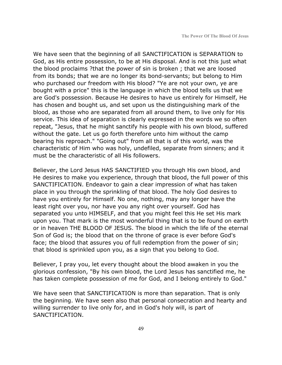We have seen that the beginning of all SANCTIFICATION is SEPARATION to God, as His entire possession, to be at His disposal. And is not this just what the blood proclaims ?that the power of sin is broken ; that we are loosed from its bonds; that we are no longer its bond-servants; but belong to Him who purchased our freedom with His blood? "Ye are not your own, ye are bought with a price" this is the language in which the blood tells us that we are God's possession. Because He desires to have us entirely for Himself, He has chosen and bought us, and set upon us the distinguishing mark of the blood, as those who are separated from all around them, to live only for His service. This idea of separation is clearly expressed in the words we so often repeat, "Jesus, that he might sanctify his people with his own blood, suffered without the gate. Let us go forth therefore unto him without the camp bearing his reproach." "Going out" from all that is of this world, was the characteristic of Him who was holy, undefiled, separate from sinners; and it must be the characteristic of all His followers.

Believer, the Lord Jesus HAS SANCTIFIED you through His own blood, and He desires to make you experience, through that blood, the full power of this SANCTIFICATION. Endeavor to gain a clear impression of what has taken place in you through the sprinkling of that blood. The holy God desires to have you entirely for Himself. No one, nothing, may any longer have the least right over you, nor have you any right over yourself. God has separated you unto HIMSELF, and that you might feel this He set His mark upon you. That mark is the most wonderful thing that is to be found on earth or in heaven THE BLOOD OF JESUS. The blood in which the life of the eternal Son of God is; the blood that on the throne of grace is ever before God's face; the blood that assures you of full redemption from the power of sin; that blood is sprinkled upon you, as a sign that you belong to God.

Believer, I pray you, let every thought about the blood awaken in you the glorious confession, "By his own blood, the Lord Jesus has sanctified me, he has taken complete possession of me for God, and I belong entirely to God."

We have seen that SANCTIFICATION is more than separation. That is only the beginning. We have seen also that personal consecration and hearty and willing surrender to live only for, and in God's holy will, is part of SANCTIFICATION.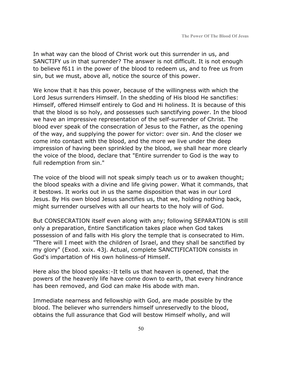In what way can the blood of Christ work out this surrender in us, and SANCTIFY us in that surrender? The answer is not difficult. It is not enough to believe f611 in the power of the blood to redeem us, and to free us from sin, but we must, above all, notice the source of this power.

We know that it has this power, because of the willingness with which the Lord Jesus surrenders Himself. In the shedding of His blood He sanctifies: Himself, offered Himself entirely to God and Hi holiness. It is because of this that the blood is so holy, and possesses such sanctifying power. In the blood we have an impressive representation of the self-surrender of Christ. The blood ever speak of the consecration of Jesus to the Father, as the opening of the way, and supplying the power for victor: over sin. And the closer we come into contact with the blood, and the more we live under the deep impression of having been sprinkled by the blood, we shall hear more clearly the voice of the blood, declare that "Entire surrender to God is the way to full redemption from sin."

The voice of the blood will not speak simply teach us or to awaken thought; the blood speaks with a divine and life giving power. What it commands, that it bestows. It works out in us the same disposition that was in our Lord Jesus. By His own blood Jesus sanctifies us, that we, holding nothing back, might surrender ourselves with all our hearts to the holy will of God.

But CONSECRATION itself even along with any; following SEPARATION is still only a preparation, Entire Sanctification takes place when God takes possession of and falls with His glory the temple that is consecrated to Him. "There will I meet with the children of Israel, and they shall be sanctified by my glory" (Exod. xxix. 43j. Actual, complete SANCTIFICATION consists in God's impartation of His own holiness-of Himself.

Here also the blood speaks:-It tells us that heaven is opened, that the powers of the heavenly life have come down to earth, that every hindrance has been removed, and God can make His abode with man.

Immediate nearness and fellowship with God, are made possible by the blood. The believer who surrenders himself unreservedly to the blood, obtains the full assurance that God will bestow Himself wholly, and will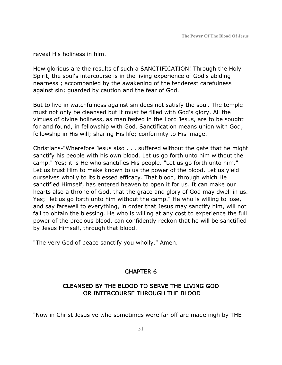reveal His holiness in him.

How glorious are the results of such a SANCTIFICATION! Through the Holy Spirit, the soul's intercourse is in the living experience of God's abiding nearness ; accompanied by the awakening of the tenderest carefulness against sin; guarded by caution and the fear of God.

But to live in watchfulness against sin does not satisfy the soul. The temple must not only be cleansed but it must be filled with God's glory. All the virtues of divine holiness, as manifested in the Lord Jesus, are to be sought for and found, in fellowship with God. Sanctification means union with God; fellowship in His will; sharing His life; conformity to His image.

Christians-"Wherefore Jesus also . . . suffered without the gate that he might sanctify his people with his own blood. Let us go forth unto him without the camp." Yes; it is He who sanctifies His people. "Let us go forth unto him." Let us trust Him to make known to us the power of the blood. Let us yield ourselves wholly to its blessed efficacy. That blood, through which He sanctified Himself, has entered heaven to open it for us. It can make our hearts also a throne of God, that the grace and glory of God may dwell in us. Yes; "let us go forth unto him without the camp." He who is willing to lose, and say farewell to everything, in order that Jesus may sanctify him, will not fail to obtain the blessing. He who is willing at any cost to experience the full power of the precious blood, can confidently reckon that he will be sanctified by Jesus Himself, through that blood.

"The very God of peace sanctify you wholly." Amen.

## CHAPTER 6

## CLEANSED BY THE BLOOD TO SERVE THE LIVING GOD OR INTERCOURSE THROUGH THE BLOOD

"Now in Christ Jesus ye who sometimes were far off are made nigh by THE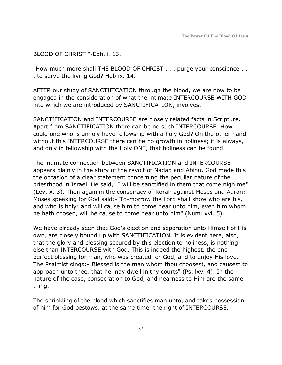### BLOOD OF CHRIST "-Eph.ii. 13.

"How much more shall THE BLOOD OF CHRIST . . . purge your conscience . . . to serve the living God? Heb.ix. 14.

AFTER our study of SANCTIFICATION through the blood, we are now to be engaged in the consideration of what the intimate INTERCOURSE WITH GOD into which we are introduced by SANCTIFICATION, involves.

SANCTIFICATION and INTERCOURSE are closely related facts in Scripture. Apart from SANCTIFICATION there can be no such INTERCOURSE. How could one who is unholy have fellowship with a holy God? On the other hand, without this INTERCOURSE there can be no growth in holiness; it is always, and only in fellowship with the Holy ONE, that holiness can be found.

The intimate connection between SANCTIFICATION and INTERCOURSE appears plainly in the story of the revolt of Nadab and Abihu. God made this the occasion of a clear statement concerning the peculiar nature of the priesthood in Israel. He said, "I will be sanctified in them that come nigh me" (Lev. x. 3). Then again in the conspiracy of Korah against Moses and Aaron; Moses speaking for God said:-"To-morrow the Lord shall show who are his, and who is holy: and will cause him to come near unto him, even him whom he hath chosen, will he cause to come near unto him" (Num. xvi. 5).

We have already seen that God's election and separation unto Himself of His own, are closely bound up with SANCTIFICATION. It is evident here, also, that the glory and blessing secured by this election to holiness, is nothing else than INTERCOURSE with God. This is indeed the highest, the one perfect blessing for man, who was created for God, and to enjoy His love. The Psalmist sings:-"Blessed is the man whom thou choosest, and causest to approach unto thee, that he may dwell in thy courts" (Ps. lxv. 4). In the nature of the case, consecration to God, and nearness to Him are the same thing.

The sprinkling of the blood which sanctifies man unto, and takes possession of him for God bestows, at the same time, the right of INTERCOURSE.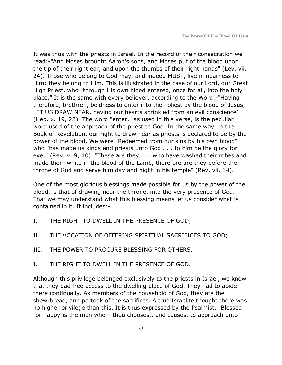It was thus with the priests in Israel. In the record of their consecration we read:-"And Moses brought Aaron's sons, and Moses put of the blood upon the tip of their right ear, and upon the thumbs of their right hands" (Lev. vii. 24). Those who belong to God may, and indeed MUST, live in nearness to Him; they belong to Him. This is illustrated in the case of our Lord, our Great High Priest, who "through His own blood entered, once for all, into the holy place." It is the same with every believer, according to the Word:-"Having therefore, brethren, boldness to enter into the holiest by the blood of Jesus, LET US DRAW NEAR, having our hearts sprinkled from an evil conscience" (Heb. x. 19, 22). The word "enter," as used in this verse, is the peculiar word used of the approach of the priest to God. In the same way, in the Book of Revelation, our right to draw near as priests is declared to be by the power of the blood. We were "Redeemed from our sins by his own blood" who "has made us kings and priests unto God . . . to him be the glory for ever" (Rev. v. 9, 10). "These are they . . . who have washed their robes and made them white in the blood of the Lamb, therefore are they before the throne of God and serve him day and night in his temple" (Rev. vii. 14).

One of the most glorious blessings made possible for us by the power of the blood, is that of drawing near the throne, into the very presence of God. That we may understand what this blessing means let us consider what is contained in it. It includes:-

- I. THE RIGHT TO DWELL IN THE PRESENCE OF GOD;
- II. THE VOCATION OF OFFERING SPIRITUAL SACRIFICES TO GOD;
- III. THE POWER TO PROCURE BLESSING FOR OTHERS.
- I. THE RIGHT TO DWELL IN THE PRESENCE OF GOD.

Although this privilege belonged exclusively to the priests in Israel, we know that they bad free access to the dwelling place of God. They had to abide there continually. As members of the household of God, they ate the shew-bread, and partook of the sacrifices. A true Israelite thought there was no higher privilege than this. It is thus expressed by the Psalmist, "Blessed -or happy-is the man whom thou choosest, and causest to approach unto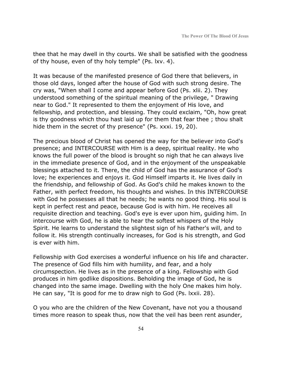thee that he may dwell in thy courts. We shall be satisfied with the goodness of thy house, even of thy holy temple" (Ps. lxv. 4).

It was because of the manifested presence of God there that believers, in those old days, longed after the house of God with such strong desire. The cry was, "When shall I come and appear before God (Ps. xlii. 2). They understood something of the spiritual meaning of the privilege, " Drawing near to God." It represented to them the enjoyment of His love, and fellowship, and protection, and blessing. They could exclaim, "Oh, how great is thy goodness which thou hast laid up for them that fear thee ; thou shalt hide them in the secret of thy presence" (Ps. xxxi. 19, 20).

The precious blood of Christ has opened the way for the believer into God's presence; and INTERCOURSE with Him is a deep, spiritual reality. He who knows the full power of the blood is brought so nigh that he can always live in the immediate presence of God, and in the enjoyment of the unspeakable blessings attached to it. There, the child of God has the assurance of God's love; he experiences and enjoys it. God Himself imparts it. He lives daily in the friendship, and fellowship of God. As God's child he makes known to the Father, with perfect freedom, his thoughts and wishes. In this INTERCOURSE with God he possesses all that he needs; he wants no good thing. His soul is kept in perfect rest and peace, because God is with him. He receives all requisite direction and teaching. God's eye is ever upon him, guiding him. In intercourse with God, he is able to hear the softest whispers of the Holy Spirit. He learns to understand the slightest sign of his Father's will, and to follow it. His strength continually increases, for God is his strength, and God is ever with him.

Fellowship with God exercises a wonderful influence on his life and character. The presence of God fills him with humility, and fear, and a holy circumspection. He lives as in the presence of a king. Fellowship with God produces in him godlike dispositions. Beholding the image of God, he is changed into the same image. Dwelling with the holy One makes him holy. He can say, "It is good for me to draw nigh to God (Ps. lxxii. 28).

O you who are the children of the New Covenant, have not you a thousand times more reason to speak thus, now that the veil has been rent asunder,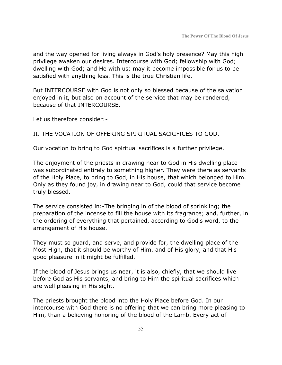and the way opened for living always in God's holy presence? May this high privilege awaken our desires. Intercourse with God; fellowship with God; dwelling with God; and He with us: may it become impossible for us to be satisfied with anything less. This is the true Christian life.

But INTERCOURSE with God is not only so blessed because of the salvation enjoyed in it, but also on account of the service that may be rendered, because of that INTERCOURSE.

Let us therefore consider:-

II. THE VOCATION OF OFFERING SPIRITUAL SACRIFICES TO GOD.

Our vocation to bring to God spiritual sacrifices is a further privilege.

The enjoyment of the priests in drawing near to God in His dwelling place was subordinated entirely to something higher. They were there as servants of the Holy Place, to bring to God, in His house, that which belonged to Him. Only as they found joy, in drawing near to God, could that service become truly blessed.

The service consisted in:-The bringing in of the blood of sprinkling; the preparation of the incense to fill the house with its fragrance; and, further, in the ordering of everything that pertained, according to God's word, to the arrangement of His house.

They must so guard, and serve, and provide for, the dwelling place of the Most High, that it should be worthy of Him, and of His glory, and that His good pleasure in it might be fulfilled.

If the blood of Jesus brings us near, it is also, chiefly, that we should live before God as His servants, and bring to Him the spiritual sacrifices which are well pleasing in His sight.

The priests brought the blood into the Holy Place before God. In our intercourse with God there is no offering that we can bring more pleasing to Him, than a believing honoring of the blood of the Lamb. Every act of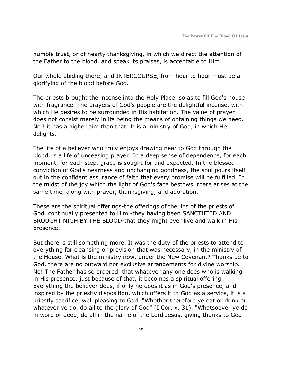humble trust, or of hearty thanksgiving, in which we direct the attention of the Father to the blood, and speak its praises, is acceptable to Him.

Our whole abiding there, and INTERCOURSE, from hour to hour must be a glorifying of the blood before God.

The priests brought the incense into the Holy Place, so as to fill God's house with fragrance. The prayers of God's people are the delightful incense, with which He desires to be surrounded in His habitation. The value of prayer does not consist merely in its being the means of obtaining things we need. No ! it has a higher aim than that. It is a ministry of God, in which He delights.

The life of a believer who truly enjoys drawing near to God through the blood, is a life of unceasing prayer. In a deep sense of dependence, for each moment, for each step, grace is sought for and expected. In the blessed conviction of God's nearness and unchanging goodness, the soul pours itself out in the confident assurance of faith that every promise will be fulfilled. In the midst of the joy which the light of God's face bestows, there arises at the same time, along with prayer, thanksgiving, and adoration.

These are the spiritual offerings-the offerings of the lips of the priests of God, continually presented to Him -they having been SANCTIFIED AND BROUGHT NIGH BY THE BLOOD-that they might ever live and walk in His presence.

But there is still something more. It was the duty of the priests to attend to everything far cleansing or provision that was necessary, in the ministry of the House. What is the ministry now, under the New Covenant? Thanks be to God, there are no outward nor exclusive arrangements for divine worship. No! The Father has so ordered, that whatever any one does who is walking in His presence, just because of that, it becomes a spiritual offering. Everything the believer does, if only he does it as in God's presence, and inspired by the priestly disposition, which offers it to God as a service, it is a priestly sacrifice, well pleasing to God. "Whether therefore ye eat or drink or whatever ye do, do all to the glory of God" (I Cor. x. 31). "Whatsoever ye do in word or deed, do all in the name of the Lord Jesus, giving thanks to God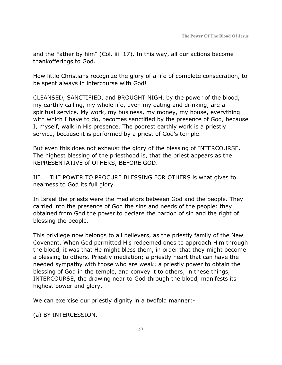and the Father by him" (Col. iii. 17). In this way, all our actions become thankofferings to God.

How little Christians recognize the glory of a life of complete consecration, to be spent always in intercourse with God!

CLEANSED, SANCTIFIED, and BROUGHT NIGH, by the power of the blood, my earthly calling, my whole life, even my eating and drinking, are a spiritual service. My work, my business, my money, my house, everything with which I have to do, becomes sanctified by the presence of God, because I, myself, walk in His presence. The poorest earthly work is a priestly service, because it is performed by a priest of God's temple.

But even this does not exhaust the glory of the blessing of INTERCOURSE. The highest blessing of the priesthood is, that the priest appears as the REPRESENTATIVE of OTHERS, BEFORE GOD.

III. THE POWER TO PROCURE BLESSING FOR OTHERS is what gives to nearness to God its full glory.

In Israel the priests were the mediators between God and the people. They carried into the presence of God the sins and needs of the people: they obtained from God the power to declare the pardon of sin and the right of blessing the people.

This privilege now belongs to all believers, as the priestly family of the New Covenant. When God permitted His redeemed ones to approach Him through the blood, it was that He might bless them, in order that they might become a blessing to others. Priestly mediation; a priestly heart that can have the needed sympathy with those who are weak; a priestly power to obtain the blessing of God in the temple, and convey it to others; in these things, INTERCOURSE, the drawing near to God through the blood, manifests its highest power and glory.

We can exercise our priestly dignity in a twofold manner:-

(a) BY INTERCESSION.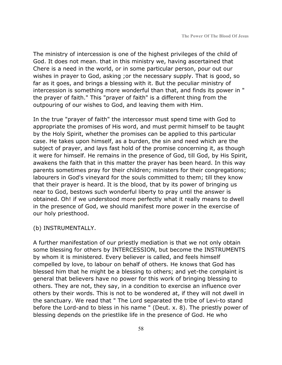The ministry of intercession is one of the highest privileges of the child of God. It does not mean. that in this ministry we, having ascertained that Chere is a need in the world, or in some particular person, pour out our wishes in prayer to God, asking ;or the necessary supply. That is good, so far as it goes, and brings a blessing with it. But the peculiar ministry of intercession is something more wonderful than that, and finds its power in " the prayer of faith." This "prayer of faith" is a different thing from the outpouring of our wishes to God, and leaving them with Him.

In the true "prayer of faith" the intercessor must spend time with God to appropriate the promises of His word, and must permit himself to be taught by the Holy Spirit, whether the promises can be applied to this particular case. He takes upon himself, as a burden, the sin and need which are the subject of prayer, and lays fast hold of the promise concerning it, as though it were for himself. He remains in the presence of God, till God, by His Spirit, awakens the faith that in this matter the prayer has been heard. In this way parents sometimes pray for their children; ministers for their congregations; labourers in God's vineyard for the souls committed to them; till they know that their prayer is heard. It is the blood, that by its power of bringing us near to God, bestows such wonderful liberty to pray until the answer is obtained. Oh! if we understood more perfectly what it really means to dwell in the presence of God, we should manifest more power in the exercise of our holy priesthood.

#### (b) INSTRUMENTALLY.

A further manifestation of our priestly mediation is that we not only obtain some blessing for others by INTERCESSION, but become the INSTRUMENTS by whom it is ministered. Every believer is called, and feels himself compelled by love, to labour on behalf of others. He knows that God has blessed him that he might be a blessing to others; and yet-the complaint is general that believers have no power for this work of bringing blessing to others. They are not, they say, in a condition to exercise an influence over others by their words. This is not to be wondered at, if they will not dwell in the sanctuary. We read that " The Lord separated the tribe of Levi-to stand before the Lord-and to bless in his name " (Deut. x. 8). The priestly power of blessing depends on the priestlike life in the presence of God. He who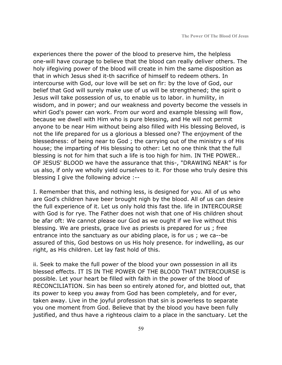experiences there the power of the blood to preserve him, the helpless one-will have courage to believe that the blood can really deliver others. The holy iifegiving power of the blood will create in him the same disposition as that in which Jesus shed it-th sacrifice of himself to redeem others. In intercourse with God, our love will be set on fir: by the love of God, our belief that God will surely make use of us will be strengthened; the spirit o Jesus will take possession of us, to enable us to labor. in humility, in wisdom, and in power; and our weakness and poverty become the vessels in whirl God's power can work. From our word and example blessing will flow, because we dwell with Him who is pure blessing, and He will not permit anyone to be near Him without being also filled with His blessing Beloved, is not the life prepared for us a glorious a blessed one? The enjoyment of the blessedness: of being near to God ; the carrying out of the ministry s of His house; the imparting of His blessing to other: Let no one think that the full blessing is not for him that such a life is too high for him. IN THE POWER.. OF JESUS' BLOOD we have the assurance that this-, "DRAWING NEAR" is for us also, if only we wholly yield ourselves to it. For those who truly desire this blessing I give the following advice :--

I. Remember that this, and nothing less, is designed for you. All of us who are God's children have beer brought nigh by the blood. All of us can desire the full experience of it. Let us only hold this fast the. life in INTERCOURSE with God is for rye. The Father does not wish that one of His children shout be afar oft: We cannot please our God as we ought if we live without this blessing. We are priests, grace live as priests is prepared for us ; free entrance into the sanctuary as our abiding place, is for us ; we ca--be assured of this, God bestows on us His holy presence. for indwelling, as our right, as His children. Let lay fast hold of this.

ii. Seek to make the full power of the blood your own possession in all its blessed effects. IT IS IN THE POWER OF THE BLOOD THAT INTERCOURSE is possible. Let your heart be filled with faith in the power of the blood of RECONCILIATION. Sin has been so entirely atoned for, and blotted out, that its power to keep you away from God has been completely, and for ever, taken away. Live in the joyful profession that sin is powerless to separate you one moment from God. Believe that by the blood you have been fully justified, and thus have a righteous claim to a place in the sanctuary. Let the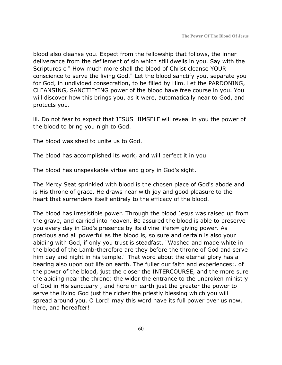blood also cleanse you. Expect from the fellowship that follows, the inner deliverance from the defilement of sin which still dwells in you. Say with the Scriptures c " How much more shall the blood of Christ cleanse YOUR conscience to serve the living God." Let the blood sanctify you, separate you for God, in undivided consecration, to be filled by Him. Let the PARDONING, CLEANSING, SANCTIFYING power of the blood have free course in you. You will discover how this brings you, as it were, automatically near to God, and protects you.

iii. Do not fear to expect that JESUS HIMSELF will reveal in you the power of the blood to bring you nigh to God.

The blood was shed to unite us to God.

The blood has accomplished its work, and will perfect it in you.

The blood has unspeakable virtue and glory in God's sight.

The Mercy Seat sprinkled with blood is the chosen place of God's abode and is His throne of grace. He draws near with joy and good pleasure to the heart that surrenders itself entirely to the efficacy of the blood.

The blood has irresistible power. Through the blood Jesus was raised up from the grave, and carried into heaven. Be assured the blood is able to preserve you every day in God's presence by its divine lifers= giving power. As precious and all powerful as the blood is, so sure and certain is also your abiding with God, if only you trust is steadfast. "Washed and made white in the blood of the Lamb-therefore are they before the throne of God and serve him day and night in his temple." That word about the eternal glory has a bearing also upon out life on earth. The fuller our faith and experiences:. of the power of the blood, just the closer the INTERCOURSE, and the more sure the abiding near the throne: the wider the entrance to the unbroken ministry of God in His sanctuary ; and here on earth just the greater the power to serve the living God just the richer the priestly blessing which you will spread around you. O Lord! may this word have its full power over us now, here, and hereafter!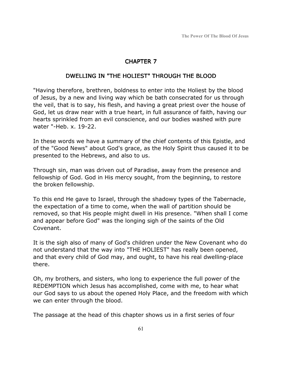## CHAPTER 7

### DWELLING IN "THE HOLIEST" THROUGH THE BLOOD

"Having therefore, brethren, boldness to enter into the Holiest by the blood of Jesus, by a new and living way which be bath consecrated for us through the veil, that is to say, his flesh, and having a great priest over the house of God, let us draw near with a true heart, in full assurance of faith, having our hearts sprinkled from an evil conscience, and our bodies washed with pure water "-Heb. x. 19-22.

In these words we have a summary of the chief contents of this Epistle, and of the "Good News" about God's grace, as the Holy Spirit thus caused it to be presented to the Hebrews, and also to us.

Through sin, man was driven out of Paradise, away from the presence and fellowship of God. God in His mercy sought, from the beginning, to restore the broken fellowship.

To this end He gave to Israel, through the shadowy types of the Tabernacle, the expectation of a time to come, when the wall of partition should be removed, so that His people might dwell in His presence. "When shall I come and appear before God" was the longing sigh of the saints of the Old Covenant.

It is the sigh also of many of God's children under the New Covenant who do not understand that the way into "THE HOLIEST" has really been opened, and that every child of God may, and ought, to have his real dwelling-place there.

Oh, my brothers, and sisters, who long to experience the full power of the REDEMPTION which Jesus has accomplished, come with me, to hear what our God says to us about the opened Holy Place, and the freedom with which we can enter through the blood.

The passage at the head of this chapter shows us in a first series of four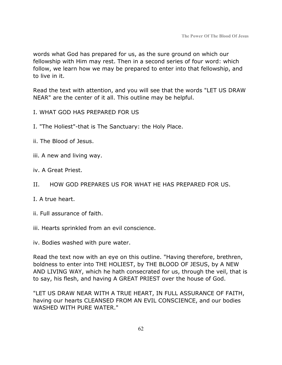words what God has prepared for us, as the sure ground on which our fellowship with Him may rest. Then in a second series of four word: which follow, we learn how we may be prepared to enter into that fellowship, and to live in it.

Read the text with attention, and you will see that the words "LET US DRAW NEAR" are the center of it all. This outline may be helpful.

- I. WHAT GOD HAS PREPARED FOR US
- I. "The Holiest"-that is The Sanctuary: the Holy Place.
- ii. The Blood of Jesus.
- iii. A new and living way.
- iv. A Great Priest.
- II. HOW GOD PREPARES US FOR WHAT HE HAS PREPARED FOR US.
- I. A true heart.
- ii. Full assurance of faith.
- iii. Hearts sprinkled from an evil conscience.

iv. Bodies washed with pure water.

Read the text now with an eye on this outline. "Having therefore, brethren, boldness to enter into THE HOLIEST, by THE BLOOD OF JESUS, by A NEW AND LIVING WAY, which he hath consecrated for us, through the veil, that is to say, his flesh, and having A GREAT PRIEST over the house of God.

"LET US DRAW NEAR WITH A TRUE HEART, IN FULL ASSURANCE OF FAITH, having our hearts CLEANSED FROM AN EVIL CONSCIENCE, and our bodies WASHED WITH PURE WATER."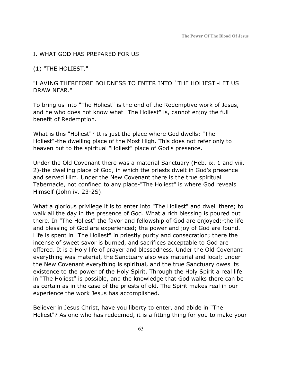### I. WHAT GOD HAS PREPARED FOR US

(1) "THE HOLIEST."

### "HAVING THEREFORE BOLDNESS TO ENTER INTO `THE HOLIEST'-LET US DRAW NEAR."

To bring us into "The Holiest" is the end of the Redemptive work of Jesus, and he who does not know what "The Holiest" is, cannot enjoy the full benefit of Redemption.

What is this "Holiest"? It is just the place where God dwells: "The Holiest"-the dwelling place of the Most High. This does not refer only to heaven but to the spiritual "Holiest" place of God's presence.

Under the Old Covenant there was a material Sanctuary (Heb. ix. 1 and viii. 2)-the dwelling place of God, in which the priests dwelt in God's presence and served Him. Under the New Covenant there is the true spiritual Tabernacle, not confined to any place-"The Holiest" is where God reveals Himself (John iv. 23-2S).

What a glorious privilege it is to enter into "The Holiest" and dwell there; to walk all the day in the presence of God. What a rich blessing is poured out there. In "The Holiest" the favor and fellowship of God are enjoyed:-the life and blessing of God are experienced; the power and joy of God are found. Life is spent in "The Holiest" in priestly purity and consecration; there the incense of sweet savor is burned, and sacrifices acceptable to God are offered. It is a Holy life of prayer and blessedness. Under the Old Covenant everything was material, the Sanctuary also was material and local; under the New Covenant everything is spiritual, and the true Sanctuary owes its existence to the power of the Holy Spirit. Through the Holy Spirit a real life in "The Holiest" is possible, and the knowledge that God walks there can be as certain as in the case of the priests of old. The Spirit makes real in our experience the work Jesus has accomplished.

Believer in Jesus Christ, have you liberty to enter, and abide in "The Holiest"? As one who has redeemed, it is a fitting thing for you to make your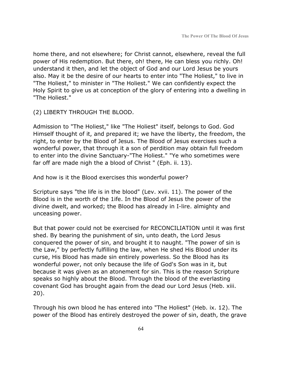home there, and not elsewhere; for Christ cannot, elsewhere, reveal the full power of His redemption. But there, oh! there, He can bless you richly. Oh! understand it then, and let the object of God and our Lord Jesus be yours also. May it be the desire of our hearts to enter into "The Holiest," to live in "The Holiest," to minister in "The Holiest." We can confidently expect the Holy Spirit to give us at conception of the glory of entering into a dwelling in "The Holiest."

(2) LIBERTY THROUGH THE BLOOD.

Admission to "The Holiest," like "The Holiest" itself, belongs to God. God Himself thought of it, and prepared it; we have the liberty, the freedom, the right, to enter by the Blood of Jesus. The Blood of Jesus exercises such a wonderful power, that through it a son of perdition may obtain full freedom to enter into the divine Sanctuary-"The Holiest." "Ye who sometimes were far off are made nigh the a blood of Christ " (Eph. ii. 13).

And how is it the Blood exercises this wonderful power?

Scripture says "the life is in the blood" (Lev. xvii. 11). The power of the Blood is in the worth of the 1ife. In the Blood of Jesus the power of the divine dwelt, and worked; the Blood has already in I-lire. almighty and unceasing power.

But that power could not be exercised for RECONCILIATION until it was first shed. By bearing the punishment of sin, unto death, the Lord Jesus conquered the power of sin, and brought it to naught. "The power of sin is the Law," by perfectly fulfilling the law, when He shed His Blood under its curse, His Blood has made sin entirely powerless. So the Blood has its wonderful power, not only because the life of God's Son was in it, but because it was given as an atonement for sin. This is the reason Scripture speaks so highly about the Blood. Through the blood of the everlasting covenant God has brought again from the dead our Lord Jesus (Heb. xiii. 20).

Through his own blood he has entered into "The Holiest" (Heb. ix. 12). The power of the Blood has entirely destroyed the power of sin, death, the grave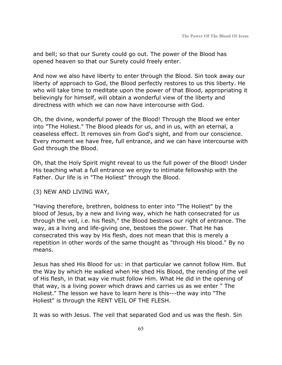and bell; so that our Surety could go out. The power of the Blood has opened heaven so that our Surety could freely enter.

And now we also have liberty to enter through the Blood. Sin took away our liberty of approach to God, the Blood perfectly restores to us this liberty. He who will take time to meditate upon the power of that Blood, appropriating it believingly for himself, will obtain a wonderful view of the liberty and directness with which we can now have intercourse with God.

Oh, the divine, wonderful power of the Blood! Through the Blood we enter into "The Holiest." The Blood pleads for us, and in us, with an eternal, a ceaseless effect. It removes sin from God's sight, and from our conscience. Every moment we have free, full entrance, and we can have intercourse with God through the Blood.

Oh, that the Holy Spirit might reveal to us the full power of the Blood! Under His teaching what a full entrance we enjoy to intimate fellowship with the Father. Our life is in "The Holiest" through the Blood.

### (3) NEW AND LIVING WAY,

"Having therefore, brethren, boldness to enter into "The Holiest" by the blood of Jesus, by a new and living way, which he hath consecrated for us through the veil, i.e. his flesh," the Blood bestows our right of entrance. The way, as a living and life-giving one, bestows the power. That He has consecrated this way by His flesh, does not mean that this is merely a repetition in other words of the same thought as "through His blood." By no means.

Jesus has shed His Blood for us: in that particular we cannot follow Him. But the Way by which He walked when He shed His Blood, the rending of the veil of His flesh, in that way vie must follow Him. What He did in the opening of that way, is a living power which draws and carries us as we enter " The Holiest." The lesson we have to learn here is this---the way into "The Holiest" is through the RENT VEIL OF THE FLESH.

It was so with Jesus. The veil that separated God and us was the flesh. Sin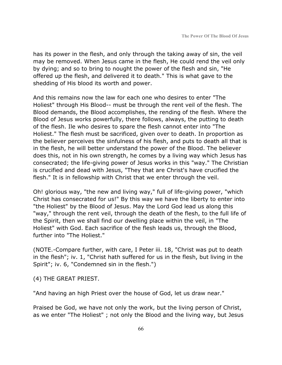has its power in the flesh, and only through the taking away of sin, the veil may be removed. When Jesus came in the flesh, He could rend the veil only by dying; and so to bring to nought the power of the flesh and sin, "He offered up the flesh, and delivered it to death." This is what gave to the shedding of His blood its worth and power.

And this remains now the law for each one who desires to enter "The Holiest" through His Blood-- must be through the rent veil of the flesh. The Blood demands, the Blood accomplishes, the rending of the flesh. Where the Blood of Jesus works powerfully, there follows, always, the putting to death of the flesh. Ile who desires to spare the flesh cannot enter into "The Holiest." The flesh must be sacrificed, given over to death. In proportion as the believer perceives the sinfulness of his flesh, and puts to death all that is in the flesh, he will better understand the power of the Blood. The believer does this, not in his own strength, he comes by a living way which Jesus has consecrated; the life-giving power of Jesus works in this "way." The Christian is crucified and dead with Jesus, "They that are Christ's have crucified the flesh." It is in fellowship with Christ that we enter through the veil.

Oh! glorious way, "the new and living way," full of life-giving power, "which Christ has consecrated for us!" By this way we have the liberty to enter into "the Holiest" by the Blood of Jesus. May the Lord God lead us along this "way," through the rent veil, through the death of the flesh, to the full life of the Spirit, then we shall find our dwelling place within the veil, in "The Holiest" with God. Each sacrifice of the flesh leads us, through the Blood, further into "The Holiest."

(NOTE.-Compare further, with care, I Peter iii. 18, "Christ was put to death in the flesh"; iv. 1, "Christ hath suffered for us in the flesh, but living in the Spirit"; iv. 6, "Condemned sin in the flesh.")

(4) THE GREAT PRIEST.

"And having an high Priest over the house of God, let us draw near."

Praised be God, we have not only the work, but the living person of Christ, as we enter "The Holiest" ; not only the Blood and the living way, but Jesus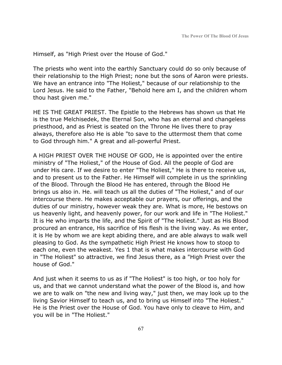Himself, as "High Priest over the House of God."

The priests who went into the earthly Sanctuary could do so only because of their relationship to the High Priest; none but the sons of Aaron were priests. We have an entrance into "The Holiest," because of our relationship to the Lord Jesus. He said to the Father, "Behold here am I, and the children whom thou hast given me."

HE IS THE GREAT PRIEST. The Epistle to the Hebrews has shown us that He is the true Melchisedek, the Eternal Son, who has an eternal and changeless priesthood, and as Priest is seated on the Throne He lives there to pray always, therefore also He is able "to save to the uttermost them that come to God through him." A great and all-powerful Priest.

A HIGH PRIEST OVER THE HOUSE OF GOD, He is appointed over the entire ministry of "The Holiest," of the House of God. All the people of God are under His care. If we desire to enter "The Holiest," He is there to receive us, and to present us to the Father. He Himself will complete in us the sprinkling of the Blood. Through the Blood He has entered, through the Blood He brings us also in. He. will teach us all the duties of "The Holiest," and of our intercourse there. He makes acceptable our prayers, our offerings, and the duties of our ministry, however weak they are. What is more, He bestows on us heavenly light, and heavenly power, for our work and life in "The Holiest." It is He who imparts the life, and the Spirit of "The Holiest." Just as His Blood procured an entrance, His sacrifice of His flesh is the living way. As we enter, it is He by whom we are kept abiding there, and are able always to walk well pleasing to God. As the sympathetic High Priest He knows how to stoop to each one, even the weakest. Yes 1 that is what makes intercourse with God in "The Holiest" so attractive, we find Jesus there, as a "High Priest over the house of God."

And just when it seems to us as if "The Holiest" is too high, or too holy for us, and that we cannot understand what the power of the Blood is, and how we are to walk on "the new and living way," just then, we may look up to the living Savior Himself to teach us, and to bring us Himself into "The Holiest." He is the Priest over the House of God. You have only to cleave to Him, and you will be in "The Holiest."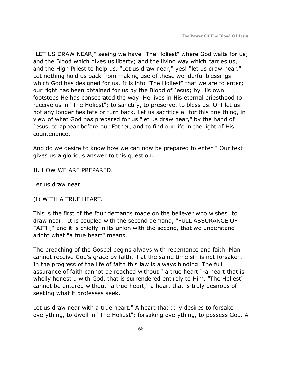"LET US DRAW NEAR," seeing we have "The Holiest" where God waits for us; and the Blood which gives us liberty; and the living way which carries us, and the High Priest to help us. "Let us draw near," yes! "let us draw near." Let nothing hold us back from making use of these wonderful blessings which God has designed for us. It is into "The Holiest" that we are to enter; our right has been obtained for us by the Blood of Jesus; by His own footsteps He has consecrated the way. He lives in His eternal priesthood to receive us in "The Holiest"; to sanctify, to preserve, to bless us. Oh! let us not any longer hesitate or turn back. Let us sacrifice all for this one thing, in view of what God has prepared for us "let us draw near," by the hand of Jesus, to appear before our Father, and to find our life in the light of His countenance.

And do we desire to know how we can now be prepared to enter ? Our text gives us a glorious answer to this question.

II. HOW WE ARE PREPARED.

Let us draw near.

(I) WITH A TRUE HEART.

This is the first of the four demands made on the believer who wishes "to draw near." It is coupled with the second demand, "FULL ASSURANCE OF FAITH," and it is chiefly in its union with the second, that we understand aright what "a true heart" means.

The preaching of the Gospel begins always with repentance and faith. Man cannot receive God's grace by faith, if at the same time sin is not forsaken. In the progress of the life of faith this law is always binding. The full assurance of faith cannot be reached without " a true heart "-a heart that is wholly honest u with God, that is surrendered entirely to Him. "The Holiest" cannot be entered without "a true heart," a heart that is truly desirous of seeking what it professes seek.

Let us draw near with a true heart." A heart that :: ly desires to forsake everything, to dwell in "The Holiest"; forsaking everything, to possess God. A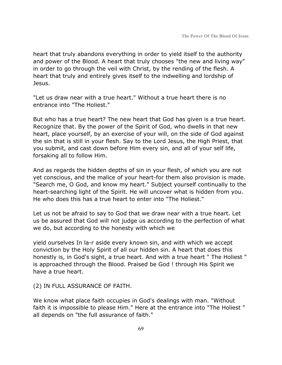heart that truly abandons everything in order to yield itself to the authority and power of the Blood. A heart that truly chooses "the new and living way" in order to go through the veil with Christ, by the rending of the flesh. A heart that truly and entirely gives itself to the indwelling and lordship of Jesus.

"Let us draw near with a true heart." Without a true heart there is no entrance into "The Holiest."

But who has a true heart? The new heart that God has given is a true heart. Recognize that. By the power of the Spirit of God, who dwells in that new heart, place yourself, by an exercise of your will, on the side of God against the sin that is still in your flesh. Say to the Lord Jesus, the High Priest, that you submit, and cast down before Him every sin, and all of your self life, forsaking all to follow Him.

And as regards the hidden depths of sin in your flesh, of which you are not yet conscious, and the malice of your heart-for them also provision is made. "Search me, O God, and know my heart." Subject yourself continually to the heart-searching light of the Spirit. He will uncover what is hidden from you. He who does this has a true heart to enter into "The Holiest."

Let us not be afraid to say to God that we draw near with a true heart. Let us be assured that God will not judge us according to the perfection of what we do, but according to the honesty with which we

yield ourselves In la-r aside every known sin, and with which we accept conviction by the Holy Spirit of all our hidden sin. A heart that does this honestly is, in God's sight, a true heart. And with a true heart " The Holiest " is approached through the Blood. Praised be God ! through His Spirit we have a true heart.

(2) IN FULL ASSURANCE OF FAITH.

We know what place faith occupies in God's dealings with man. "Without faith it is impossible to please Him." Here at the entrance into "The Holiest " all depends on "the full assurance of faith."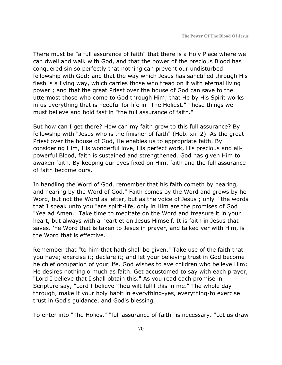There must be "a full assurance of faith" that there is a Holy Place where we can dwell and walk with God, and that the power of the precious Blood has conquered sin so perfectly that nothing can prevent our undisturbed fellowship with God; and that the way which Jesus has sanctified through His flesh is a living way, which carries those who tread on it with eternal living power ; and that the great Priest over the house of God can save to the uttermost those who come to God through Him; that He by His Spirit works in us everything that is needful for life in "The Holiest." These things we must believe and hold fast in "the full assurance of faith."

But how can I get there? How can my faith grow to this full assurance? By fellowship with "Jesus who is the finisher of faith" (Heb. xii. 2). As the great Priest over the house of God, He enables us to appropriate faith. By considering Him, His wonderful love, His perfect work, His precious and allpowerful Blood, faith is sustained and strengthened. God has given Him to awaken faith. By keeping our eyes fixed on Him, faith and the full assurance of faith become ours.

In handling the Word of God, remember that his faith cometh by hearing, and hearing by the Word of God." Faith comes by the Word and grows by he Word, but not the Word as letter, but as the voice of Jesus ; only " the words that I speak unto you "are spirit-life, only in Him are the promises of God "Yea ad Amen." Take time to meditate on the Word and treasure it in your heart, but always with a heart et on Jesus Himself. It is faith in Jesus that saves. 'he Word that is taken to Jesus in prayer, and talked ver with Him, is the Word that is effective.

Remember that "to him that hath shall be given." Take use of the faith that you have; exercise it; declare it; and let your believing trust in God become he chief occupation of your life. God wishes to ave children who believe Him; He desires nothing o much as faith. Get accustomed to say with each prayer, "Lord I believe that I shall obtain this." As you read each promise in Scripture say, "Lord I believe Thou wilt fulfil this in me." The whole day through, make it your holy habit in everything-yes, everything-to exercise trust in God's guidance, and God's blessing.

To enter into "The Holiest" "full assurance of faith" is necessary. "Let us draw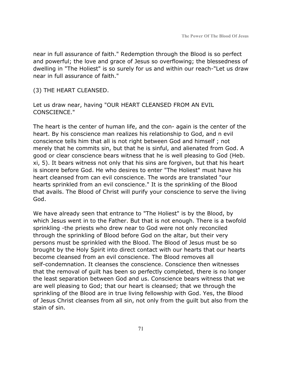near in full assurance of faith." Redemption through the Blood is so perfect and powerful; the love and grace of Jesus so overflowing; the blessedness of dwelling in "The Holiest" is so surely for us and within our reach-"Let us draw near in full assurance of faith."

(3) THE HEART CLEANSED.

Let us draw near, having "OUR HEART CLEANSED FROM AN EVIL CONSCIENCE."

The heart is the center of human life, and the con- again is the center of the heart. By his conscience man realizes his relationship to God, and n evil conscience tells him that all is not right between God and himself ; not merely that he commits sin, but that he is sinful, and alienated from God. A good or clear conscience bears witness that he is well pleasing to God (Heb. xi, 5). It bears witness not only that his sins are forgiven, but that his heart is sincere before God. He who desires to enter "The Holiest" must have his heart cleansed from can evil conscience. The words are translated "our hearts sprinkled from an evil conscience." It is the sprinkling of the Blood that avails. The Blood of Christ will purify your conscience to serve the living God.

We have already seen that entrance to "The Holiest" is by the Blood, by which Jesus went in to the Father. But that is not enough. There is a twofold sprinkling -the priests who drew near to God were not only reconciled through the sprinkling of Blood before God on the altar, but their very persons must be sprinkled with the Blood. The Blood of Jesus must be so brought by the Holy Spirit into direct contact with our hearts that our hearts become cleansed from an evil conscience. The Blood removes all self-condemnation. It cleanses the conscience. Conscience then witnesses that the removal of guilt has been so perfectly completed, there is no longer the least separation between God and us. Conscience bears witness that we are well pleasing to God; that our heart is cleansed; that we through the sprinkling of the Blood are in true living fellowship with God. Yes, the Blood of Jesus Christ cleanses from all sin, not only from the guilt but also from the stain of sin.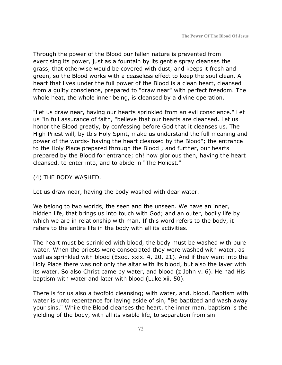Through the power of the Blood our fallen nature is prevented from exercising its power, just as a fountain by its gentle spray cleanses the grass, that otherwise would be covered with dust, and keeps it fresh and green, so the Blood works with a ceaseless effect to keep the soul clean. A heart that lives under the full power of the Blood is a clean heart, cleansed from a guilty conscience, prepared to "draw near" with perfect freedom. The whole heat, the whole inner being, is cleansed by a divine operation.

"Let us draw near, having our hearts sprinkled from an evil conscience." Let us "in full assurance of faith, "believe that our hearts are cleansed. Let us honor the Blood greatly, by confessing before God that it cleanses us. The High Priest will, by Ibis Holy Spirit, make us understand the full meaning and power of the words-"having the heart cleansed by the Blood"; the entrance to the Holy Place prepared through the Blood ; and further, our hearts prepared by the Blood for entrance; oh! how glorious then, having the heart cleansed, to enter into, and to abide in "The Holiest."

(4) THE BODY WASHED.

Let us draw near, having the body washed with dear water.

We belong to two worlds, the seen and the unseen. We have an inner, hidden life, that brings us into touch with God; and an outer, bodily life by which we are in relationship with man. If this word refers to the body, it refers to the entire life in the body with all its activities.

The heart must be sprinkled with blood, the body must be washed with pure water. When the priests were consecrated they were washed with water, as well as sprinkled with blood (Exod. xxix. 4, 20, 21). And if they went into the Holy Place there was not only the altar with its blood, but also the laver with its water. So also Christ came by water, and blood (z John v. 6). He had His baptism with water and later with blood (Luke xii. 50).

There is for us also a twofold cleansing; with water, and. blood. Baptism with water is unto repentance for laying aside of sin, "Be baptized and wash away your sins." While the Blood cleanses the heart, the inner man, baptism is the yielding of the body, with all its visible life, to separation from sin.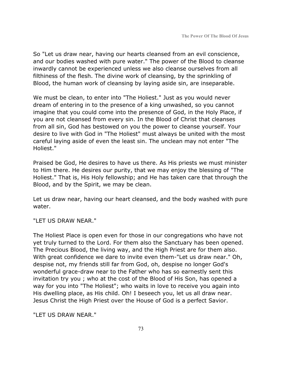So "Let us draw near, having our hearts cleansed from an evil conscience, and our bodies washed with pure water." The power of the Blood to cleanse inwardly cannot be experienced unless we also cleanse ourselves from all filthiness of the flesh. The divine work of cleansing, by the sprinkling of Blood, the human work of cleansing by laying aside sin, are inseparable.

We must be clean, to enter into "The Holiest." Just as you would never dream of entering in to the presence of a king unwashed, so you cannot imagine that you could come into the presence of God, in the Holy Place, if you are not cleansed from every sin. In the Blood of Christ that cleanses from all sin, God has bestowed on you the power to cleanse yourself. Your desire to live with God in "The Holiest" must always be united with the most careful laying aside of even the least sin. The unclean may not enter "The Holiest."

Praised be God, He desires to have us there. As His priests we must minister to Him there. He desires our purity, that we may enjoy the blessing of "The Holiest." That is, His Holy fellowship; and He has taken care that through the Blood, and by the Spirit, we may be clean.

Let us draw near, having our heart cleansed, and the body washed with pure water.

#### "LET US DRAW NEAR."

The Holiest Place is open even for those in our congregations who have not yet truly turned to the Lord. For them also the Sanctuary has been opened. The Precious Blood, the living way, and the High Priest are for them also. With great confidence we dare to invite even them-"Let us draw near." Oh, despise not, my friends still far from God, oh, despise no longer God's wonderful grace-draw near to the Father who has so earnestly sent this invitation try you ; who at the cost of the Blood of His Son, has opened a way for you into "The Holiest"; who waits in love to receive you again into His dwelling place, as His child. Oh! I beseech you, let us all draw near. Jesus Christ the High Priest over the House of God is a perfect Savior.

"LET US DRAW NEAR."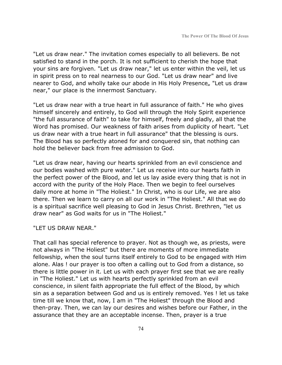"Let us draw near." The invitation comes especially to all believers. Be not satisfied to stand in the porch. It is not sufficient to cherish the hope that your sins are forgiven. "Let us draw near," let us enter within the veil, let us in spirit press on to real nearness to our God. "Let us draw near" and live nearer to God, and wholly take our abode in His Holy Presence, "Let us draw near," our place is the innermost Sanctuary.

"Let us draw near with a true heart in full assurance of faith." He who gives himself sincerely and entirely, to God will through the Holy Spirit experience "the full assurance of faith" to take for himself, freely and gladly, all that the Word has promised. Our weakness of faith arises from duplicity of heart. "Let us draw near with a true heart in full assurance" that the blessing is ours. The Blood has so perfectly atoned for and conquered sin, that nothing can hold the believer back from free admission to God.

"Let us draw near, having our hearts sprinkled from an evil conscience and our bodies washed with pure water." Let us receive into our hearts faith in the perfect power of the Blood, and let us lay aside every thing that is not in accord with the purity of the Holy Place. Then we begin to feel ourselves daily more at home in "The Holiest." In Christ, who is our Life, we are also there. Then we learn to carry on all our work in "The Holiest." All that we do is a spiritual sacrifice well pleasing to God in Jesus Christ. Brethren, "let us draw near" as God waits for us in "The Holiest."

#### "LET US DRAW NEAR."

That call has special reference to prayer. Not as though we, as priests, were not always in "The Holiest" but there are moments of more immediate fellowship, when the soul turns itself entirely to God to be engaged with Him alone. Alas ! our prayer is too often a calling out to God from a distance, so there is little power in it. Let us with each prayer first see that we are really in "The Holiest." Let us with hearts perfectly sprinkled from an evil conscience, in silent faith appropriate the full effect of the Blood, by which sin as a separation between God and us is entirely removed. Yes ! let us take time till we know that, now, I am in "The Holiest" through the Blood and then-pray. Then, we can lay our desires and wishes before our Father, in the assurance that they are an acceptable incense. Then, prayer is a true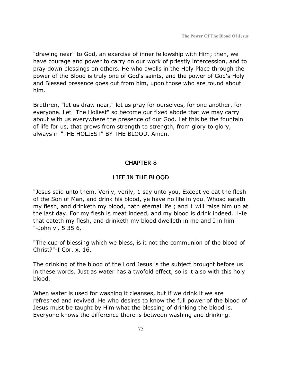"drawing near" to God, an exercise of inner fellowship with Him; then, we have courage and power to carry on our work of priestly intercession, and to pray down blessings on others. He who dwells in the Holy Place through the power of the Blood is truly one of God's saints, and the power of God's Holy and Blessed presence goes out from him, upon those who are round about him.

Brethren, "let us draw near," let us pray for ourselves, for one another, for everyone. Let "The Holiest" so become our fixed abode that we may carry about with us everywhere the presence of our God. Let this be the fountain of life for us, that grows from strength to strength, from glory to glory, always in "THE HOLIEST" BY THE BLOOD. Amen.

### CHAPTER 8

#### LIFE IN THE BLOOD

"Jesus said unto them, Verily, verily, 1 say unto you, Except ye eat the flesh of the Son of Man, and drink his blood, ye have no life in you. Whoso eateth my flesh, and drinketh my blood, hath eternal life ; and 1 will raise him up at the last day. For my flesh is meat indeed, and my blood is drink indeed. 1-Ie that eateth my flesh, and drinketh my blood dwelleth in me and I in him "-John vi. 5 35 6.

"The cup of blessing which we bless, is it not the communion of the blood of Christ?"-I Cor. x. 16.

The drinking of the blood of the Lord Jesus is the subject brought before us in these words. Just as water has a twofold effect, so is it also with this holy blood.

When water is used for washing it cleanses, but if we drink it we are refreshed and revived. He who desires to know the full power of the blood of Jesus must be taught by Him what the blessing of drinking the blood is. Everyone knows the difference there is between washing and drinking.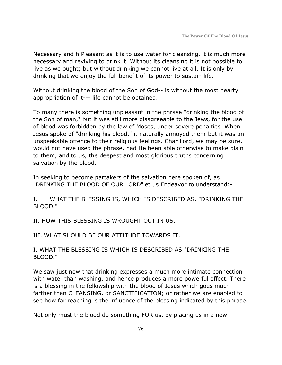Necessary and h Pleasant as it is to use water for cleansing, it is much more necessary and reviving to drink it. Without its cleansing it is not possible to live as we ought; but without drinking we cannot live at all. It is only by drinking that we enjoy the full benefit of its power to sustain life.

Without drinking the blood of the Son of God-- is without the most hearty appropriation of it--- life cannot be obtained.

To many there is something unpleasant in the phrase "drinking the blood of the Son of man," but it was still more disagreeable to the Jews, for the use of blood was forbidden by the law of Moses, under severe penalties. When Jesus spoke of "drinking his blood," it naturally annoyed them-but it was an unspeakable offence to their religious feelings. Char Lord, we may be sure, would not have used the phrase, had He been able otherwise to make plain to them, and to us, the deepest and most glorious truths concerning salvation by the blood.

In seeking to become partakers of the salvation here spoken of, as "DRINKING THE BLOOD OF OUR LORD"let us Endeavor to understand:-

I. WHAT THE BLESSING IS, WHICH IS DESCRIBED AS. "DRINKING THE BLOOD."

II. HOW THIS BLESSING IS WROUGHT OUT IN US.

III. WHAT SHOULD BE OUR ATTITUDE TOWARDS IT.

I. WHAT THE BLESSING IS WHICH IS DESCRIBED AS "DRINKING THE BLOOD."

We saw just now that drinking expresses a much more intimate connection with water than washing, and hence produces a more powerful effect. There is a blessing in the fellowship with the blood of Jesus which goes much farther than CLEANSING, or SANCTIFICATION; or rather we are enabled to see how far reaching is the influence of the blessing indicated by this phrase.

Not only must the blood do something FOR us, by placing us in a new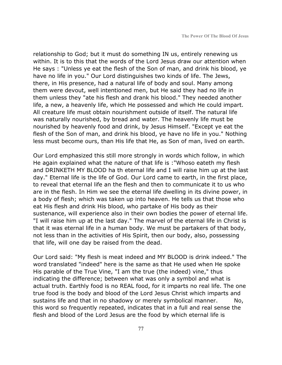relationship to God; but it must do something IN us, entirely renewing us within. It is to this that the words of the Lord Jesus draw our attention when He says : "Unless ye eat the flesh of the Son of man, and drink his blood, ye have no life in you." Our Lord distinguishes two kinds of life. The Jews, there, in His presence, had a natural life of body and soul. Many among them were devout, well intentioned men, but He said they had no life in them unless they "ate his flesh and drank his blood." They needed another life, a new, a heavenly life, which He possessed and which He could impart. All creature life must obtain nourishment outside of itself. The natural life was naturally nourished, by bread and water. The heavenly life must be nourished by heavenly food and drink, by Jesus Himself. "Except ye eat the flesh of the Son of man, and drink his blood, ye have no life in you." Nothing less must become ours, than His life that He, as Son of man, lived on earth.

Our Lord emphasized this still more strongly in words which follow, in which He again explained what the nature of that life is :"Whoso eateth my flesh and DRINKETH MY BLOOD ha th eternal life and I will raise him up at the last day." Eternal life is the life of God. Our Lord came to earth, in the first place, to reveal that eternal life an the flesh and then to communicate it to us who are in the flesh. In Him we see the eternal life dwelling in its divine power, in a body of flesh; which was taken up into heaven. He tells us that those who eat His flesh and drink His blood, who partake of His body as their sustenance, will experience also in their own bodies the power of eternal life. "I will raise him up at the last day." The marvel of the eternal life in Christ is that it was eternal life in a human body. We must be partakers of that body, not less than in the activities of His Spirit, then our body, also, possessing that life, will one day be raised from the dead.

Our Lord said: "My flesh is meat indeed and MY BLOOD is drink indeed." The word translated "indeed" here is the same as that He used when He spoke His parable of the True Vine, "I am the true (the indeed) vine," thus indicating the difference; between what was only a symbol and what is actual truth. Earthly food is no REAL food, for it imparts no real life. The one true food is the body and blood of the Lord Jesus Christ which imparts and sustains life and that in no shadowy or merely symbolical manner. Mo, this word so frequently repeated, indicates that in a full and real sense the flesh and blood of the Lord Jesus are the food by which eternal life is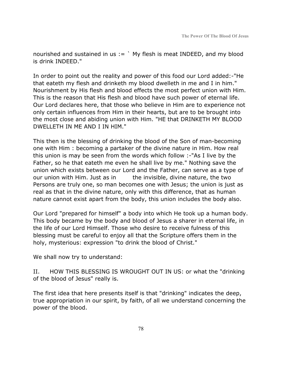nourished and sustained in us := ` My flesh is meat INDEED, and my blood is drink INDEED."

In order to point out the reality and power of this food our Lord added:-"He that eateth my flesh and drinketh my blood dwelleth in me and I in him." Nourishment by His flesh and blood effects the most perfect union with Him. This is the reason that His flesh and blood have such power of eternal life. Our Lord declares here, that those who believe in Him are to experience not only certain influences from Him in their hearts, but are to be brought into the most close and abiding union with Him. "HE that DRINKETH MY BLOOD DWELLETH IN ME AND I IN HIM."

This then is the blessing of drinking the blood of the Son of man-becoming one with Him : becoming a partaker of the divine nature in Him. How real this union is may be seen from the words which follow :-"As I live by the Father, so he that eateth me even he shall live by me." Nothing save the union which exists between our Lord and the Father, can serve as a type of our union with Him. Just as in the invisible, divine nature, the two Persons are truly one, so man becomes one with Jesus; the union is just as real as that in the divine nature, only with this difference, that as human nature cannot exist apart from the body, this union includes the body also.

Our Lord "prepared for himself" a body into which He took up a human body. This body became by the body and blood of Jesus a sharer in eternal life, in the life of our Lord Himself. Those who desire to receive fulness of this blessing must be careful to enjoy all that the Scripture offers them in the holy, mysterious: expression "to drink the blood of Christ."

We shall now try to understand:

II. HOW THIS BLESSING IS WROUGHT OUT IN US: or what the "drinking of the blood of Jesus" really is.

The first idea that here presents itself is that "drinking" indicates the deep, true appropriation in our spirit, by faith, of all we understand concerning the power of the blood.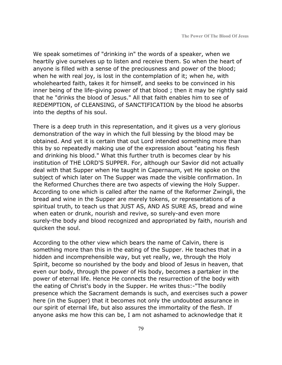We speak sometimes of "drinking in" the words of a speaker, when we heartily give ourselves up to listen and receive them. So when the heart of anyone is filled with a sense of the preciousness and power of the blood; when he with real joy, is lost in the contemplation of it; when he, with wholehearted faith, takes it for himself, and seeks to be convinced in his inner being of the life-giving power of that blood ; then it may be rightly said that he "drinks the blood of Jesus." All that faith enables him to see of REDEMPTION, of CLEANSING, of SANCTIFICATION by the blood he absorbs into the depths of his soul.

There is a deep truth in this representation, and it gives us a very glorious demonstration of the way in which the full blessing by the blood may be obtained. And yet it is certain that out Lord intended something more than this by so repeatedly making use of the expression about "eating his flesh and drinking his blood." What this further truth is becomes clear by his institution of THE LORD'S SUPPER. For, although our Savior did not actually deal with that Supper when He taught in Capernaum, yet He spoke on the subject of which later on The Supper was made the visible confirmation. In the Reformed Churches there are two aspects of viewing the Holy Supper. According to one which is called after the name of the Reformer Zwingli, the bread and wine in the Supper are merely tokens, or representations of a spiritual truth, to teach us that JUST AS, AND AS SURE AS, bread and wine when eaten or drunk, nourish and revive, so surely-and even more surely-the body and blood recognized and appropriated by faith, nourish and quicken the soul.

According to the other view which bears the name of Calvin, there is something more than this in the eating of the Supper. He teaches that in a hidden and incomprehensible way, but yet really, we, through the Holy Spirit, become so nourished by the body and blood of Jesus in heaven, that even our body, through the power of His body, becomes a partaker in the power of eternal life. Hence He connects the resurrection of the body with the eating of Christ's body in the Supper. He writes thus:-"The bodily presence which the Sacrament demands is such, and exercises such a power here (in the Supper) that it becomes not only the undoubted assurance in our spirit of eternal life, but also assures the immortality of the flesh. If anyone asks me how this can be, I am not ashamed to acknowledge that it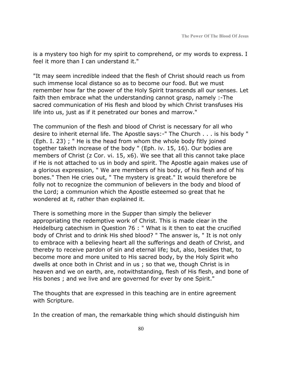is a mystery too high for my spirit to comprehend, or my words to express. I feel it more than I can understand it."

"It may seem incredible indeed that the flesh of Christ should reach us from such immense local distance so as to become our food. But we must remember how far the power of the Holy Spirit transcends all our senses. Let faith then embrace what the understanding cannot grasp, namely :-The sacred communication of His flesh and blood by which Christ transfuses His life into us, just as if it penetrated our bones and marrow."

The communion of the flesh and blood of Christ is necessary for all who desire to inherit eternal life. The Apostle says:-" The Church . . . is his body " (Eph. I. 23) ; " He is the head from whom the whole body fitly joined together taketh increase of the body " (Eph. iv. 15, 16). Our bodies are members of Christ (z Cor. vi. 15, x6). We see that all this cannot take place if He is not attached to us in body and spirit. The Apostle again makes use of a glorious expression, " We are members of his body, of his flesh and of his bones." Then He cries out, " The mystery is great." It would therefore be folly not to recognize the communion of believers in the body and blood of the Lord; a communion which the Apostle esteemed so great that he wondered at it, rather than explained it.

There is something more in the Supper than simply the believer appropriating the redemptive work of Christ. This is made clear in the Heidelburg catechism in Question 76 : " What is it then to eat the crucified body of Christ and to drink His shed blood? " The answer is, " It is not only to embrace with a believing heart all the sufferings and death of Christ, and thereby to receive pardon of sin and eternal life; but, also, besides that, to become more and more united to His sacred body, by the Holy Spirit who dwells at once both in Christ and in us ; so that we, though Christ is in heaven and we on earth, are, notwithstanding, flesh of His flesh, and bone of His bones ; and we live and are governed for ever by one Spirit."

The thoughts that are expressed in this teaching are in entire agreement with Scripture.

In the creation of man, the remarkable thing which should distinguish him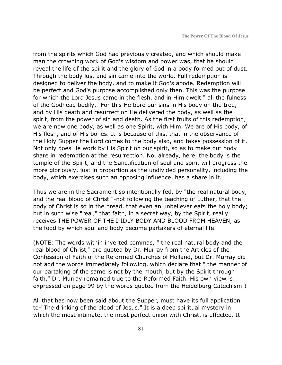from the spirits which God had previously created, and which should make man the crowning work of God's wisdom and power was, that he should reveal the life of the spirit and the glory of God in a body formed out of dust. Through the body lust and sin came into the world. Full redemption is designed to deliver the body, and to make it God's abode. Redemption will be perfect and God's purpose accomplished only then. This was the purpose for which the Lord Jesus came in the flesh, and in Him dwelt " all the fulness of the Godhead bodily." For this He bore our sins in His body on the tree, and by His death and resurrection He delivered the body, as well as the spirit, from the power of sin and death. As the first fruits of this redemption, we are now one body, as well as one Spirit, with Him. We are of His body, of His flesh, and of His bones. It is because of this, that in the observance of the Holy Supper the Lord comes to the body also, and takes possession of it. Not only does He work by His Spirit on our spirit, so as to make out body share in redemption at the resurrection. No, already, here, the body is the temple of the Spirit, and the Sanctification of soul and spirit will progress the more gloriously, just in proportion as the undivided personality, including the body, which exercises such an opposing influence, has a share in it.

Thus we are in the Sacrament so intentionally fed, by "the real natural body, and the real blood of Christ "-not following the teaching of Luther, that the body of Christ is so in the bread, that even an unbeliever eats the holy body; but in such wise "real," that faith, in a secret way, by the Spirit, really receives THE POWER OF THE I-IDLY BODY AND BLOOD FROM HEAVEN, as the food by which soul and body become partakers of eternal life.

(NOTE: The words within inverted commas, " the real natural body and the real blood of Christ," are quoted by Dr. Murray from the Articles of the Confession of Faith of the Reformed Churches of Holland, but Dr. Murray did not add the words immediately following, which declare that " the manner of our partaking of the same is not by the mouth, but by the Spirit through faith." Dr. Murray remained true to the Reformed Faith. His own view is expressed on page 99 by the words quoted from the Heidelburg Catechism.)

All that has now been said about the Supper, must have its full application to-"The drinking of the blood of Jesus." It is a deep spiritual mystery in which the most intimate, the most perfect union with Christ, is effected. It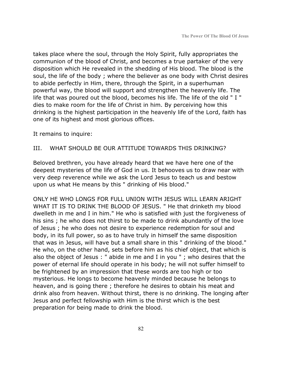takes place where the soul, through the Holy Spirit, fully appropriates the communion of the blood of Christ, and becomes a true partaker of the very disposition which He revealed in the shedding of His blood. The blood is the soul, the life of the body ; where the believer as one body with Christ desires to abide perfectly in Him, there, through the Spirit, in a superhuman powerful way, the blood will support and strengthen the heavenly life. The life that was poured out the blood, becomes his life. The life of the old " I " dies to make room for the life of Christ in him. By perceiving how this drinking is the highest participation in the heavenly life of the Lord, faith has one of its highest and most glorious offices.

It remains to inquire:

#### III. WHAT SHOULD BE OUR ATTITUDE TOWARDS THIS DRINKING?

Beloved brethren, you have already heard that we have here one of the deepest mysteries of the life of God in us. It behooves us to draw near with very deep reverence while we ask the Lord Jesus to teach us and bestow upon us what He means by this " drinking of His blood."

ONLY HE WHO LONGS FOR FULL UNION WITH JESUS WILL LEARN ARIGHT WHAT IT IS TO DRINK THE BLOOD OF JESUS. " He that drinketh my blood dwelleth in me and I in him." He who is satisfied with just the forgiveness of his sins ; he who does not thirst to be made to drink abundantly of the love of Jesus ; he who does not desire to experience redemption for soul and body, in its full power, so as to have truly in himself the same disposition that was in Jesus, will have but a small share in this " drinking of the blood." He who, on the other hand, sets before him as his chief object, that which is also the object of Jesus : " abide in me and I in you " ; who desires that the power of eternal life should operate in his body; he will not suffer himself to be frightened by an impression that these words are too high or too mysterious. He longs to become heavenly minded because he belongs to heaven, and is going there ; therefore he desires to obtain his meat and drink also from heaven. Without thirst, there is no drinking. The longing after Jesus and perfect fellowship with Him is the thirst which is the best preparation for being made to drink the blood.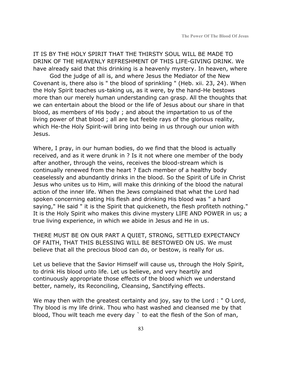IT IS BY THE HOLY SPIRIT THAT THE THIRSTY SOUL WILL BE MADE TO DRINK OF THE HEAVENLY REFRESHMENT OF THIS LIFE-GIVING DRINK. We have already said that this drinking is a heavenly mystery. In heaven, where

God the judge of all is, and where Jesus the Mediator of the New Covenant is, there also is " the blood of sprinkling " (Heb. xii. 23, 24). When the Holy Spirit teaches us-taking us, as it were, by the hand-He bestows more than our merely human understanding can grasp. All the thoughts that we can entertain about the blood or the life of Jesus about our share in that blood, as members of His body ; and about the impartation to us of the living power of that blood ; all are but feeble rays of the glorious reality, which He-the Holy Spirit-will bring into being in us through our union with Jesus.

Where, I pray, in our human bodies, do we find that the blood is actually received, and as it were drunk in ? Is it not where one member of the body after another, through the veins, receives the blood-stream which is continually renewed from the heart ? Each member of a healthy body ceaselessly and abundantly drinks in the blood. So the Spirit of Life in Christ Jesus who unites us to Him, will make this drinking of the blood the natural action of the inner life. When the Jews complained that what the Lord had spoken concerning eating His flesh and drinking His blood was " a hard saying," He said " it is the Spirit that quickeneth, the flesh profiteth nothing." It is the Holy Spirit who makes this divine mystery LIFE AND POWER in us; a true living experience, in which we abide in Jesus and He in us.

THERE MUST BE ON OUR PART A QUIET, STRONG, SETTLED EXPECTANCY OF FAITH, THAT THIS BLESSING WILL BE BESTOWED ON US. We must believe that all the precious blood can do, or bestow, is really for us.

Let us believe that the Savior Himself will cause us, through the Holy Spirit, to drink His blood unto life. Let us believe, and very heartily and continuously appropriate those effects of the blood which we understand better, namely, its Reconciling, Cleansing, Sanctifying effects.

We may then with the greatest certainty and joy, say to the Lord : " O Lord, Thy blood is my life drink. Thou who hast washed and cleansed me by that blood, Thou wilt teach me every day ` to eat the flesh of the Son of man,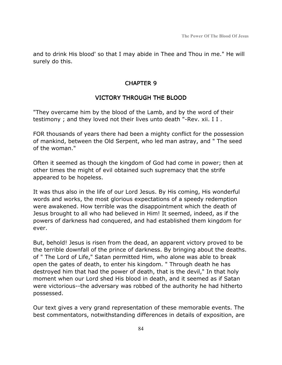and to drink His blood' so that I may abide in Thee and Thou in me." He will surely do this.

## CHAPTER 9

# VICTORY THROUGH THE BLOOD

"They overcame him by the blood of the Lamb, and by the word of their testimony ; and they loved not their lives unto death "-Rev. xii. I I .

FOR thousands of years there had been a mighty conflict for the possession of mankind, between the Old Serpent, who led man astray, and " The seed of the woman."

Often it seemed as though the kingdom of God had come in power; then at other times the might of evil obtained such supremacy that the strife appeared to be hopeless.

It was thus also in the life of our Lord Jesus. By His coming, His wonderful words and works, the most glorious expectations of a speedy redemption were awakened. How terrible was the disappointment which the death of Jesus brought to all who had believed in Him! It seemed, indeed, as if the powers of darkness had conquered, and had established them kingdom for ever.

But, behold! Jesus is risen from the dead, an apparent victory proved to be the terrible downfall of the prince of darkness. By bringing about the deaths. of " The Lord of Life," Satan permitted Him, who alone was able to break open the gates of death, to enter his kingdom. " Through death he has destroyed him that had the power of death, that is the devil," In that holy moment when our Lord shed His blood in death, and it seemed as if Satan were victorious--the adversary was robbed of the authority he had hitherto possessed.

Our text gives a very grand representation of these memorable events. The best commentators, notwithstanding differences in details of exposition, are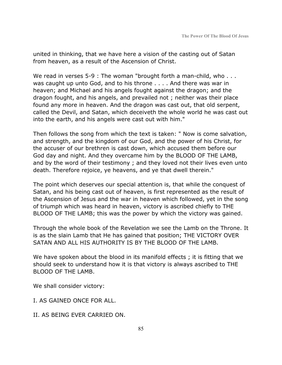united in thinking, that we have here a vision of the casting out of Satan from heaven, as a result of the Ascension of Christ.

We read in verses 5-9 : The woman "brought forth a man-child, who . . . was caught up unto God, and to his throne . . . . And there was war in heaven; and Michael and his angels fought against the dragon; and the dragon fought, and his angels, and prevailed not ; neither was their place found any more in heaven. And the dragon was cast out, that old serpent, called the Devil, and Satan, which deceiveth the whole world he was cast out into the earth, and his angels were cast out with him."

Then follows the song from which the text is taken: " Now is come salvation, and strength, and the kingdom of our God, and the power of his Christ, for the accuser of our brethren is cast down, which accused them before our God day and night. And they overcame him by the BLOOD OF THE LAMB, and by the word of their testimony ; and they loved not their lives even unto death. Therefore rejoice, ye heavens, and ye that dwell therein."

The point which deserves our special attention is, that while the conquest of Satan, and his being cast out of heaven, is first represented as the result of the Ascension of Jesus and the war in heaven which followed, yet in the song of triumph which was heard in heaven, victory is ascribed chiefly to THE BLOOD OF THE LAMB; this was the power by which the victory was gained.

Through the whole book of the Revelation we see the Lamb on the Throne. It is as the slain Lamb that He has gained that position; THE VICTORY OVER SATAN AND ALL HIS AUTHORITY IS BY THE BLOOD OF THE LAMB.

We have spoken about the blood in its manifold effects ; it is fitting that we should seek to understand how it is that victory is always ascribed to THE BLOOD OF THE LAMB.

We shall consider victory:

- I. AS GAINED ONCE FOR ALL.
- II. AS BEING EVER CARRIED ON.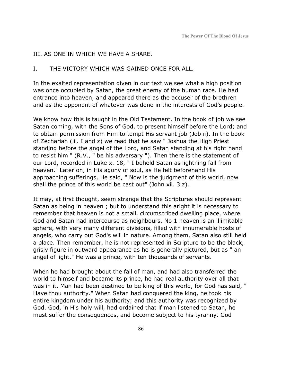#### III. AS ONE IN WHICH WE HAVE A SHARE.

#### I. THE VICTORY WHICH WAS GAINED ONCE FOR ALL.

In the exalted representation given in our text we see what a high position was once occupied by Satan, the great enemy of the human race. He had entrance into heaven, and appeared there as the accuser of the brethren and as the opponent of whatever was done in the interests of God's people.

We know how this is taught in the Old Testament. In the book of job we see Satan coming, with the Sons of God, to present himself before the Lord; and to obtain permission from Him to tempt His servant job (Job ii). In the book of Zechariah (iii. I and z) we read that he saw " Joshua the High Priest standing before the angel of the Lord, and Satan standing at his right hand to resist him " (R.V., " be his adversary "). Then there is the statement of our Lord, recorded in Luke x. 18, " I beheld Satan as lightning fall from heaven." Later on, in His agony of soul, as He felt beforehand His approaching sufferings, He said, " Now is the judgment of this world, now shall the prince of this world be cast out" (John xii. 3 z).

It may, at first thought, seem strange that the Scriptures should represent Satan as being in heaven ; but to understand this aright it is necessary to remember that heaven is not a small, circumscribed dwelling place, where God and Satan had intercourse as neighbours. No 1 heaven is an illimitable sphere, with very many different divisions, filled with innumerable hosts of angels, who carry out God's will in nature. Among them, Satan also still held a place. Then remember, he is not represented in Scripture to be the black, grisly figure in outward appearance as he is generally pictured, but as " an angel of light." He was a prince, with ten thousands of servants.

When he had brought about the fall of man, and had also transferred the world to himself and became its prince, he had real authority over all that was in it. Man had been destined to be king of this world, for God has said, " Have thou authority." When Satan had conquered the king, he took his entire kingdom under his authority; and this authority was recognized by God. God, in His holy will, had ordained that if man listened to Satan, he must suffer the consequences, and become subject to his tyranny. God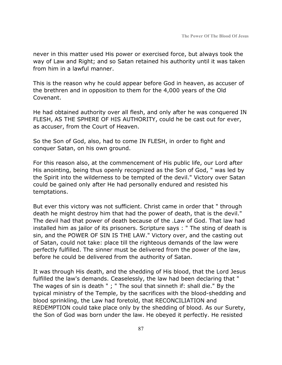never in this matter used His power or exercised force, but always took the way of Law and Right; and so Satan retained his authority until it was taken from him in a lawful manner.

This is the reason why he could appear before God in heaven, as accuser of the brethren and in opposition to them for the 4,000 years of the Old Covenant.

He had obtained authority over all flesh, and only after he was conquered IN FLESH, AS THE SPHERE OF HIS AUTHORITY, could he be cast out for ever, as accuser, from the Court of Heaven.

So the Son of God, also, had to come IN FLESH, in order to fight and conquer Satan, on his own ground.

For this reason also, at the commencement of His public life, our Lord after His anointing, being thus openly recognized as the Son of God, " was led by the Spirit into the wilderness to be tempted of the devil." Victory over Satan could be gained only after He had personally endured and resisted his temptations.

But ever this victory was not sufficient. Christ came in order that " through death he might destroy him that had the power of death, that is the devil." The devil had that power of death because of the .Law of God. That law had installed him as jailor of its prisoners. Scripture says : " The sting of death is sin, and the POWER OF SIN IS THE LAW." Victory over, and the casting out of Satan, could not take: place till the righteous demands of the law were perfectly fulfilled. The sinner must be delivered from the power of the law, before he could be delivered from the authority of Satan.

It was through His death, and the shedding of His blood, that the Lord Jesus fulfilled the law's demands. Ceaselessly, the law had been declaring that " The wages of sin is death " ; " The soul that sinneth if: shall die." By the typical ministry of the Temple, by the sacrifices with the blood-shedding and blood sprinkling, the Law had foretold, that RECONCILIATION and REDEMPTION could take place only by the shedding of blood. As our Surety, the Son of God was born under the law. He obeyed it perfectly. He resisted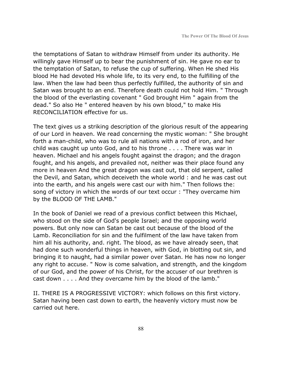the temptations of Satan to withdraw Himself from under its authority. He willingly gave Himself up to bear the punishment of sin. He gave no ear to the temptation of Satan, to refuse the cup of suffering. When He shed His blood He had devoted His whole life, to its very end, to the fulfilling of the law. When the law had been thus perfectly fulfilled, the authority of sin and Satan was brought to an end. Therefore death could not hold Him. " Through the blood of the everlasting covenant " God brought Him " again from the dead." So also He " entered heaven by his own blood," to make His RECONCILIATION effective for us.

The text gives us a striking description of the glorious result of the appearing of our Lord in heaven. We read concerning the mystic woman: " She brought forth a man-child, who was to rule all nations with a rod of iron, and her child was caught up unto God, and to his throne . . . . There was war in heaven. Michael and his angels fought against the dragon; and the dragon fought, and his angels, and prevailed not, neither was their place found any more in heaven And the great dragon was cast out, that old serpent, called the Devil, and Satan, which deceiveth the whole world : and he was cast out into the earth, and his angels were cast our with him." Then follows the: song of victory in which the words of our text occur : "They overcame him by the BLOOD OF THE LAMB."

In the book of Daniel we read of a previous conflict between this Michael, who stood on the side of God's people Israel; and the opposing world powers. But only now can Satan be cast out because of the blood of the Lamb. Reconciliation for sin and the fulfilment of the law have taken from him all his authority, and. right. The blood, as we have already seen, that had done such wonderful things in heaven, with God, in blotting out sin, and bringing it to naught, had a similar power over Satan. He has now no longer any right to accuse. " Now is come salvation, and strength, and the kingdom of our God, and the power of his Christ, for the accuser of our brethren is cast down . . . . And they overcame him by the blood of the lamb."

II. THERE IS A PROGRESSIVE VICTORY: which follows on this first victory. Satan having been cast down to earth, the heavenly victory must now be carried out here.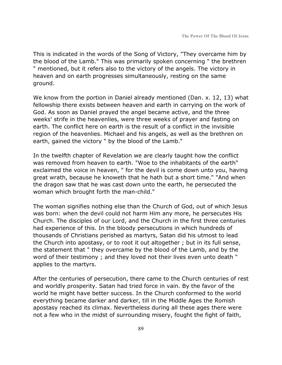This is indicated in the words of the Song of Victory, "They overcame him by the blood of the Lamb." This was primarily spoken concerning " the brethren " mentioned, but it refers also to the victory of the angels. The victory in heaven and on earth progresses simultaneously, resting on the same ground.

We know from the portion in Daniel already mentioned (Dan. x. 12, 13) what fellowship there exists between heaven and earth in carrying on the work of God. As soon as Daniel prayed the angel became active, and the three weeks' strife in the heavenlies, were three weeks of prayer and fasting on earth. The conflict here on earth is the result of a conflict in the invisible region of the heavenlies. Michael and his angels, as well as the brethren on earth, gained the victory " by the blood of the Lamb."

In the twelfth chapter of Revelation we are clearly taught how the conflict was removed from heaven to earth. "Woe to the inhabitants of the earth" exclaimed the voice in heaven, " for the devil is come down unto you, having great wrath, because he knoweth that he hath but a short time." "And when the dragon saw that he was cast down unto the earth, he persecuted the woman which brought forth the man-child."

The woman signifies nothing else than the Church of God, out of which Jesus was born: when the devil could not harm Him any more, he persecutes His Church. The disciples of our Lord, and the Church in the first three centuries had experience of this. In the bloody persecutions in which hundreds of thousands of Christians perished as martyrs, Satan did his utmost to lead the Church into apostasy, or to root it out altogether ; but in its full sense, the statement that " they overcame by the blood of the Lamb, and by the word of their testimony ; and they loved not their lives even unto death " applies to the martyrs.

After the centuries of persecution, there came to the Church centuries of rest and worldly prosperity. Satan had tried force in vain. By the favor of the world he might have better success. In the Church conformed to the world everything became darker and darker, till in the Middle Ages the Romish apostasy reached its climax. Nevertheless during all these ages there were not a few who in the midst of surrounding misery, fought the fight of faith,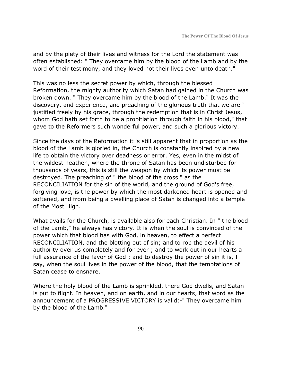and by the piety of their lives and witness for the Lord the statement was often established: " They overcame him by the blood of the Lamb and by the word of their testimony, and they loved not their lives even unto death."

This was no less the secret power by which, through the blessed Reformation, the mighty authority which Satan had gained in the Church was broken down. " They overcame him by the blood of the Lamb." It was the discovery, and experience, and preaching of the glorious truth that we are " justified freely by his grace, through the redemption that is in Christ Jesus, whom God hath set forth to be a propitiation through faith in his blood," that gave to the Reformers such wonderful power, and such a glorious victory.

Since the days of the Reformation it is still apparent that in proportion as the blood of the Lamb is gloried in, the Church is constantly inspired by a new life to obtain the victory over deadness or error. Yes, even in the midst of the wildest heathen, where the throne of Satan has been undisturbed for thousands of years, this is still the weapon by which its power must be destroyed. The preaching of " the blood of the cross " as the RECONCILIATION for the sin of the world, and the ground of God's free, forgiving love, is the power by which the most darkened heart is opened and softened, and from being a dwelling place of Satan is changed into a temple of the Most High.

What avails for the Church, is available also for each Christian. In " the blood of the Lamb," he always has victory. It is when the soul is convinced of the power which that blood has with God, in heaven, to effect a perfect RECONCILIATION, and the blotting out of sin; and to rob the devil of his authority over us completely and for ever ; and to work out in our hearts a full assurance of the favor of God; and to destroy the power of sin it is, I say, when the soul lives in the power of the blood, that the temptations of Satan cease to ensnare.

Where the holy blood of the Lamb is sprinkled, there God dwells, and Satan is put to flight. In heaven, and on earth, and in our hearts, that word as the announcement of a PROGRESSIVE VICTORY is valid:-" They overcame him by the blood of the Lamb."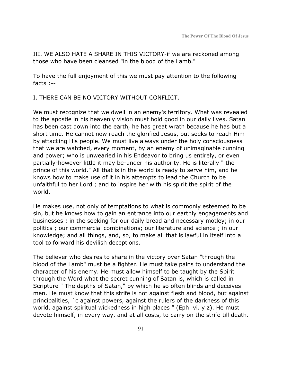III. WE ALSO HATE A SHARE IN THIS VICTORY-if we are reckoned among those who have been cleansed "in the blood of the Lamb."

To have the full enjoyment of this we must pay attention to the following facts :--

I. THERE CAN BE NO VICTORY WITHOUT CONFLICT.

We must recognize that we dwell in an enemy's territory. What was revealed to the apostle in his heavenly vision must hold good in our daily lives. Satan has been cast down into the earth, he has great wrath because he has but a short time. He cannot now reach the glorified Jesus, but seeks to reach Him by attacking His people. We must live always under the holy consciousness that we are watched, every moment, by an enemy of unimaginable cunning and power; who is unwearied in his Endeavor to bring us entirely, or even partially-however little it may be-under his authority. He is literally " the prince of this world." All that is in the world is ready to serve him, and he knows how to make use of it in his attempts to lead the Church to be unfaithful to her Lord ; and to inspire her with his spirit the spirit of the world.

He makes use, not only of temptations to what is commonly esteemed to be sin, but he knows how to gain an entrance into our earthly engagements and businesses ; in the seeking for our daily bread and necessary motley; in our politics ; our commercial combinations; our literature and science ; in our knowledge; and all things, and, so, to make all that is lawful in itself into a tool to forward his devilish deceptions.

The believer who desires to share in the victory over Satan "through the blood of the Lamb" must be a fighter. He must take pains to understand the character of his enemy. He must allow himself to be taught by the Spirit through the Word what the secret cunning of Satan is, which is called in Scripture " The depths of Satan," by which he so often blinds and deceives men. He must know that this strife is not against flesh and blood, but against principalities, `c against powers, against the rulers of the darkness of this world, against spiritual wickedness in high places " (Eph. vi. y z). He must devote himself, in every way, and at all costs, to carry on the strife till death.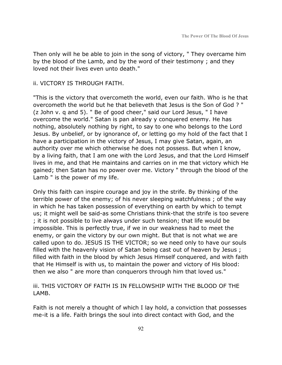Then only will he be able to join in the song of victory, " They overcame him by the blood of the Lamb, and by the word of their testimony ; and they loved not their lives even unto death."

### ii. VICTORY IS THROUGH FAITH.

"This is the victory that overcometh the world, even our faith. Who is he that overcometh the world but he that believeth that Jesus is the Son of God ? " (z John v. q and 5). " Be of good cheer," said our Lord Jesus, " I have overcome the world." Satan is pan already y conquered enemy. He has nothing, absolutely nothing by right, to say to one who belongs to the Lord Jesus. By unbelief, or by ignorance of, or letting go my hold of the fact that I have a participation in the victory of Jesus, I may give Satan, again, an authority over me which otherwise he does not possess. But when I know, by a living faith, that I am one with the Lord Jesus, and that the Lord Himself lives in me, and that He maintains and carries on in me that victory which He gained; then Satan has no power over me. Victory " through the blood of the Lamb " is the power of my life.

Only this faith can inspire courage and joy in the strife. By thinking of the terrible power of the enemy; of his never sleeping watchfulness ; of the way in which he has taken possession of everything on earth by which to tempt us; it might well be said-as some Christians think-that the strife is too severe ; it is not possible to live always under such tension; that life would be impossible. This is perfectly true, if we in our weakness had to meet the enemy, or gain the victory by our own might. But that is not what we are called upon to do. JESUS IS THE VICTOR; so we need only to have our souls filled with the heavenly vision of Satan being cast out of heaven by Jesus ; filled with faith in the blood by which Jesus Himself conquered, and with faith that He Himself is with us, to maintain the power and victory of His blood: then we also " are more than conquerors through him that loved us."

### iii. THIS VICTORY OF FAITH IS IN FELLOWSHIP WITH THE BLOOD OF THE LAMB.

Faith is not merely a thought of which I lay hold, a conviction that possesses me-it is a life. Faith brings the soul into direct contact with God, and the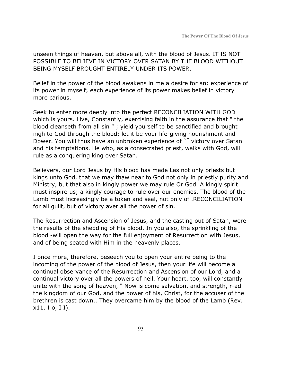unseen things of heaven, but above all, with the blood of Jesus. IT IS NOT POSSIBLE TO BELIEVE IN VICTORY OVER SATAN BY THE BLOOD WITHOUT BEING MYSELF BROUGHT ENTIRELY UNDER ITS POWER.

Belief in the power of the blood awakens in me a desire for an: experience of its power in myself; each experience of its power makes belief in victory more carious.

Seek to enter more deeply into the perfect RECONCILIATION WITH GOD which is yours. Live, Constantly, exercising faith in the assurance that " the blood cleanseth from all sin " ; yield yourself to be sanctified and brought nigh to God through the blood; let it be your life-giving nourishment and Dower. You will thus have an unbroken experience of `° victory over Satan and his temptations. He who, as a consecrated priest, walks with God, will rule as a conquering king over Satan.

Believers, our Lord Jesus by His blood has made Las not only priests but kings unto God, that we may thaw near to God not only in priestly purity and Ministry, but that also in kingly power we may rule Or God. A kingly spirit must inspire us; a kingly courage to rule over our enemies. The blood of the Lamb must increasingly be a token and seal, not only of .RECONCILIATION for all guilt, but of victory aver all the power of sin.

The Resurrection and Ascension of Jesus, and the casting out of Satan, were the results of the shedding of His blood. In you also, the sprinkling of the blood -will open the way for the full enjoyment of Resurrection with Jesus, and of being seated with Him in the heavenly places.

I once more, therefore, beseech you to open your entire being to the incoming of the power of the blood of Jesus, then your life will become a continual observance of the Resurrection and Ascension of our Lord, and a continual victory over all the powers of hell. Your heart, too, will constantly unite with the song of heaven, " Now is come salvation, and strength, r-ad the kingdom of our God, and the power of his, Christ, for the accuser of the brethren is cast down.. They overcame him by the blood of the Lamb (Rev. x11. I o, I I).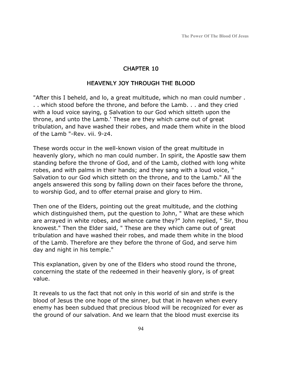### CHAPTER 10

## HEAVENLY JOY THROUGH THE BLOOD

"After this I beheld, and lo, a great multitude, which no man could number . . . which stood before the throne, and before the Lamb. . . and they cried with a loud voice saying, g Salvation to our God which sitteth upon the throne, and unto the Lamb.' These are they which came out of great tribulation, and have washed their robes, and made them white in the blood of the Lamb "-Rev. vii. 9-z4.

These words occur in the well-known vision of the great multitude in heavenly glory, which no man could number. In spirit, the Apostle saw them standing before the throne of God, and of the Lamb, clothed with long white robes, and with palms in their hands; and they sang with a loud voice, " Salvation to our God which sitteth on the throne, and to the Lamb." All the angels answered this song by falling down on their faces before the throne, to worship God, and to offer eternal praise and glory to Him.

Then one of the Elders, pointing out the great multitude, and the clothing which distinguished them, put the question to John, " What are these which are arrayed in white robes, and whence came they?" John replied, " Sir, thou knowest." Then the Elder said, " These are they which came out of great tribulation and have washed their robes, and made them white in the blood of the Lamb. Therefore are they before the throne of God, and serve him day and night in his temple."

This explanation, given by one of the Elders who stood round the throne, concerning the state of the redeemed in their heavenly glory, is of great value.

It reveals to us the fact that not only in this world of sin and strife is the blood of Jesus the one hope of the sinner, but that in heaven when every enemy has been subdued that precious blood will be recognized for ever as the ground of our salvation. And we learn that the blood must exercise its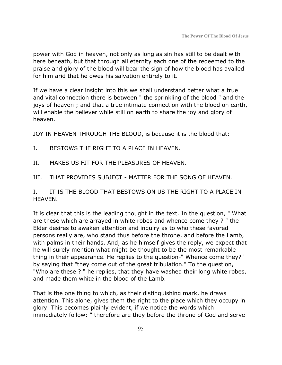power with God in heaven, not only as long as sin has still to be dealt with here beneath, but that through all eternity each one of the redeemed to the praise and glory of the blood will bear the sign of how the blood has availed for him arid that he owes his salvation entirely to it.

If we have a clear insight into this we shall understand better what a true and vital connection there is between " the sprinkling of the blood " and the joys of heaven ; and that a true intimate connection with the blood on earth, will enable the believer while still on earth to share the joy and glory of heaven.

JOY IN HEAVEN THROUGH THE BLOOD, is because it is the blood that:

- I. BESTOWS THE RIGHT TO A PLACE IN HEAVEN.
- II. MAKES US FIT FOR THE PLEASURES OF HEAVEN.
- III. THAT PROVIDES SUBJECT MATTER FOR THE SONG OF HEAVEN.

I. IT IS THE BLOOD THAT BESTOWS ON US THE RIGHT TO A PLACE IN HEAVEN.

It is clear that this is the leading thought in the text. In the question, " What are these which are arrayed in white robes and whence come they ? " the Elder desires to awaken attention and inquiry as to who these favored persons really are, who stand thus before the throne, and before the Lamb, with palms in their hands. And, as he himself gives the reply, we expect that he will surely mention what might be thought to be the most remarkable thing in their appearance. He replies to the question-" Whence come they?" by saying that "they come out of the great tribulation." To the question, "Who are these ? " he replies, that they have washed their long white robes, and made them white in the blood of the Lamb.

That is the one thing to which, as their distinguishing mark, he draws attention. This alone, gives them the right to the place which they occupy in glory. This becomes plainly evident, if we notice the words which immediately follow: " therefore are they before the throne of God and serve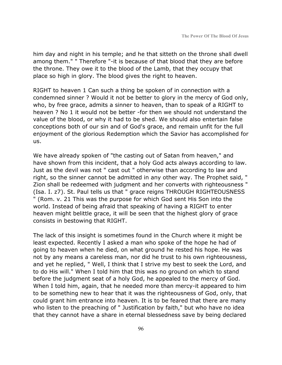him day and night in his temple; and he that sitteth on the throne shall dwell among them." " Therefore "-it is because of that blood that they are before the throne. They owe it to the blood of the Lamb, that they occupy that place so high in glory. The blood gives the right to heaven.

RIGHT to heaven 1 Can such a thing be spoken of in connection with a condemned sinner ? Would it not be better to glory in the mercy of God only, who, by free grace, admits a sinner to heaven, than to speak of a RIGHT to heaven ? No 1 it would not be better -for then we should not understand the value of the blood, or why it had to be shed. We should also entertain false conceptions both of our sin and of God's grace, and remain unfit for the full enjoyment of the glorious Redemption which the Savior has accomplished for us.

We have already spoken of "the casting out of Satan from heaven," and have shown from this incident, that a holy God acts always according to law. Just as the devil was not " cast out " otherwise than according to law and right, so the sinner cannot be admitted in any other way. The Prophet said, " Zion shall be redeemed with judgment and her converts with righteousness " (Isa. I. z7). St. Paul tells us that " grace reigns THROUGH RIGHTEOUSNESS " (Rom. v. 21 This was the purpose for which God sent His Son into the world. Instead of being afraid that speaking of having a RIGHT to enter heaven might belittle grace, it will be seen that the highest glory of grace consists in bestowing that RIGHT.

The lack of this insight is sometimes found in the Church where it might be least expected. Recently I asked a man who spoke of the hope he had of going to heaven when he died, on what ground he rested his hope. He was not by any means a careless man, nor did he trust to his own righteousness, and yet he replied, " Well, I think that I strive my best to seek the Lord, and to do His will." When I told him that this was no ground on which to stand before the judgment seat of a holy God, he appealed to the mercy of God. When I told him, again, that he needed more than mercy-it appeared to him to be something new to hear that it was the righteousness of God, only, that could grant him entrance into heaven. It is to be feared that there are many who listen to the preaching of " Justification by faith," but who have no idea that they cannot have a share in eternal blessedness save by being declared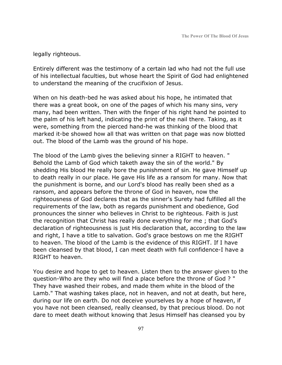legally righteous.

Entirely different was the testimony of a certain lad who had not the full use of his intellectual faculties, but whose heart the Spirit of God had enlightened to understand the meaning of the crucifixion of Jesus.

When on his death-bed he was asked about his hope, he intimated that there was a great book, on one of the pages of which his many sins, very many, had been written. Then with the finger of his right hand he pointed to the palm of his left hand, indicating the print of the nail there. Taking, as it were, something from the pierced hand-he was thinking of the blood that marked it-be showed how all that was written on that page was now blotted out. The blood of the Lamb was the ground of his hope.

The blood of the Lamb gives the believing sinner a RIGHT to heaven. " Behold the Lamb of God which taketh away the sin of the world." By shedding His blood He really bore the punishment of sin. He gave Himself up to death really in our place. He gave His life as a ransom for many. Now that the punishment is borne, and our Lord's blood has really been shed as a ransom, and appears before the throne of God in heaven, now the righteousness of God declares that as the sinner's Surety had fulfilled all the requirements of the law, both as regards punishment and obedience, God pronounces the sinner who believes in Christ to be righteous. Faith is just the recognition that Christ has really done everything for me ; that God's declaration of righteousness is just His declaration that, according to the law and right, I have a title to salvation. God's grace bestows on me the RIGHT to heaven. The blood of the Lamb is the evidence of this RIGHT. If I have been cleansed by that blood, I can meet death with full confidence-I have a RIGHT to heaven.

You desire and hope to get to heaven. Listen then to the answer given to the question-Who are they who will find a place before the throne of God ? " They have washed their robes, and made them white in the blood of the Lamb." That washing takes place, not in heaven, and not at death, but here, during our life on earth. Do not deceive yourselves by a hope of heaven, if you have not been cleansed, really cleansed, by that precious blood. Do not dare to meet death without knowing that Jesus Himself has cleansed you by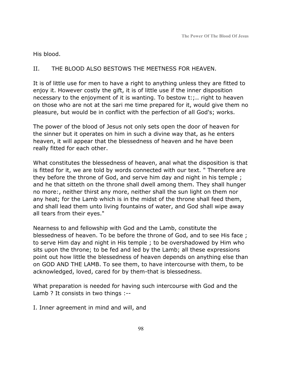His blood.

## II. THE BLOOD ALSO BESTOWS THE MEETNESS FOR HEAVEN.

It is of little use for men to have a right to anything unless they are fitted to enjoy it. However costly the gift, it is of little use if the inner disposition necessary to the enjoyment of it is wanting. To bestow t:;.. right to heaven on those who are not at the sari me time prepared for it, would give them no pleasure, but would be in conflict with the perfection of all God's; works.

The power of the blood of Jesus not only sets open the door of heaven for the sinner but it operates on him in such a divine way that, as he enters heaven, it will appear that the blessedness of heaven and he have been really fitted for each other.

What constitutes the blessedness of heaven, anal what the disposition is that is fitted for it, we are told by words connected with our text. " Therefore are they before the throne of God, and serve him day and night in his temple ; and he that sitteth on the throne shall dwell among them. They shall hunger no more:, neither thirst any more, neither shall the sun light on them nor any heat; for the Lamb which is in the midst of the throne shall feed them, and shall lead them unto living fountains of water, and God shall wipe away all tears from their eyes."

Nearness to and fellowship with God and the Lamb, constitute the blessedness of heaven. To be before the throne of God, and to see His face ; to serve Him day and night in His temple ; to be overshadowed by Him who sits upon the throne; to be fed and led by the Lamb; all these expressions point out how little the blessedness of heaven depends on anything else than on GOD AND THE LAMB. To see them, to have intercourse with them, to be acknowledged, loved, cared for by them-that is blessedness.

What preparation is needed for having such intercourse with God and the Lamb ? It consists in two things :--

I. Inner agreement in mind and will, and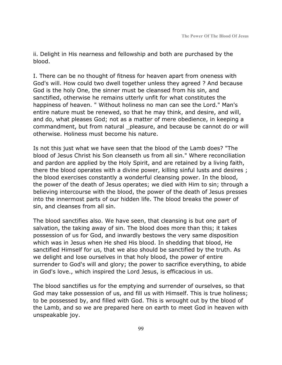ii. Delight in His nearness and fellowship and both are purchased by the blood.

I. There can be no thought of fitness for heaven apart from oneness with God's will. How could two dwell together unless they agreed ? And because God is the holy One, the sinner must be cleansed from his sin, and sanctified, otherwise he remains utterly unfit for what constitutes the happiness of heaven. " Without holiness no man can see the Lord." Man's entire nature must be renewed, so that he may think, and desire, and will, and do, what pleases God; not as a matter of mere obedience, in keeping a commandment, but from natural \_pleasure, and because be cannot do or will otherwise. Holiness must become his nature.

Is not this just what we have seen that the blood of the Lamb does? "The blood of Jesus Christ his Son cleanseth us from all sin." Where reconciliation and pardon are applied by the Holy Spirit, and are retained by a living faith, there the blood operates with a divine power, killing sinful lusts and desires ; the blood exercises constantly a wonderful cleansing power. In the blood, the power of the death of Jesus operates; we died with Him to sin; through a believing intercourse with the blood, the power of the death of Jesus presses into the innermost parts of our hidden life. The blood breaks the power of sin, and cleanses from all sin.

The blood sanctifies also. We have seen, that cleansing is but one part of salvation, the taking away of sin. The blood does more than this; it takes possession of us for God, and inwardly bestows the very same disposition which was in Jesus when He shed His blood. In shedding that blood, He sanctified Himself for us, that we also should be sanctified by the truth. As we delight and lose ourselves in that holy blood, the power of entire surrender to God's will and glory; the power to sacrifice everything, to abide in God's love., which inspired the Lord Jesus, is efficacious in us.

The blood sanctifies us for the emptying and surrender of ourselves, so that God may take possession of us, and fill us with Himself. This is true holiness; to be possessed by, and filled with God. This is wrought out by the blood of the Lamb, and so we are prepared here on earth to meet God in heaven with unspeakable joy.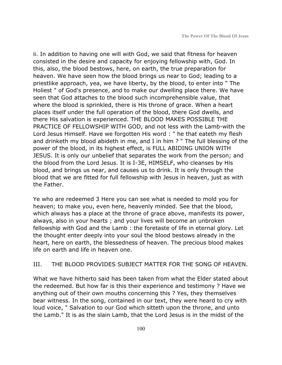ii. In addition to having one will with God, we said that fitness for heaven consisted in the desire and capacity for enjoying fellowship with, God. In this, also, the blood bestows, here, on earth, the true preparation for heaven. We have seen how the blood brings us near to God; leading to a priestlike approach, yea, we have liberty, by the blood, to enter into " The Holiest " of God's presence, and to make our dwelling place there. We have seen that God attaches to the blood such incomprehensible value, that where the blood is sprinkled, there is His throne of grace. When a heart places itself under the full operation of the blood, there God dwells, and there His salvation is experienced. THE BLOOD MAKES POSSIBLE THE PRACTICE OF FELLOWSHIP WITH GOD, and not less with the Lamb-with the Lord Jesus Himself. Have we forgotten His word : " he that eateth my flesh and drinketh my blood abideth in me, and I in him ? " The full blessing of the power of the blood, in its highest effect, is FULL ABIDING UNION WITH JESUS. It is only our unbelief that separates the work from the person; and the blood from the Lord Jesus. It is I-3E, HIMSELF, who cleanses by His blood, and brings us near, and causes us to drink. It is only through the blood that we are fitted for full fellowship with Jesus in heaven, just as with the Father.

Ye who are redeemed 3 Here you can see what is needed to mold you for heaven; to make you, even here, heavenly minded. See that the blood, which always has a place at the throne of grace above, manifests its power, always, also in your hearts ; and your lives will become an unbroken fellowship with God and the Lamb : the foretaste of life in eternal glory. Let the thought enter deeply into your soul the blood bestows already in the heart, here on earth, the blessedness of heaven. The precious blood makes life on earth and life in heaven one.

#### III. THE BLOOD PROVIDES SUBJECT MATTER FOR THE SONG OF HEAVEN.

What we have hitherto said has been taken from what the Elder stated about the redeemed. But how far is this their experience and testimony ? Have we anything out of their own mouths concerning this ? Yes, they themselves bear witness. In the song, contained in our text, they were heard to cry with loud voice, " Salvation to our God which sitteth upon the throne, and unto the Lamb." It is as the slain Lamb, that the Lord Jesus is in the midst of the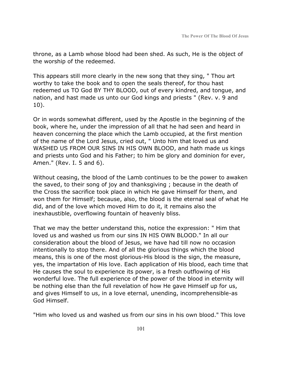throne, as a Lamb whose blood had been shed. As such, He is the object of the worship of the redeemed.

This appears still more clearly in the new song that they sing, " Thou art worthy to take the book and to open the seals thereof, for thou hast redeemed us TO God BY THY BLOOD, out of every kindred, and tongue, and nation, and hast made us unto our God kings and priests " (Rev. v. 9 and 10).

Or in words somewhat different, used by the Apostle in the beginning of the book, where he, under the impression of all that he had seen and heard in heaven concerning the place which the Lamb occupied, at the first mention of the name of the Lord Jesus, cried out, " Unto him that loved us and WASHED US FROM OUR SINS IN HIS OWN BLOOD, and hath made us kings and priests unto God and his Father; to him be glory and dominion for ever, Amen." (Rev. I. 5 and 6).

Without ceasing, the blood of the Lamb continues to be the power to awaken the saved, to their song of joy and thanksgiving ; because in the death of the Cross the sacrifice took place in which He gave Himself for them, and won them for Himself; because, also, the blood is the eternal seal of what He did, and of the love which moved Him to do it, it remains also the inexhaustible, overflowing fountain of heavenly bliss.

That we may the better understand this, notice the expression: " Him that loved us and washed us from our sins IN HIS OWN BLOOD." In all our consideration about the blood of Jesus, we have had till now no occasion intentionally to stop there. And of all the glorious things which the blood means, this is one of the most glorious-His blood is the sign, the measure, yes, the impartation of His love. Each application of His blood, each time that He causes the soul to experience its power, is a fresh outflowing of His wonderful love. The full experience of the power of the blood in eternity will be nothing else than the full revelation of how He gave Himself up for us, and gives Himself to us, in a love eternal, unending, incomprehensible-as God Himself.

"Him who loved us and washed us from our sins in his own blood." This love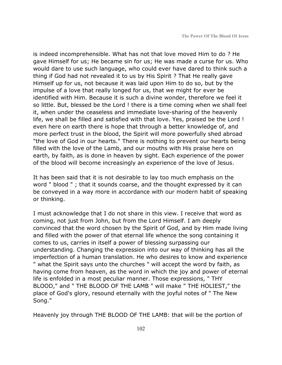is indeed incomprehensible. What has not that love moved Him to do ? He gave Himself for us; He became sin for us; He was made a curse for us. Who would dare to use such language, who could ever have dared to think such a thing if God had not revealed it to us by His Spirit ? That He really gave Himself up for us, not because it was laid upon Him to do so, but by the impulse of a love that really longed for us, that we might for ever be identified with Him. Because it is such a divine wonder, therefore we feel it so little. But, blessed be the Lord ! there is a time coming when we shall feel it, when under the ceaseless and immediate love-sharing of the heavenly life, we shall be filled and satisfied with that love. Yes, praised be the Lord ! even here on earth there is hope that through a better knowledge of, and more perfect trust in the blood, the Spirit will more powerfully shed abroad "the love of God in our hearts." There is nothing to prevent our hearts being filled with the love of the Lamb, and our mouths with His praise here on earth, by faith, as is done in heaven by sight. Each experience of the power of the blood will become increasingly an experience of the love of Jesus.

It has been said that it is not desirable to lay too much emphasis on the word " blood " ; that it sounds coarse, and the thought expressed by it can be conveyed in a way more in accordance with our modern habit of speaking or thinking.

I must acknowledge that I do not share in this view. I receive that word as coming, not just from John, but from the Lord Himself. I am deeply convinced that the word chosen by the Spirit of God, and by Him made living and filled with the power of that eternal life whence the song containing it comes to us, carries in itself a power of blessing surpassing our understanding. Changing the expression into our way of thinking has all the imperfection of a human translation. He who desires to know and experience " what the Spirit says unto the churches " will accept the word by faith, as having come from heaven, as the word in which the joy and power of eternal life is enfolded in a most peculiar manner. Those expressions, " THY BLOOD," and " THE BLOOD OF THE LAMB " will make " THE HOLIEST," the place of God's glory, resound eternally with the joyful notes of " The New Song."

Heavenly joy through THE BLOOD OF THE LAMB: that will be the portion of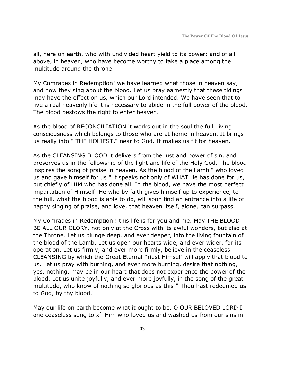all, here on earth, who with undivided heart yield to its power; and of all above, in heaven, who have become worthy to take a place among the multitude around the throne.

My Comrades in Redemption! we have learned what those in heaven say, and how they sing about the blood. Let us pray earnestly that these tidings may have the effect on us, which our Lord intended. We have seen that to live a real heavenly life it is necessary to abide in the full power of the blood. The blood bestows the right to enter heaven.

As the blood of RECONCILIATION it works out in the soul the full, living consciousness which belongs to those who are at home in heaven. It brings us really into " THE HOLIEST," near to God. It makes us fit for heaven.

As the CLEANSING BLOOD it delivers from the lust and power of sin, and preserves us in the fellowship of the light and life of the Holy God. The blood inspires the song of praise in heaven. As the blood of the Lamb " who loved us and gave himself for us " it speaks not only of WHAT He has done for us, but chiefly of HIM who has done all. In the blood, we have the most perfect impartation of Himself. He who by faith gives himself up to experience, to the full, what the blood is able to do, will soon find an entrance into a life of happy singing of praise, and love, that heaven itself, alone, can surpass.

My Comrades in Redemption ! this life is for you and me. May THE BLOOD BE ALL OUR GLORY, not only at the Cross with its awful wonders, but also at the Throne. Let us plunge deep, and ever deeper, into the living fountain of the blood of the Lamb. Let us open our hearts wide, and ever wider, for its operation. Let us firmly, and ever more firmly, believe in the ceaseless CLEANSING by which the Great Eternal Priest Himself will apply that blood to us. Let us pray with burning, and ever more burning, desire that nothing, yes, nothing, may be in our heart that does not experience the power of the blood. Let us unite joyfully, and ever more joyfully, in the song of the great multitude, who know of nothing so glorious as this-" Thou hast redeemed us to God, by thy blood."

May our life on earth become what it ought to be, O OUR BELOVED LORD I one ceaseless song to x` Him who loved us and washed us from our sins in